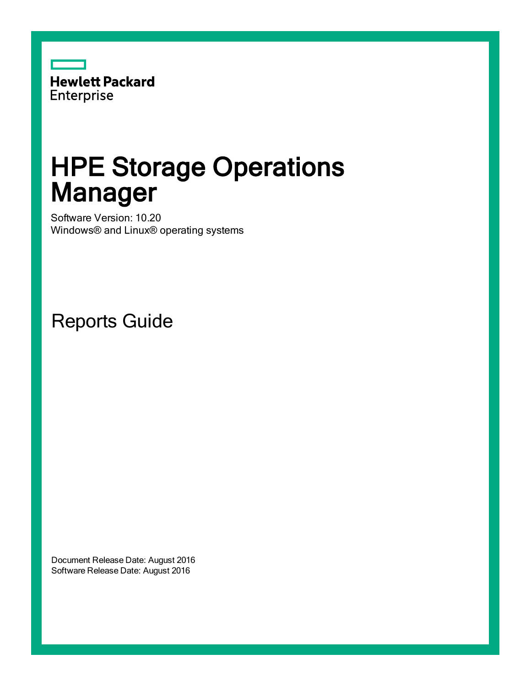

# HPE Storage Operations Manager

Software Version: 10.20 Windows® and Linux® operating systems

Reports Guide

Document Release Date: August 2016 Software Release Date: August 2016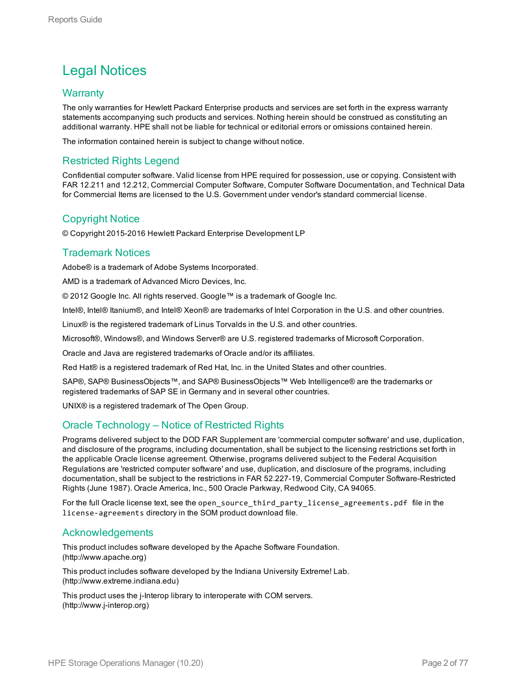### Legal Notices

### **Warranty**

The only warranties for Hewlett Packard Enterprise products and services are set forth in the express warranty statements accompanying such products and services. Nothing herein should be construed as constituting an additional warranty. HPE shall not be liable for technical or editorial errors or omissions contained herein.

The information contained herein is subject to change without notice.

### Restricted Rights Legend

Confidential computer software. Valid license from HPE required for possession, use or copying. Consistent with FAR 12.211 and 12.212, Commercial Computer Software, Computer Software Documentation, and Technical Data for Commercial Items are licensed to the U.S. Government under vendor's standard commercial license.

### Copyright Notice

© Copyright 2015-2016 Hewlett Packard Enterprise Development LP

### Trademark Notices

Adobe® is a trademark of Adobe Systems Incorporated.

AMD is a trademark of Advanced Micro Devices, Inc.

© 2012 Google Inc. All rights reserved. Google™ is a trademark of Google Inc.

Intel®, Intel® Itanium®, and Intel® Xeon® are trademarks of Intel Corporation in the U.S. and other countries.

Linux® is the registered trademark of Linus Torvalds in the U.S. and other countries.

Microsoft®, Windows®, and Windows Server® are U.S. registered trademarks of Microsoft Corporation.

Oracle and Java are registered trademarks of Oracle and/or its affiliates.

Red Hat® is a registered trademark of Red Hat, Inc. in the United States and other countries.

SAP®, SAP® BusinessObjects™, and SAP® BusinessObjects™ Web Intelligence® are the trademarks or registered trademarks of SAP SE in Germany and in several other countries.

UNIX® is a registered trademark of The Open Group.

### Oracle Technology — Notice of Restricted Rights

Programs delivered subject to the DOD FAR Supplement are 'commercial computer software' and use, duplication, and disclosure of the programs, including documentation, shall be subject to the licensing restrictions set forth in the applicable Oracle license agreement. Otherwise, programs delivered subject to the Federal Acquisition Regulations are 'restricted computer software' and use, duplication, and disclosure of the programs, including documentation, shall be subject to the restrictions in FAR 52.227-19, Commercial Computer Software-Restricted Rights (June 1987). Oracle America, Inc., 500 Oracle Parkway, Redwood City, CA 94065.

For the full Oracle license text, see the open\_source\_third\_party\_license\_agreements.pdf file in the license-agreements directory in the SOM product download file.

### Acknowledgements

This product includes software developed by the Apache Software Foundation. (http://www.apache.org)

This product includes software developed by the Indiana University Extreme! Lab. (http://www.extreme.indiana.edu)

This product uses the j-Interop library to interoperate with COM servers. (http://www.j-interop.org)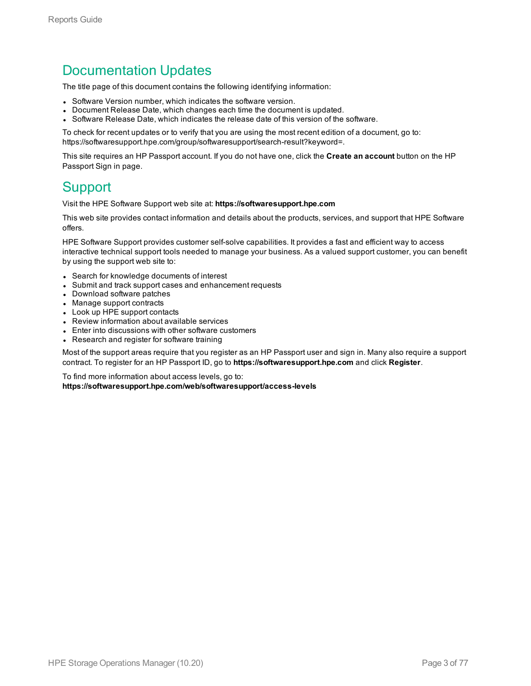### Documentation Updates

The title page of this document contains the following identifying information:

- Software Version number, which indicates the software version.
- Document Release Date, which changes each time the document is updated.
- <sup>l</sup> Software Release Date, which indicates the release date of this version of the software.

To check for recent updates or to verify that you are using the most recent edition of a document, go to: https://softwaresupport.hpe.com/group/softwaresupport/search-result?keyword=.

This site requires an HP Passport account. If you do not have one, click the **Create an account** button on the HP Passport Sign in page.

### **Support**

Visit the HPE Software Support web site at: **https://softwaresupport.hpe.com**

This web site provides contact information and details about the products, services, and support that HPE Software offers.

HPE Software Support provides customer self-solve capabilities. It provides a fast and efficient way to access interactive technical support tools needed to manage your business. As a valued support customer, you can benefit by using the support web site to:

- Search for knowledge documents of interest
- Submit and track support cases and enhancement requests
- Download software patches
- Manage support contracts
- Look up HPE support contacts
- Review information about available services
- Enter into discussions with other software customers
- Research and register for software training

Most of the support areas require that you register as an HP Passport user and sign in. Many also require a support contract. To register for an HP Passport ID, go to **https://softwaresupport.hpe.com** and click **Register**.

To find more information about access levels, go to: **https://softwaresupport.hpe.com/web/softwaresupport/access-levels**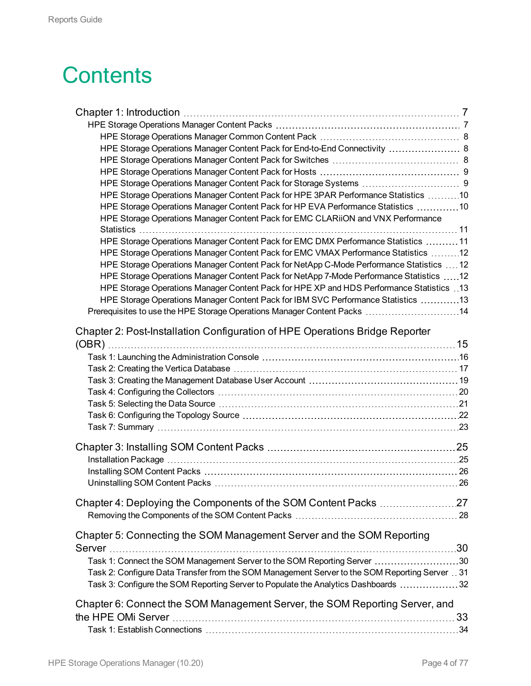## **Contents**

| HPE Storage Operations Manager Content Pack for End-to-End Connectivity  8                      |  |
|-------------------------------------------------------------------------------------------------|--|
|                                                                                                 |  |
|                                                                                                 |  |
|                                                                                                 |  |
| HPE Storage Operations Manager Content Pack for HPE 3PAR Performance Statistics 10              |  |
| HPE Storage Operations Manager Content Pack for HP EVA Performance Statistics 10                |  |
| HPE Storage Operations Manager Content Pack for EMC CLARiiON and VNX Performance                |  |
|                                                                                                 |  |
| HPE Storage Operations Manager Content Pack for EMC DMX Performance Statistics  11              |  |
| HPE Storage Operations Manager Content Pack for EMC VMAX Performance Statistics 12              |  |
| HPE Storage Operations Manager Content Pack for NetApp C-Mode Performance Statistics  12        |  |
| HPE Storage Operations Manager Content Pack for NetApp 7-Mode Performance Statistics 12         |  |
| HPE Storage Operations Manager Content Pack for HPE XP and HDS Performance Statistics 13        |  |
| HPE Storage Operations Manager Content Pack for IBM SVC Performance Statistics 13               |  |
| Prerequisites to use the HPE Storage Operations Manager Content Packs 14                        |  |
|                                                                                                 |  |
| Chapter 2: Post-Installation Configuration of HPE Operations Bridge Reporter                    |  |
|                                                                                                 |  |
|                                                                                                 |  |
|                                                                                                 |  |
|                                                                                                 |  |
|                                                                                                 |  |
|                                                                                                 |  |
|                                                                                                 |  |
|                                                                                                 |  |
|                                                                                                 |  |
|                                                                                                 |  |
|                                                                                                 |  |
|                                                                                                 |  |
|                                                                                                 |  |
|                                                                                                 |  |
|                                                                                                 |  |
|                                                                                                 |  |
| Chapter 5: Connecting the SOM Management Server and the SOM Reporting                           |  |
|                                                                                                 |  |
| Task 1: Connect the SOM Management Server to the SOM Reporting Server 30                        |  |
| Task 2: Configure Data Transfer from the SOM Management Server to the SOM Reporting Server . 31 |  |
| Task 3: Configure the SOM Reporting Server to Populate the Analytics Dashboards 32              |  |
|                                                                                                 |  |
| Chapter 6: Connect the SOM Management Server, the SOM Reporting Server, and                     |  |
|                                                                                                 |  |
|                                                                                                 |  |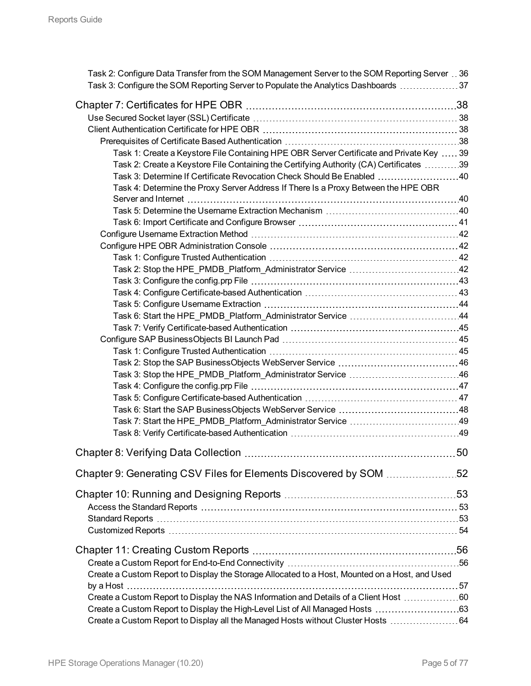| Task 2: Configure Data Transfer from the SOM Management Server to the SOM Reporting Server 36<br>Task 3: Configure the SOM Reporting Server to Populate the Analytics Dashboards 37 |    |
|-------------------------------------------------------------------------------------------------------------------------------------------------------------------------------------|----|
|                                                                                                                                                                                     |    |
|                                                                                                                                                                                     |    |
|                                                                                                                                                                                     |    |
|                                                                                                                                                                                     |    |
| Task 1: Create a Keystore File Containing HPE OBR Server Certificate and Private Key  39                                                                                            |    |
| Task 2: Create a Keystore File Containing the Certifying Authority (CA) Certificates 39                                                                                             |    |
| Task 3: Determine If Certificate Revocation Check Should Be Enabled 40                                                                                                              |    |
| Task 4: Determine the Proxy Server Address If There Is a Proxy Between the HPE OBR                                                                                                  |    |
|                                                                                                                                                                                     |    |
|                                                                                                                                                                                     |    |
|                                                                                                                                                                                     |    |
|                                                                                                                                                                                     |    |
|                                                                                                                                                                                     |    |
|                                                                                                                                                                                     |    |
| Task 2: Stop the HPE_PMDB_Platform_Administrator Service 42                                                                                                                         |    |
|                                                                                                                                                                                     |    |
|                                                                                                                                                                                     |    |
|                                                                                                                                                                                     |    |
|                                                                                                                                                                                     |    |
|                                                                                                                                                                                     |    |
|                                                                                                                                                                                     |    |
|                                                                                                                                                                                     |    |
|                                                                                                                                                                                     |    |
| Task 3: Stop the HPE_PMDB_Platform_Administrator Service 46                                                                                                                         |    |
|                                                                                                                                                                                     |    |
|                                                                                                                                                                                     |    |
|                                                                                                                                                                                     |    |
|                                                                                                                                                                                     |    |
|                                                                                                                                                                                     |    |
|                                                                                                                                                                                     |    |
| Chapter 8: Verifying Data Collection                                                                                                                                                | 50 |
| Chapter 9: Generating CSV Files for Elements Discovered by SOM 52                                                                                                                   |    |
|                                                                                                                                                                                     |    |
|                                                                                                                                                                                     |    |
|                                                                                                                                                                                     |    |
|                                                                                                                                                                                     |    |
|                                                                                                                                                                                     |    |
|                                                                                                                                                                                     |    |
| Create a Custom Report to Display the Storage Allocated to a Host, Mounted on a Host, and Used                                                                                      |    |
|                                                                                                                                                                                     |    |
| Create a Custom Report to Display the NAS Information and Details of a Client Host 60                                                                                               |    |
|                                                                                                                                                                                     |    |
| Create a Custom Report to Display all the Managed Hosts without Cluster Hosts  64                                                                                                   |    |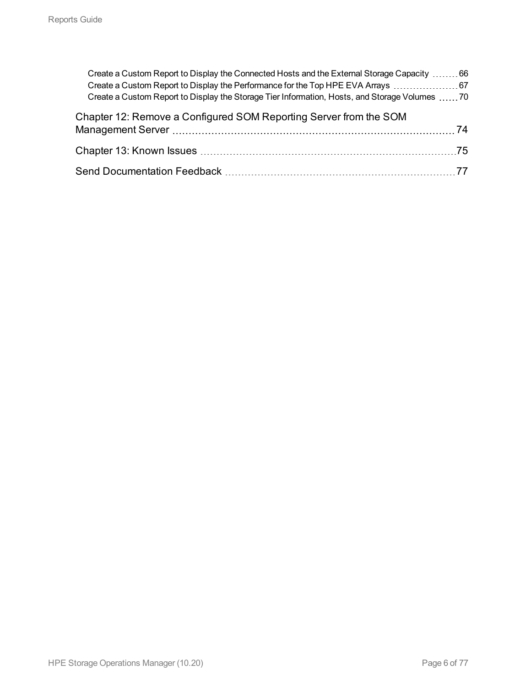| Create a Custom Report to Display the Connected Hosts and the External Storage Capacity 66<br>Create a Custom Report to Display the Performance for the Top HPE EVA Arrays  67<br>Create a Custom Report to Display the Storage Tier Information, Hosts, and Storage Volumes  70 |  |
|----------------------------------------------------------------------------------------------------------------------------------------------------------------------------------------------------------------------------------------------------------------------------------|--|
| Chapter 12: Remove a Configured SOM Reporting Server from the SOM                                                                                                                                                                                                                |  |
|                                                                                                                                                                                                                                                                                  |  |
|                                                                                                                                                                                                                                                                                  |  |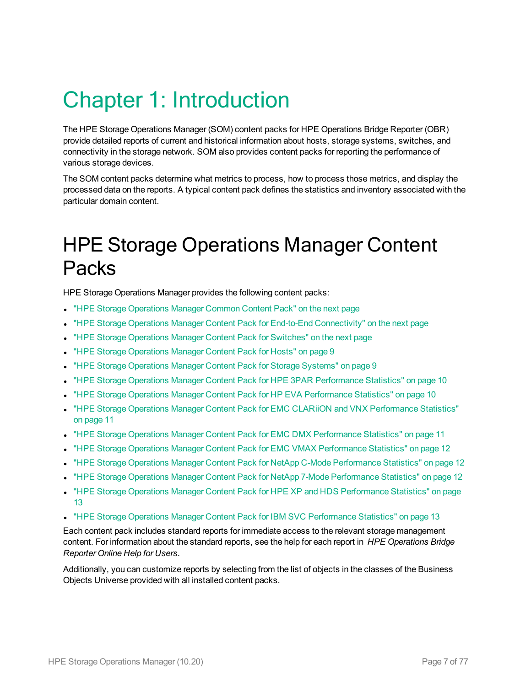# <span id="page-6-0"></span>Chapter 1: Introduction

The HPE Storage Operations Manager (SOM) content packs for HPE Operations Bridge Reporter (OBR) provide detailed reports of current and historical information about hosts, storage systems, switches, and connectivity in the storage network. SOM also provides content packs for reporting the performance of various storage devices.

The SOM content packs determine what metrics to process, how to process those metrics, and display the processed data on the reports. A typical content pack defines the statistics and inventory associated with the particular domain content.

## <span id="page-6-1"></span>HPE Storage Operations Manager Content Packs

HPE Storage Operations Manager provides the following content packs:

- "HPE Storage [Operations](#page-7-0) Manager Common Content Pack" on the next page
- "HPE Storage Operations Manager Content Pack for End-to-End [Connectivity"](#page-7-1) on the next page
- "HPE Storage [Operations](#page-7-2) Manager Content Pack for Switches" on the next page
- "HPE Storage [Operations](#page-8-0) Manager Content Pack for Hosts" on page 9
- "HPE Storage [Operations](#page-8-1) Manager Content Pack for Storage Systems" on page 9
- "HPE Storage Operations Manager Content Pack for HPE 3PAR [Performance](#page-9-0) Statistics" on page 10
- "HPE Storage Operations Manager Content Pack for HP EVA [Performance](#page-9-1) Statistics" on page 10
- "HPE Storage Operations Manager Content Pack for EMC CLARiiON and VNX [Performance](#page-10-0) Statistics" on [page](#page-10-0) 11
- "HPE Storage Operations Manager Content Pack for EMC DMX [Performance](#page-10-1) Statistics" on page 11
- "HPE Storage Operations Manager Content Pack for EMC VMAX [Performance](#page-11-0) Statistics" on page 12
- "HPE Storage Operations Manager Content Pack for NetApp C-Mode [Performance](#page-11-1) Statistics" on page 12
- "HPE Storage Operations Manager Content Pack for NetApp 7-Mode [Performance](#page-11-2) Statistics" on page 12
- "HPE Storage Operations Manager Content Pack for HPE XP and HDS [Performance](#page-12-0) Statistics" on page [13](#page-12-0)
- "HPE Storage Operations Manager Content Pack for IBM SVC [Performance](#page-12-1) Statistics" on page 13

Each content pack includes standard reports for immediate access to the relevant storage management content. For information about the standard reports, see the help for each report in *HPE Operations Bridge Reporter Online Help for Users*.

Additionally, you can customize reports by selecting from the list of objects in the classes of the Business Objects Universe provided with all installed content packs.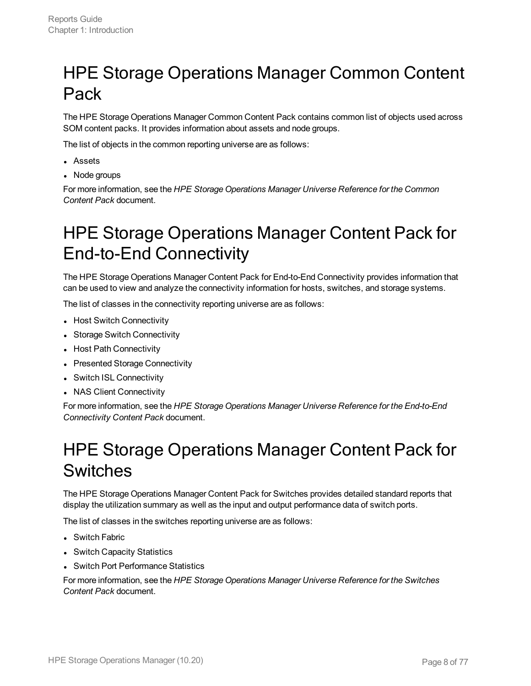## <span id="page-7-0"></span>HPE Storage Operations Manager Common Content Pack

The HPE Storage Operations Manager Common Content Pack contains common list of objects used across SOM content packs. It provides information about assets and node groups.

The list of objects in the common reporting universe are as follows:

- Assets
- Node groups

<span id="page-7-1"></span>For more information, see the *HPE Storage Operations Manager Universe Reference for the Common Content Pack* document.

## HPE Storage Operations Manager Content Pack for End-to-End Connectivity

The HPE Storage Operations Manager Content Pack for End-to-End Connectivity provides information that can be used to view and analyze the connectivity information for hosts, switches, and storage systems.

The list of classes in the connectivity reporting universe are as follows:

- Host Switch Connectivity
- Storage Switch Connectivity
- Host Path Connectivity
- Presented Storage Connectivity
- Switch ISL Connectivity
- NAS Client Connectivity

<span id="page-7-2"></span>For more information, see the *HPE Storage Operations Manager Universe Reference for the End-to-End Connectivity Content Pack* document.

### HPE Storage Operations Manager Content Pack for **Switches**

The HPE Storage Operations Manager Content Pack for Switches provides detailed standard reports that display the utilization summary as well as the input and output performance data of switch ports.

The list of classes in the switches reporting universe are as follows:

- Switch Fabric
- Switch Capacity Statistics
- Switch Port Performance Statistics

For more information, see the *HPE Storage Operations Manager Universe Reference for the Switches Content Pack* document.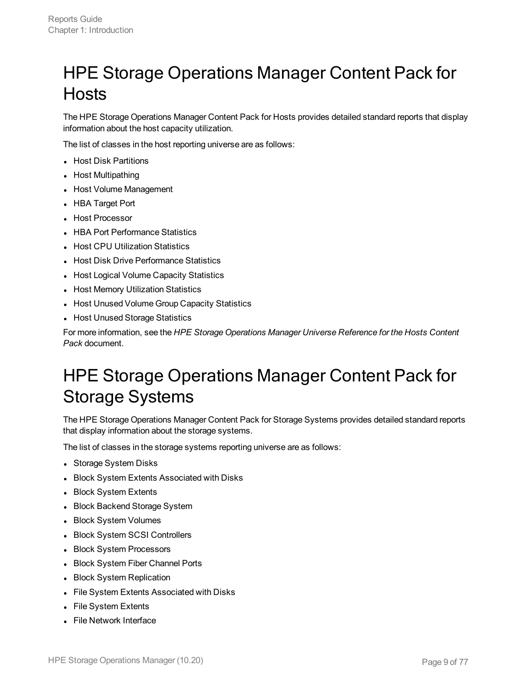## <span id="page-8-0"></span>HPE Storage Operations Manager Content Pack for Hosts

The HPE Storage Operations Manager Content Pack for Hosts provides detailed standard reports that display information about the host capacity utilization.

The list of classes in the host reporting universe are as follows:

- Host Disk Partitions
- Host Multipathing
- Host Volume Management
- HBA Target Port
- Host Processor
- HBA Port Performance Statistics
- Host CPU Utilization Statistics
- Host Disk Drive Performance Statistics
- Host Logical Volume Capacity Statistics
- Host Memory Utilization Statistics
- Host Unused Volume Group Capacity Statistics
- Host Unused Storage Statistics

<span id="page-8-1"></span>For more information, see the *HPE Storage Operations Manager Universe Reference for the Hosts Content Pack* document.

### HPE Storage Operations Manager Content Pack for Storage Systems

The HPE Storage Operations Manager Content Pack for Storage Systems provides detailed standard reports that display information about the storage systems.

The list of classes in the storage systems reporting universe are as follows:

- Storage System Disks
- Block System Extents Associated with Disks
- Block System Extents
- Block Backend Storage System
- Block System Volumes
- Block System SCSI Controllers
- Block System Processors
- Block System Fiber Channel Ports
- Block System Replication
- File System Extents Associated with Disks
- File System Extents
- File Network Interface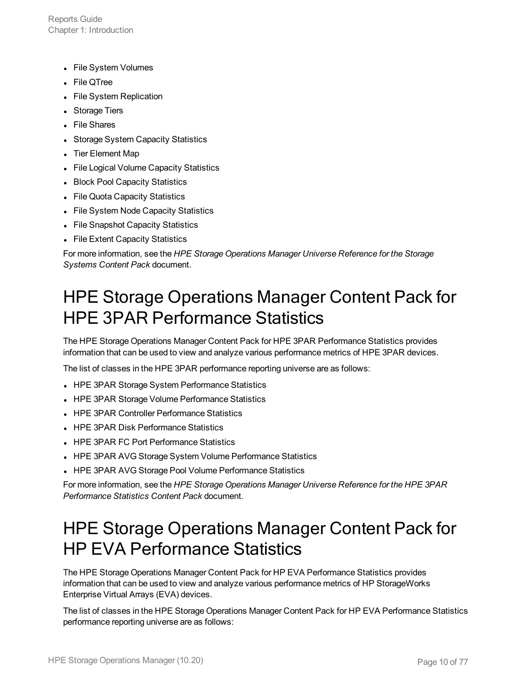- File System Volumes
- File QTree
- File System Replication
- Storage Tiers
- File Shares
- Storage System Capacity Statistics
- Tier Element Map
- File Logical Volume Capacity Statistics
- Block Pool Capacity Statistics
- File Quota Capacity Statistics
- File System Node Capacity Statistics
- File Snapshot Capacity Statistics
- File Extent Capacity Statistics

<span id="page-9-0"></span>For more information, see the *HPE Storage Operations Manager Universe Reference for the Storage Systems Content Pack* document.

## HPE Storage Operations Manager Content Pack for HPE 3PAR Performance Statistics

The HPE Storage Operations Manager Content Pack for HPE 3PAR Performance Statistics provides information that can be used to view and analyze various performance metrics of HPE 3PAR devices.

The list of classes in the HPE 3PAR performance reporting universe are as follows:

- HPE 3PAR Storage System Performance Statistics
- HPE 3PAR Storage Volume Performance Statistics
- HPE 3PAR Controller Performance Statistics
- HPE 3PAR Disk Performance Statistics
- HPE 3PAR FC Port Performance Statistics
- HPE 3PAR AVG Storage System Volume Performance Statistics
- HPE 3PAR AVG Storage Pool Volume Performance Statistics

<span id="page-9-1"></span>For more information, see the *HPE Storage Operations Manager Universe Reference for the HPE 3PAR Performance Statistics Content Pack* document.

## HPE Storage Operations Manager Content Pack for HP EVA Performance Statistics

The HPE Storage Operations Manager Content Pack for HP EVA Performance Statistics provides information that can be used to view and analyze various performance metrics of HP StorageWorks Enterprise Virtual Arrays (EVA) devices.

The list of classes in the HPE Storage Operations Manager Content Pack for HP EVA Performance Statistics performance reporting universe are as follows: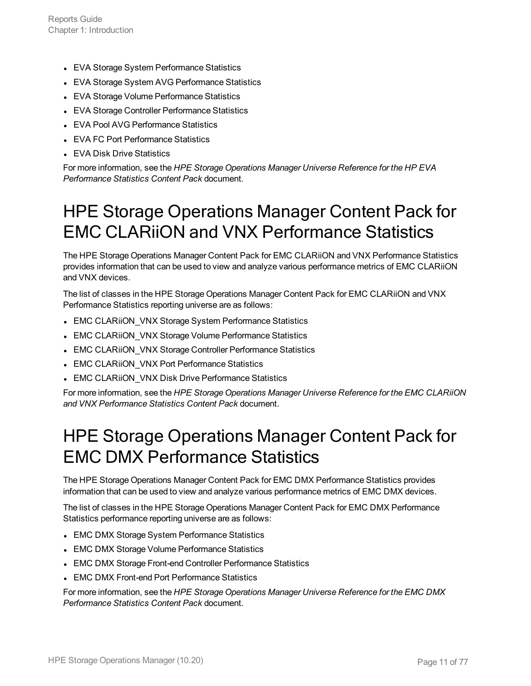- EVA Storage System Performance Statistics
- EVA Storage System AVG Performance Statistics
- EVA Storage Volume Performance Statistics
- EVA Storage Controller Performance Statistics
- EVA Pool AVG Performance Statistics
- EVA FC Port Performance Statistics
- EVA Disk Drive Statistics

<span id="page-10-0"></span>For more information, see the *HPE Storage Operations Manager Universe Reference for the HP EVA Performance Statistics Content Pack* document.

## HPE Storage Operations Manager Content Pack for EMC CLARiiON and VNX Performance Statistics

The HPE Storage Operations Manager Content Pack for EMC CLARiiON and VNX Performance Statistics provides information that can be used to view and analyze various performance metrics of EMC CLARiiON and VNX devices.

The list of classes in the HPE Storage Operations Manager Content Pack for EMC CLARiiON and VNX Performance Statistics reporting universe are as follows:

- EMC CLARiiON\_VNX Storage System Performance Statistics
- EMC CLARiiON\_VNX Storage Volume Performance Statistics
- EMC CLARiiON\_VNX Storage Controller Performance Statistics
- EMC CLARiiON\_VNX Port Performance Statistics
- EMC CLARiiON\_VNX Disk Drive Performance Statistics

<span id="page-10-1"></span>For more information, see the *HPE Storage Operations Manager Universe Reference for the EMC CLARiiON and VNX Performance Statistics Content Pack* document.

### HPE Storage Operations Manager Content Pack for EMC DMX Performance Statistics

The HPE Storage Operations Manager Content Pack for EMC DMX Performance Statistics provides information that can be used to view and analyze various performance metrics of EMC DMX devices.

The list of classes in the HPE Storage Operations Manager Content Pack for EMC DMX Performance Statistics performance reporting universe are as follows:

- EMC DMX Storage System Performance Statistics
- EMC DMX Storage Volume Performance Statistics
- EMC DMX Storage Front-end Controller Performance Statistics
- EMC DMX Front-end Port Performance Statistics

For more information, see the *HPE Storage Operations Manager Universe Reference for the EMC DMX Performance Statistics Content Pack* document.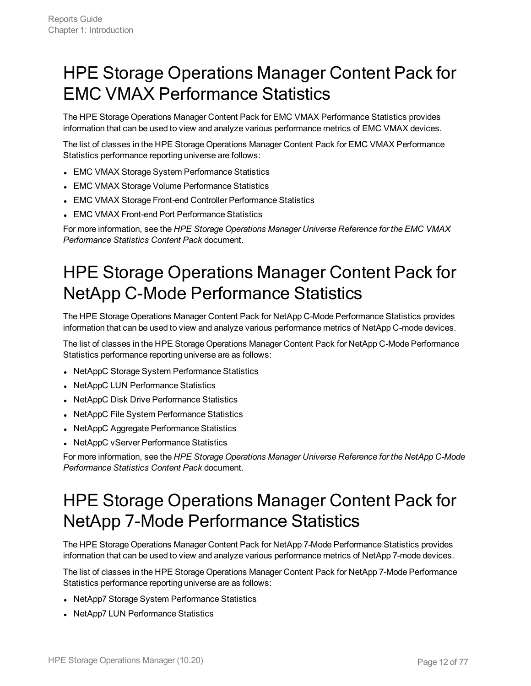## <span id="page-11-0"></span>HPE Storage Operations Manager Content Pack for EMC VMAX Performance Statistics

The HPE Storage Operations Manager Content Pack for EMC VMAX Performance Statistics provides information that can be used to view and analyze various performance metrics of EMC VMAX devices.

The list of classes in the HPE Storage Operations Manager Content Pack for EMC VMAX Performance Statistics performance reporting universe are follows:

- EMC VMAX Storage System Performance Statistics
- EMC VMAX Storage Volume Performance Statistics
- EMC VMAX Storage Front-end Controller Performance Statistics
- EMC VMAX Front-end Port Performance Statistics

<span id="page-11-1"></span>For more information, see the *HPE Storage Operations Manager Universe Reference for the EMC VMAX Performance Statistics Content Pack* document.

## HPE Storage Operations Manager Content Pack for NetApp C-Mode Performance Statistics

The HPE Storage Operations Manager Content Pack for NetApp C-Mode Performance Statistics provides information that can be used to view and analyze various performance metrics of NetApp C-mode devices.

The list of classes in the HPE Storage Operations Manager Content Pack for NetApp C-Mode Performance Statistics performance reporting universe are as follows:

- NetAppC Storage System Performance Statistics
- NetAppC LUN Performance Statistics
- NetAppC Disk Drive Performance Statistics
- NetAppC File System Performance Statistics
- NetAppC Aggregate Performance Statistics
- NetAppC vServer Performance Statistics

<span id="page-11-2"></span>For more information, see the *HPE Storage Operations Manager Universe Reference for the NetApp C-Mode Performance Statistics Content Pack* document.

## HPE Storage Operations Manager Content Pack for NetApp 7-Mode Performance Statistics

The HPE Storage Operations Manager Content Pack for NetApp 7-Mode Performance Statistics provides information that can be used to view and analyze various performance metrics of NetApp 7-mode devices.

The list of classes in the HPE Storage Operations Manager Content Pack for NetApp 7-Mode Performance Statistics performance reporting universe are as follows:

- NetApp7 Storage System Performance Statistics
- NetApp7 LUN Performance Statistics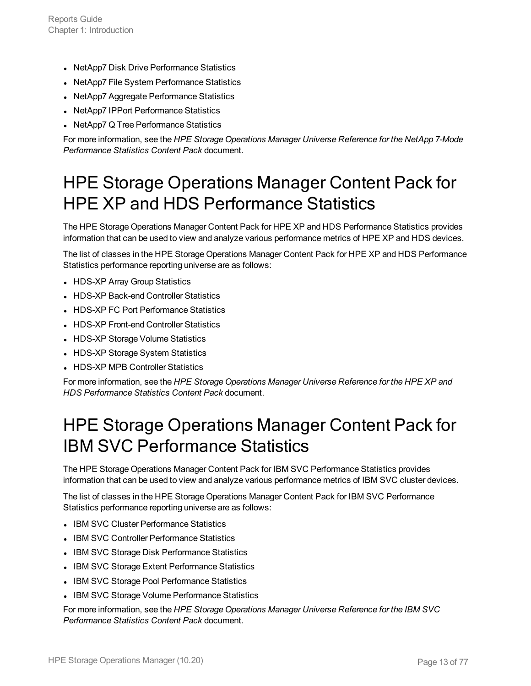- NetApp7 Disk Drive Performance Statistics
- NetApp7 File System Performance Statistics
- NetApp7 Aggregate Performance Statistics
- NetApp7 IPPort Performance Statistics
- NetApp7 Q Tree Performance Statistics

<span id="page-12-0"></span>For more information, see the *HPE Storage Operations Manager Universe Reference for the NetApp 7-Mode Performance Statistics Content Pack* document.

## HPE Storage Operations Manager Content Pack for HPE XP and HDS Performance Statistics

The HPE Storage Operations Manager Content Pack for HPE XP and HDS Performance Statistics provides information that can be used to view and analyze various performance metrics of HPE XP and HDS devices.

The list of classes in the HPE Storage Operations Manager Content Pack for HPE XP and HDS Performance Statistics performance reporting universe are as follows:

- HDS-XP Array Group Statistics
- HDS-XP Back-end Controller Statistics
- HDS-XP FC Port Performance Statistics
- HDS-XP Front-end Controller Statistics
- HDS-XP Storage Volume Statistics
- HDS-XP Storage System Statistics
- HDS-XP MPB Controller Statistics

<span id="page-12-1"></span>For more information, see the *HPE Storage Operations Manager Universe Reference for the HPE XP and HDS Performance Statistics Content Pack* document.

### HPE Storage Operations Manager Content Pack for IBM SVC Performance Statistics

The HPE Storage Operations Manager Content Pack for IBM SVC Performance Statistics provides information that can be used to view and analyze various performance metrics of IBM SVC cluster devices.

The list of classes in the HPE Storage Operations Manager Content Pack for IBM SVC Performance Statistics performance reporting universe are as follows:

- IBM SVC Cluster Performance Statistics
- IBM SVC Controller Performance Statistics
- IBM SVC Storage Disk Performance Statistics
- IBM SVC Storage Extent Performance Statistics
- IBM SVC Storage Pool Performance Statistics
- IBM SVC Storage Volume Performance Statistics

For more information, see the *HPE Storage Operations Manager Universe Reference for the IBM SVC Performance Statistics Content Pack* document.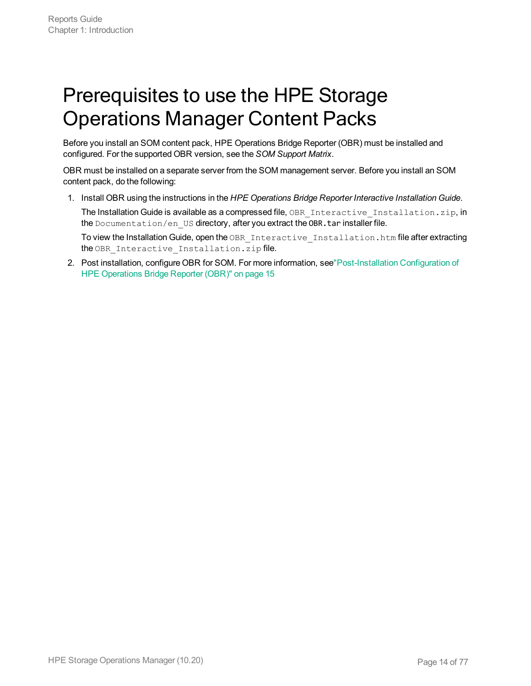## <span id="page-13-0"></span>Prerequisites to use the HPE Storage Operations Manager Content Packs

Before you install an SOM content pack, HPE Operations Bridge Reporter (OBR) must be installed and configured. For the supported OBR version, see the *SOM Support Matrix*.

OBR must be installed on a separate server from the SOM management server. Before you install an SOM content pack, do the following:

1. Install OBR using the instructions in the *HPE Operations Bridge Reporter Interactive Installation Guide*. The Installation Guide is available as a compressed file, OBR Interactive Installation.zip, in the Documentation/en\_US directory, after you extract the OBR.tar installer file.

To view the Installation Guide, open the OBR Interactive Installation.htm file after extracting the OBR Interactive Installation.zip file.

2. Post installation, configure OBR for SOM. For more information, se[e"Post-Installation](#page-14-0) Configuration of HPE [Operations](#page-14-0) Bridge Reporter (OBR)" on page 15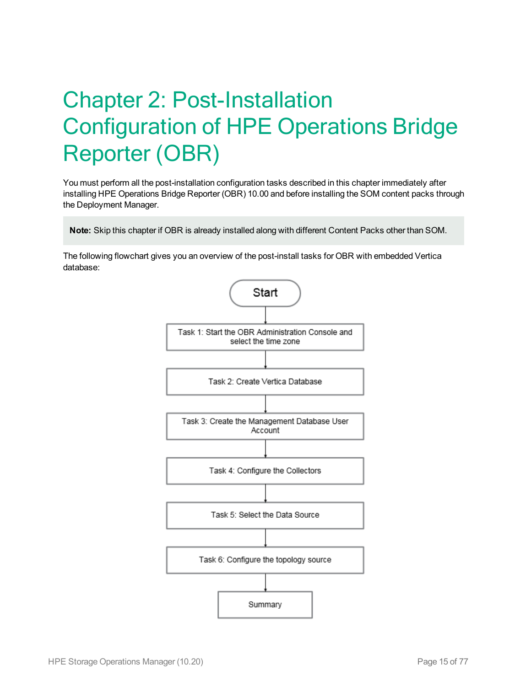## <span id="page-14-0"></span>Chapter 2: Post-Installation Configuration of HPE Operations Bridge Reporter (OBR)

You must perform all the post-installation configuration tasks described in this chapter immediately after installing HPE Operations Bridge Reporter (OBR) 10.00 and before installing the SOM content packs through the Deployment Manager.

**Note:** Skip this chapter if OBR is already installed along with different Content Packs other than SOM.

The following flowchart gives you an overview of the post-install tasks for OBR with embedded Vertica database:

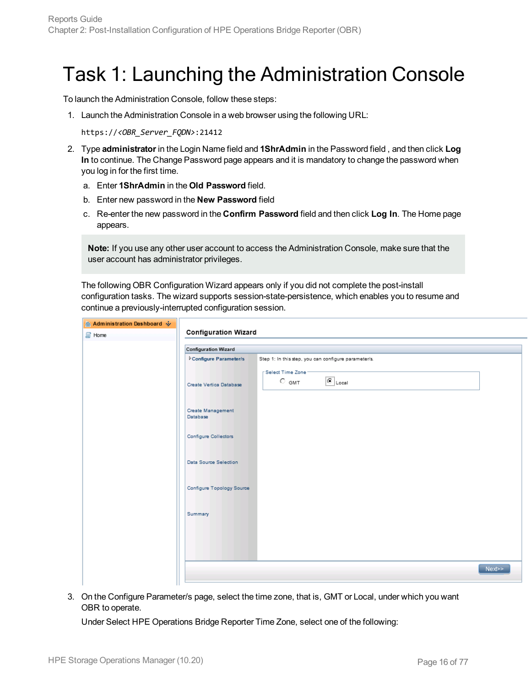## <span id="page-15-0"></span>Task 1: Launching the Administration Console

To launch the Administration Console, follow these steps:

1. Launch the Administration Console in a web browser using the following URL:

<span id="page-15-1"></span>https://*<OBR\_Server\_FQDN>*:21412

- 2. Type **administrator** in the Login Name field and **1ShrAdmin** in the Password field , and then click **Log In** to continue. The Change Password page appears and it is mandatory to change the password when you log in for the first time.
	- a. Enter **1ShrAdmin** in the **Old Password** field.
	- b. Enter new password in the **New Password** field
	- c. Re-enter the new password in the **Confirm Password** field and then click **Log In**. The Home page appears.

**Note:** If you use any other user account to access the Administration Console, make sure that the user account has administrator privileges.

The following OBR Configuration Wizard appears only if you did not complete the post-install configuration tasks. The wizard supports session-state-persistence, which enables you to resume and continue a previously-interrupted configuration session.

| <b>Configuration Wizard</b>   |                                                              |
|-------------------------------|--------------------------------------------------------------|
| Configure Parameter/s         | Step 1: In this step, you can configure parameter/s.         |
| Create Vertica Database       | r Select Time Zone -<br>$\boxed{\odot}$ Local<br>$\circ$ gmt |
| Create Management<br>Database |                                                              |
| Configure Collectors          |                                                              |
| Data Source Selection         |                                                              |
| Configure Topology Source     |                                                              |
| Summary                       |                                                              |
|                               |                                                              |

3. On the Configure Parameter/s page, select the time zone, that is, GMT or Local, under which you want OBR to operate.

Under Select HPE Operations Bridge Reporter Time Zone, select one of the following: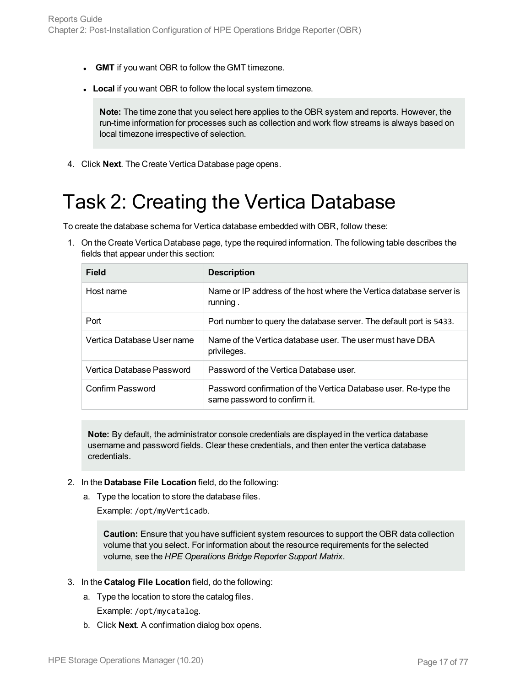- **GMT** if you want OBR to follow the GMT timezone.
- Local if you want OBR to follow the local system timezone.

**Note:** The time zone that you select here applies to the OBR system and reports. However, the run-time information for processes such as collection and work flow streams is always based on local timezone irrespective of selection.

<span id="page-16-0"></span>4. Click **Next**. The Create Vertica Database page opens.

## Task 2: Creating the Vertica Database

To create the database schema for Vertica database embedded with OBR, follow these:

1. On the Create Vertica Database page, type the required information. The following table describes the fields that appear under this section:

| Field                      | <b>Description</b>                                                                              |  |
|----------------------------|-------------------------------------------------------------------------------------------------|--|
| Host name                  | Name or IP address of the host where the Vertica database server is<br>running.                 |  |
| Port                       | Port number to query the database server. The default port is 5433.                             |  |
| Vertica Database User name | Name of the Vertica database user. The user must have DBA<br>privileges.                        |  |
| Vertica Database Password  | Password of the Vertica Database user.                                                          |  |
| Confirm Password           | Password confirmation of the Vertica Database user. Re-type the<br>same password to confirm it. |  |

**Note:** By default, the administrator console credentials are displayed in the vertica database username and password fields. Clear these credentials, and then enter the vertica database credentials.

- 2. In the **Database File Location** field, do the following:
	- a. Type the location to store the database files.

Example: /opt/myVerticadb.

**Caution:** Ensure that you have sufficient system resources to support the OBR data collection volume that you select. For information about the resource requirements for the selected volume, see the *HPE Operations Bridge Reporter Support Matrix*.

- 3. In the **Catalog File Location** field, do the following:
	- a. Type the location to store the catalog files.
		- Example: /opt/mycatalog.
	- b. Click **Next**. A confirmation dialog box opens.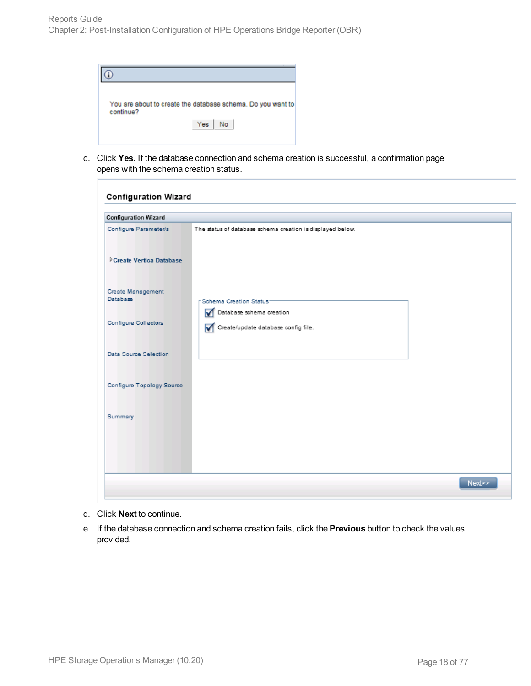| continue? | You are about to create the database schema. Do you want to |
|-----------|-------------------------------------------------------------|
|           | Yes<br><b>No</b>                                            |

c. Click **Yes**. If the database connection and schema creation is successful, a confirmation page opens with the schema creation status.

| Configure Parameter/s<br>Create Vertica Database<br>Create Management | The status of database schema creation is displayed below. |
|-----------------------------------------------------------------------|------------------------------------------------------------|
|                                                                       |                                                            |
|                                                                       |                                                            |
| Database                                                              | Schema Creation Status-<br>Database schema creation        |
| Configure Collectors                                                  | Create/update database config file.                        |
| Data Source Selection                                                 |                                                            |
| Configure Topology Source                                             |                                                            |
| Summary                                                               |                                                            |
|                                                                       |                                                            |
|                                                                       |                                                            |

d. Click **Next** to continue.

Г

e. If the database connection and schema creation fails, click the **Previous** button to check the values provided.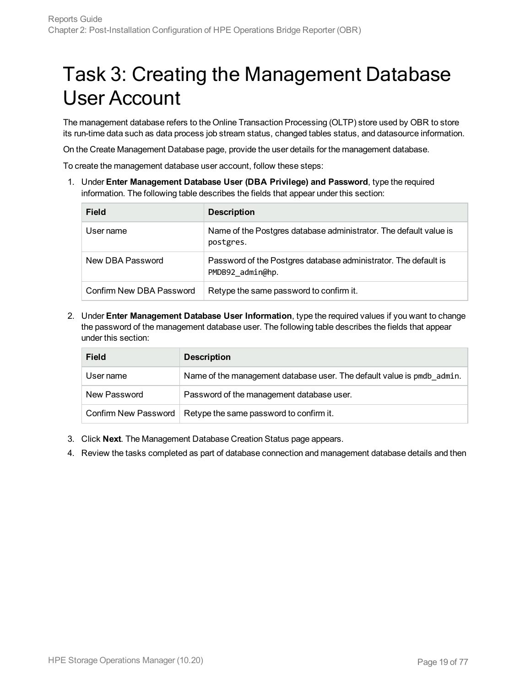## <span id="page-18-0"></span>Task 3: Creating the Management Database User Account

The management database refers to the Online Transaction Processing (OLTP) store used by OBR to store its run-time data such as data process job stream status, changed tables status, and datasource information.

On the Create Management Database page, provide the user details for the management database.

To create the management database user account, follow these steps:

1. Under **Enter Management Database User (DBA Privilege) and Password**, type the required information. The following table describes the fields that appear under this section:

| <b>Field</b>             | <b>Description</b>                                                                  |
|--------------------------|-------------------------------------------------------------------------------------|
| User name                | Name of the Postgres database administrator. The default value is<br>postgres.      |
| New DBA Password         | Password of the Postgres database administrator. The default is<br>PMDB92 admin@hp. |
| Confirm New DBA Password | Retype the same password to confirm it.                                             |

2. Under **Enter Management Database User Information**, type the required values if you want to change the password of the management database user. The following table describes the fields that appear under this section:

| <b>Field</b> | <b>Description</b>                                                     |  |  |
|--------------|------------------------------------------------------------------------|--|--|
| User name    | Name of the management database user. The default value is pmdb admin. |  |  |
| New Password | Password of the management database user.                              |  |  |
|              | Confirm New Password   Retype the same password to confirm it.         |  |  |

- 3. Click **Next**. The Management Database Creation Status page appears.
- 4. Review the tasks completed as part of database connection and management database details and then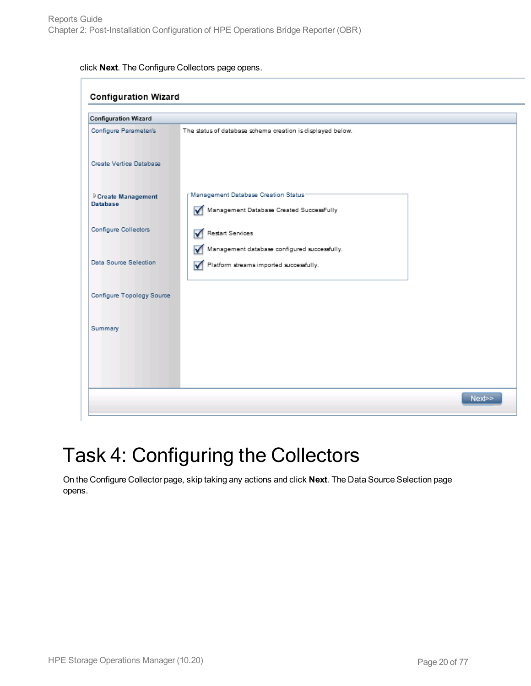|  | click Next. The Configure Collectors page opens. |  |  |
|--|--------------------------------------------------|--|--|
|--|--------------------------------------------------|--|--|

| <b>Configuration Wizard</b>          |                                                                                              |  |
|--------------------------------------|----------------------------------------------------------------------------------------------|--|
| Configure Parameter/s                | The status of database schema creation is displayed below.                                   |  |
| Create Vertica Database              |                                                                                              |  |
| Create Management<br><b>Database</b> | Management Database Creation Status-<br>Management Database Created SuccessFully<br>☑        |  |
| Configure Collectors                 | Restart Services                                                                             |  |
| Data Source Selection                | Management database configured successfully.<br>Platform streams imported successfully.<br>☑ |  |
| Configure Topology Source            |                                                                                              |  |
| Summary                              |                                                                                              |  |
|                                      |                                                                                              |  |
|                                      |                                                                                              |  |
|                                      | Next>>                                                                                       |  |

## <span id="page-19-0"></span>Task 4: Configuring the Collectors

On the Configure Collector page, skip taking any actions and click **Next**. The Data Source Selection page opens.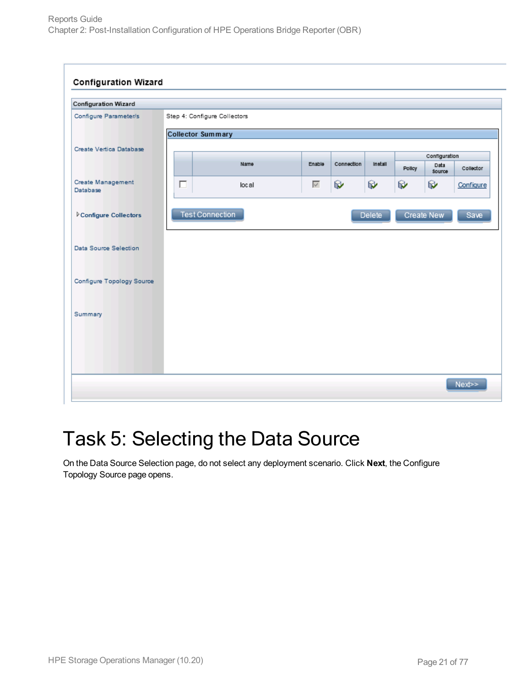

## <span id="page-20-0"></span>Task 5: Selecting the Data Source

On the Data Source Selection page, do not select any deployment scenario. Click **Next**, the Configure Topology Source page opens.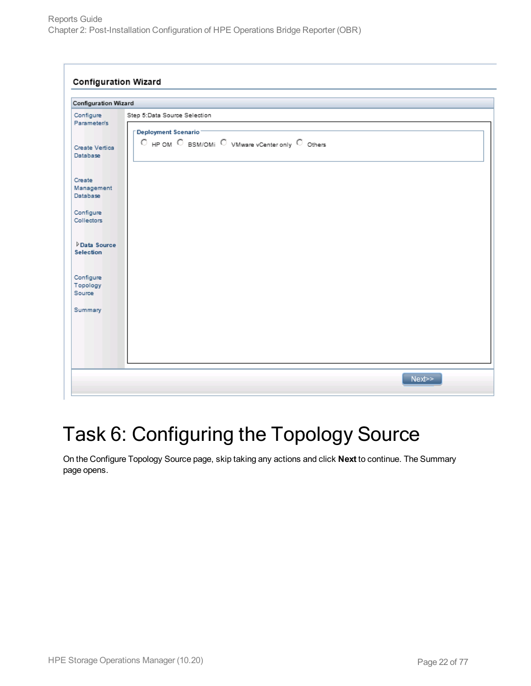| <b>Configuration Wizard</b>      |                                                                                                                                                         |
|----------------------------------|---------------------------------------------------------------------------------------------------------------------------------------------------------|
| Configure<br>Parameter/s         | Step 5:Data Source Selection                                                                                                                            |
| Create Vertica<br>Database       | Deployment Scenario<br>$\overline{\text{C}}$ HP OM $\overline{\text{C}}$ BSM/OMi $\overline{\text{C}}$ VMware vCenter only $\overline{\text{C}}$ Others |
| Create<br>Management<br>Database |                                                                                                                                                         |
| Configure<br>Collectors          |                                                                                                                                                         |
| Data Source<br><b>Selection</b>  |                                                                                                                                                         |
| Configure<br>Topology<br>Source  |                                                                                                                                                         |
| Summary                          |                                                                                                                                                         |
|                                  |                                                                                                                                                         |

## <span id="page-21-0"></span>Task 6: Configuring the Topology Source

On the Configure Topology Source page, skip taking any actions and click **Next** to continue. The Summary page opens.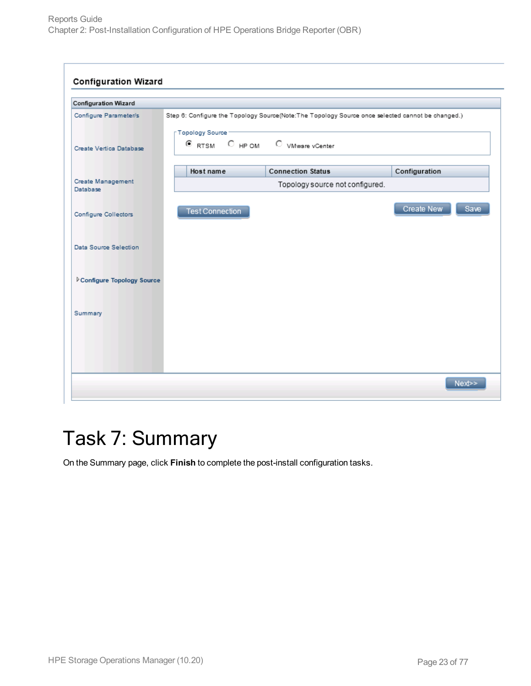| Configure Parameter/s<br>Step 6: Configure the Topology Source(Note:The Topology Source once selected cannot be changed.)<br>Topology Source -<br><b>E</b> RTSM C HP OM C VMware vCenter<br>Create Vertica Database<br><b>Connection Status</b><br>Configuration<br>Host name<br>Create Management<br>Topology source not configured.<br>Database<br>Create New<br><b>Test Connection</b><br>Configure Collectors<br>Data Source Selection<br>Configure Topology Source<br>Summary | <b>Configuration Wizard</b> |  |      |
|------------------------------------------------------------------------------------------------------------------------------------------------------------------------------------------------------------------------------------------------------------------------------------------------------------------------------------------------------------------------------------------------------------------------------------------------------------------------------------|-----------------------------|--|------|
|                                                                                                                                                                                                                                                                                                                                                                                                                                                                                    |                             |  |      |
|                                                                                                                                                                                                                                                                                                                                                                                                                                                                                    |                             |  |      |
|                                                                                                                                                                                                                                                                                                                                                                                                                                                                                    |                             |  |      |
|                                                                                                                                                                                                                                                                                                                                                                                                                                                                                    |                             |  |      |
|                                                                                                                                                                                                                                                                                                                                                                                                                                                                                    |                             |  | Save |
|                                                                                                                                                                                                                                                                                                                                                                                                                                                                                    |                             |  |      |
|                                                                                                                                                                                                                                                                                                                                                                                                                                                                                    |                             |  |      |
|                                                                                                                                                                                                                                                                                                                                                                                                                                                                                    |                             |  |      |
|                                                                                                                                                                                                                                                                                                                                                                                                                                                                                    |                             |  |      |

## <span id="page-22-0"></span>Task 7: Summary

On the Summary page, click **Finish** to complete the post-install configuration tasks.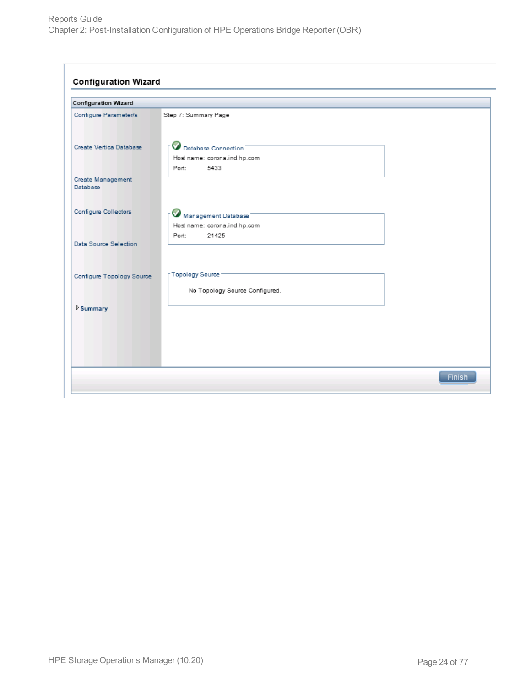| <b>Configuration Wizard</b>   |                                                                       |  |
|-------------------------------|-----------------------------------------------------------------------|--|
| Configure Parameter/s         | Step 7: Summary Page                                                  |  |
| Create Vertica Database       | Database Connection<br>Host name: corona.ind.hp.com<br>Port:<br>5433  |  |
| Create Management<br>Database |                                                                       |  |
| Configure Collectors          | Management Database<br>Host name: corona.ind.hp.com<br>Port:<br>21425 |  |
| Data Source Selection         |                                                                       |  |
| Configure Topology Source     | Topology Source<br>No Topology Source Configured.                     |  |
| <b>D</b> Summary              |                                                                       |  |
|                               |                                                                       |  |
|                               |                                                                       |  |
|                               |                                                                       |  |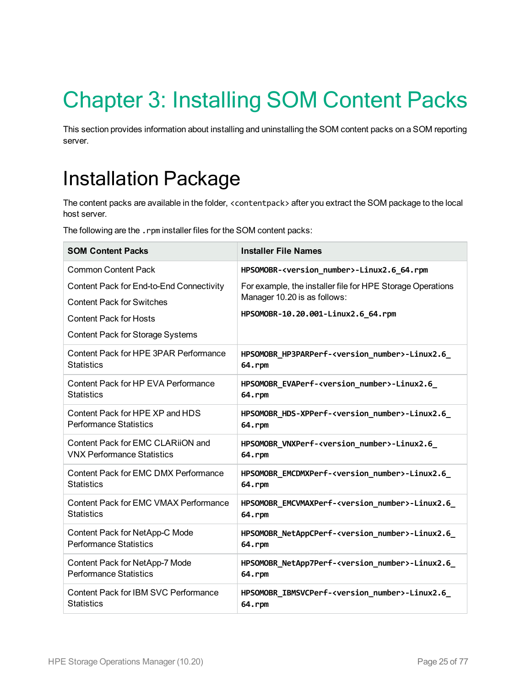# <span id="page-24-0"></span>Chapter 3: Installing SOM Content Packs

<span id="page-24-1"></span>This section provides information about installing and uninstalling the SOM content packs on a SOM reporting server.

## Installation Package

The content packs are available in the folder, <contentpack> after you extract the SOM package to the local host server.

The following are the .rpm installer files for the SOM content packs:

| <b>SOM Content Packs</b>                 | <b>Installer File Names</b>                                       |  |
|------------------------------------------|-------------------------------------------------------------------|--|
| <b>Common Content Pack</b>               | HPSOMOBR- <version number="">-Linux2.6 64.rpm</version>           |  |
| Content Pack for End-to-End Connectivity | For example, the installer file for HPE Storage Operations        |  |
| <b>Content Pack for Switches</b>         | Manager 10.20 is as follows:                                      |  |
| <b>Content Pack for Hosts</b>            | HPSOMOBR-10.20.001-Linux2.6_64.rpm                                |  |
| <b>Content Pack for Storage Systems</b>  |                                                                   |  |
| Content Pack for HPE 3PAR Performance    | HPSOMOBR HP3PARPerf- <version number="">-Linux2.6</version>       |  |
| <b>Statistics</b>                        | 64.rpm                                                            |  |
| Content Pack for HP EVA Performance      | HPSOMOBR EVAPerf- <version number="">-Linux2.6</version>          |  |
| <b>Statistics</b>                        | 64.rpm                                                            |  |
| Content Pack for HPE XP and HDS          | HPSOMOBR HDS-XPPerf- <version number="">-Linux2.6</version>       |  |
| <b>Performance Statistics</b>            | 64.rpm                                                            |  |
| Content Pack for EMC CLARIION and        | HPSOMOBR_VNXPerf- <version_number>-Linux2.6_</version_number>     |  |
| <b>VNX Performance Statistics</b>        | 64.rpm                                                            |  |
| Content Pack for EMC DMX Performance     | HPSOMOBR_EMCDMXPerf- <version_number>-Linux2.6_</version_number>  |  |
| <b>Statistics</b>                        | 64.rpm                                                            |  |
| Content Pack for EMC VMAX Performance    | HPSOMOBR_EMCVMAXPerf- <version_number>-Linux2.6_</version_number> |  |
| <b>Statistics</b>                        | 64.rpm                                                            |  |
| Content Pack for NetApp-C Mode           | HPSOMOBR_NetAppCPerf- <version_number>-Linux2.6_</version_number> |  |
| <b>Performance Statistics</b>            | 64.rpm                                                            |  |
| Content Pack for NetApp-7 Mode           | HPSOMOBR_NetApp7Perf- <version_number>-Linux2.6_</version_number> |  |
| <b>Performance Statistics</b>            | 64.rpm                                                            |  |
| Content Pack for IBM SVC Performance     | HPSOMOBR_IBMSVCPerf- <version_number>-Linux2.6_</version_number>  |  |
| <b>Statistics</b>                        | 64.rpm                                                            |  |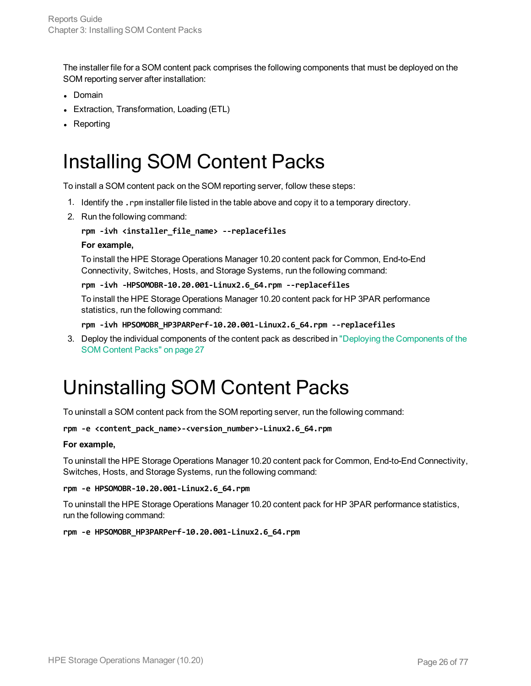The installer file for a SOM content pack comprises the following components that must be deployed on the SOM reporting server after installation:

- Domain
- Extraction, Transformation, Loading (ETL)
- <span id="page-25-0"></span> $\bullet$  Reporting

## Installing SOM Content Packs

To install a SOM content pack on the SOM reporting server, follow these steps:

- 1. Identify the .rpm installer file listed in the table above and copy it to a temporary directory.
- 2. Run the following command:

```
rpm -ivh <installer_file_name> --replacefiles
```
#### **For example,**

To install the HPE Storage Operations Manager 10.20 content pack for Common, End-to-End Connectivity, Switches, Hosts, and Storage Systems, run the following command:

```
rpm -ivh -HPSOMOBR-10.20.001-Linux2.6_64.rpm --replacefiles
```
To install the HPE Storage Operations Manager 10.20 content pack for HP 3PAR performance statistics, run the following command:

```
rpm -ivh HPSOMOBR_HP3PARPerf-10.20.001-Linux2.6_64.rpm --replacefiles
```
<span id="page-25-1"></span>3. Deploy the individual components of the content pack as described in "Deploying the [Components](#page-26-0) of the SOM [Content](#page-26-0) Packs" on page 27

## Uninstalling SOM Content Packs

To uninstall a SOM content pack from the SOM reporting server, run the following command:

```
rpm -e <content_pack_name>-<version_number>-Linux2.6_64.rpm
```
### **For example,**

To uninstall the HPE Storage Operations Manager 10.20 content pack for Common, End-to-End Connectivity, Switches, Hosts, and Storage Systems, run the following command:

**rpm -e HPSOMOBR-10.20.001-Linux2.6\_64.rpm**

To uninstall the HPE Storage Operations Manager 10.20 content pack for HP 3PAR performance statistics, run the following command:

**rpm -e HPSOMOBR\_HP3PARPerf-10.20.001-Linux2.6\_64.rpm**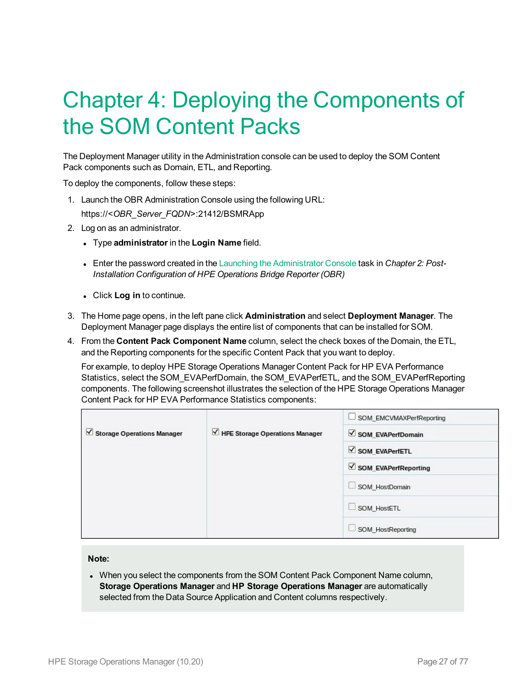## <span id="page-26-0"></span>Chapter 4: Deploying the Components of the SOM Content Packs

The Deployment Manager utility in the Administration console can be used to deploy the SOM Content Pack components such as Domain, ETL, and Reporting.

To deploy the components, follow these steps:

- 1. Launch the OBR Administration Console using the following URL: https://<*OBR\_Server\_FQDN*>:21412/BSMRApp
- 2. Log on as an administrator.
	- <sup>l</sup> Type **administrator** in the **Login Name** field.
	- Enter the password created in the Launching the [Administrator](#page-15-1) Console task in *Chapter* 2: Post-*Installation Configuration of HPE Operations Bridge Reporter (OBR)*
	- <sup>l</sup> Click **Log in** to continue.
- 3. The Home page opens, in the left pane click **Administration** and select **Deployment Manager**. The Deployment Manager page displays the entire list of components that can be installed for SOM.
- 4. From the **Content Pack Component Name** column, select the check boxes of the Domain, the ETL, and the Reporting components for the specific Content Pack that you want to deploy.

For example, to deploy HPE Storage Operations Manager Content Pack for HP EVA Performance Statistics, select the SOM\_EVAPerfDomain, the SOM\_EVAPerfETL, and the SOM\_EVAPerfReporting components. The following screenshot illustrates the selection of the HPE Storage Operations Manager Content Pack for HP EVA Performance Statistics components:

|                            |                                | SOM_EMCVMAXPerfReporting |
|----------------------------|--------------------------------|--------------------------|
| Storage Operations Manager | HPE Storage Operations Manager | SOM EVAPerfDomain        |
|                            |                                | SOM EVAPerfETL           |
|                            |                                | SOM_EVAPerfReporting     |
|                            |                                | SOM_HostDomain<br>o a    |
|                            |                                | 91<br>SOM_HostETL        |
|                            |                                | SOM_HostReporting        |

#### **Note:**

• When you select the components from the SOM Content Pack Component Name column, **Storage Operations Manager** and **HP Storage Operations Manager** are automatically selected from the Data Source Application and Content columns respectively.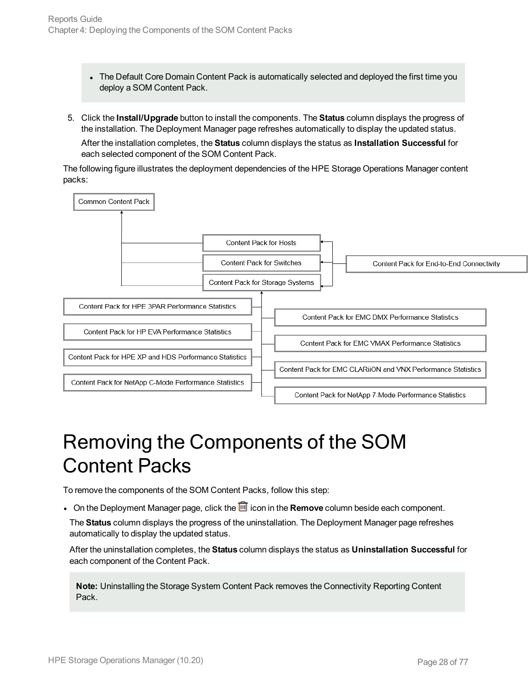- The Default Core Domain Content Pack is automatically selected and deployed the first time you deploy a SOM Content Pack.
- 5. Click the **Install/Upgrade** button to install the components. The **Status** column displays the progress of the installation. The Deployment Manager page refreshes automatically to display the updated status.

After the installation completes, the **Status** column displays the status as **Installation Successful** for each selected component of the SOM Content Pack.

The following figure illustrates the deployment dependencies of the HPE Storage Operations Manager content packs:



## <span id="page-27-0"></span>Removing the Components of the SOM Content Packs

To remove the components of the SOM Content Packs, follow this step:

• On the Deployment Manager page, click the **in** icon in the **Remove** column beside each component.

The **Status** column displays the progress of the uninstallation. The Deployment Manager page refreshes automatically to display the updated status.

After the uninstallation completes, the **Status** column displays the status as **Uninstallation Successful** for each component of the Content Pack.

**Note:** Uninstalling the Storage System Content Pack removes the Connectivity Reporting Content Pack.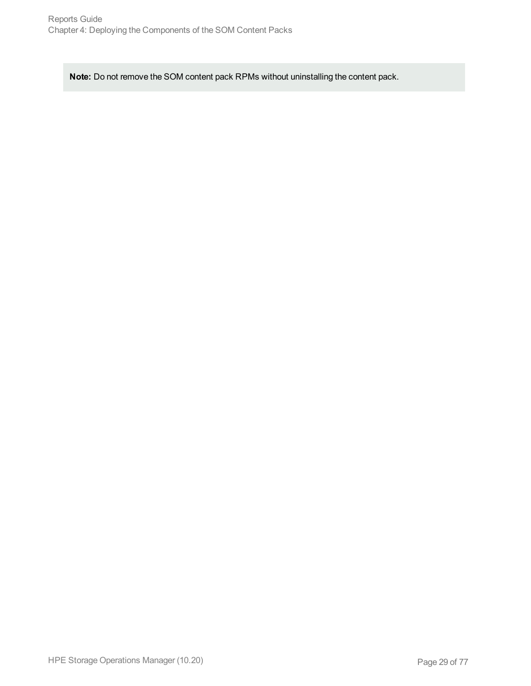**Note:** Do not remove the SOM content pack RPMs without uninstalling the content pack.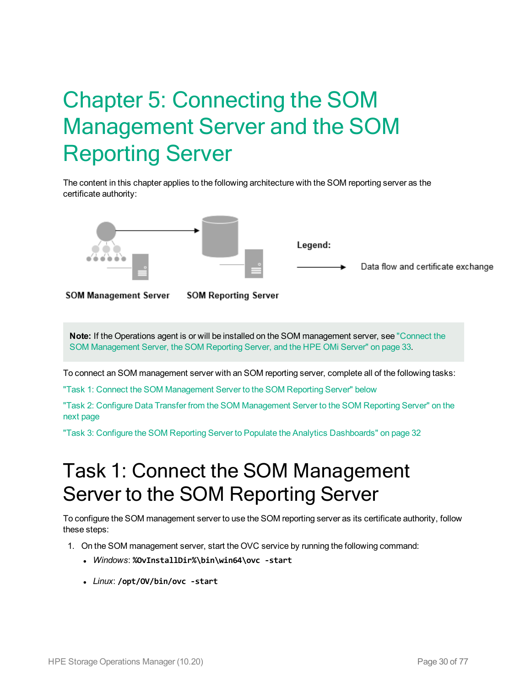## <span id="page-29-0"></span>Chapter 5: Connecting the SOM Management Server and the SOM Reporting Server

The content in this chapter applies to the following architecture with the SOM reporting server as the certificate authority:



**SOM Management Server SOM Reporting Server** 

**Note:** If the Operations agent is or will be installed on the SOM management server, see ["Connect](#page-32-0) the SOM [Management](#page-32-0) Server, the SOM Reporting Server, and the HPE OMi Server" on page 33.

To connect an SOM management server with an SOM reporting server, complete all of the following tasks:

"Task 1: Connect the SOM [Management](#page-29-1) Server to the SOM Reporting Server" below

"Task 2: Configure Data Transfer from the SOM [Management](#page-30-0) Server to the SOM Reporting Server" on the next [page](#page-30-0)

<span id="page-29-1"></span>"Task 3: Configure the SOM Reporting Server to Populate the Analytics [Dashboards"](#page-31-0) on page 32

## Task 1: Connect the SOM Management Server to the SOM Reporting Server

To configure the SOM management server to use the SOM reporting server as its certificate authority, follow these steps:

- 1. On the SOM management server, start the OVC service by running the following command:
	- <sup>l</sup> *Windows*: **%OvInstallDir%\bin\win64\ovc -start**
	- <sup>l</sup> *Linux*: **/opt/OV/bin/ovc -start**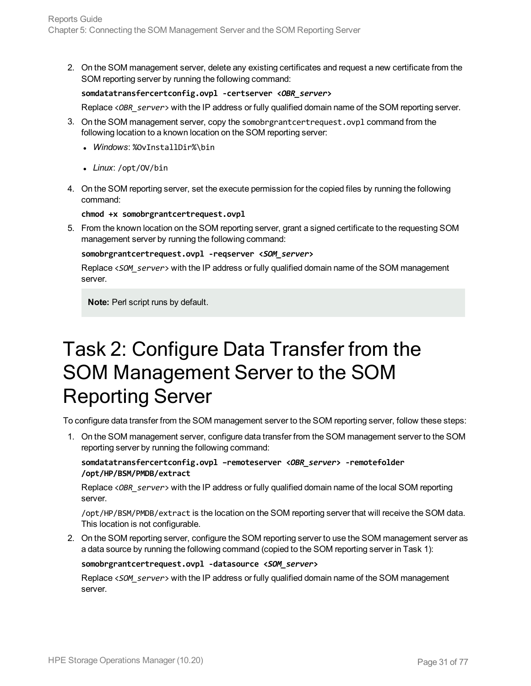2. On the SOM management server, delete any existing certificates and request a new certificate from the SOM reporting server by running the following command:

### **somdatatransfercertconfig.ovpl -certserver <***OBR\_server***>**

Replace <*OBR\_server*> with the IP address or fully qualified domain name of the SOM reporting server.

- 3. On the SOM management server, copy the somobrgrantcertrequest.ovpl command from the following location to a known location on the SOM reporting server:
	- <sup>l</sup> *Windows*: %OvInstallDir%\bin
	- Linux: /opt/OV/bin
- 4. On the SOM reporting server, set the execute permission for the copied files by running the following command:

### **chmod +x somobrgrantcertrequest.ovpl**

5. From the known location on the SOM reporting server, grant a signed certificate to the requesting SOM management server by running the following command:

#### **somobrgrantcertrequest.ovpl -reqserver <***SOM\_server***>**

Replace <*SOM* server> with the IP address or fully qualified domain name of the SOM management server.

**Note:** Perl script runs by default.

## <span id="page-30-0"></span>Task 2: Configure Data Transfer from the SOM Management Server to the SOM Reporting Server

To configure data transfer from the SOM management server to the SOM reporting server, follow these steps:

1. On the SOM management server, configure data transfer from the SOM management server to the SOM reporting server by running the following command:

**somdatatransfercertconfig.ovpl –remoteserver <***OBR\_server***> -remotefolder /opt/HP/BSM/PMDB/extract**

Replace <*OBR\_server*> with the IP address or fully qualified domain name of the local SOM reporting server.

/opt/HP/BSM/PMDB/extract is the location on the SOM reporting server that will receive the SOM data. This location is not configurable.

2. On the SOM reporting server, configure the SOM reporting server to use the SOM management server as a data source by running the following command (copied to the SOM reporting server in Task 1):

### **somobrgrantcertrequest.ovpl -datasource <***SOM\_server***>**

Replace <*SOM* server> with the IP address or fully qualified domain name of the SOM management server.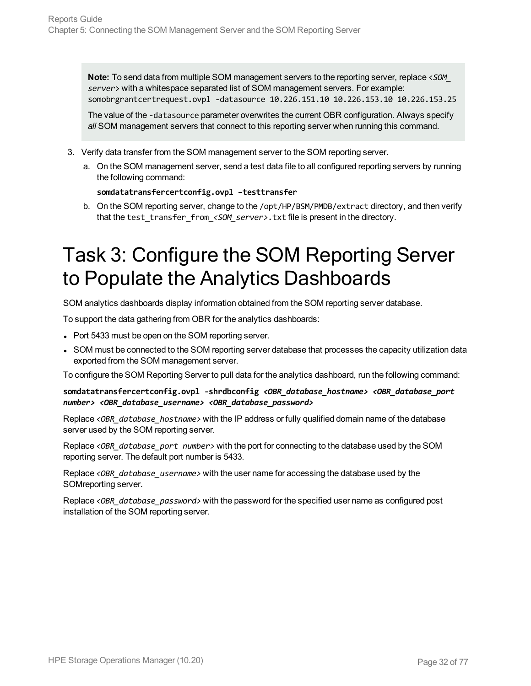**Note:** To send data from multiple SOM management servers to the reporting server, replace <*SOM\_ server*> with a whitespace separated list of SOM management servers. For example: somobrgrantcertrequest.ovpl -datasource 10.226.151.10 10.226.153.10 10.226.153.25

The value of the -datasource parameter overwrites the current OBR configuration. Always specify *all* SOM management servers that connect to this reporting server when running this command.

- 3. Verify data transfer from the SOM management server to the SOM reporting server.
	- a. On the SOM management server, send a test data file to all configured reporting servers by running the following command:

### **somdatatransfercertconfig.ovpl –testtransfer**

b. On the SOM reporting server, change to the /opt/HP/BSM/PMDB/extract directory, and then verify that the test transfer from <SOM server>.txt file is present in the directory.

## <span id="page-31-0"></span>Task 3: Configure the SOM Reporting Server to Populate the Analytics Dashboards

SOM analytics dashboards display information obtained from the SOM reporting server database.

To support the data gathering from OBR for the analytics dashboards:

- Port 5433 must be open on the SOM reporting server.
- SOM must be connected to the SOM reporting server database that processes the capacity utilization data exported from the SOM management server.

To configure the SOM Reporting Server to pull data for the analytics dashboard, run the following command:

### **somdatatransfercertconfig.ovpl -shrdbconfig** *<OBR\_database\_hostname> <OBR\_database\_port number> <OBR\_database\_username> <OBR\_database\_password>*

Replace <OBR\_database\_hostname> with the IP address or fully qualified domain name of the database server used by the SOM reporting server.

Replace *<OBR\_database\_port number>* with the port for connecting to the database used by the SOM reporting server. The default port number is 5433.

Replace <OBR\_database\_username> with the user name for accessing the database used by the SOMreporting server.

Replace <OBR\_database\_password> with the password for the specified user name as configured post installation of the SOM reporting server.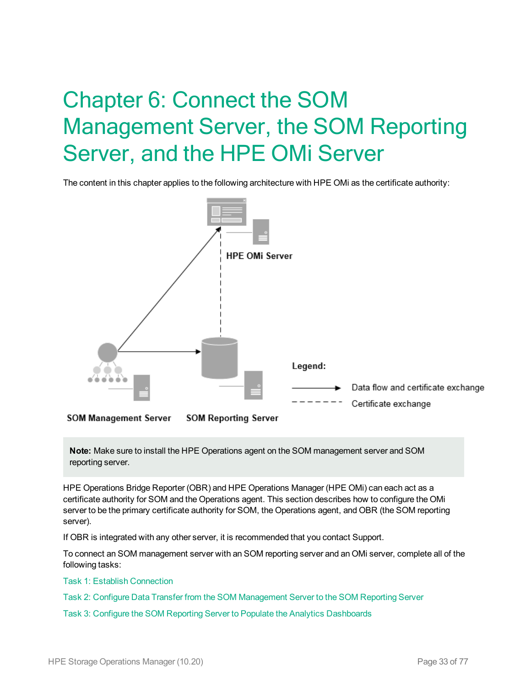## <span id="page-32-0"></span>Chapter 6: Connect the SOM Management Server, the SOM Reporting Server, and the HPE OMi Server

The content in this chapter applies to the following architecture with HPE OMi as the certificate authority:



**Note:** Make sure to install the HPE Operations agent on the SOM management server and SOM reporting server.

HPE Operations Bridge Reporter (OBR) and HPE Operations Manager (HPE OMi) can each act as a certificate authority for SOM and the Operations agent. This section describes how to configure the OMi server to be the primary certificate authority for SOM, the Operations agent, and OBR (the SOM reporting server).

If OBR is integrated with any other server, it is recommended that you contact Support.

To connect an SOM management server with an SOM reporting server and an OMi server, complete all of the following tasks:

Task 1: Establish [Connection](#page-33-0)

Task 2: Configure Data Transfer from the SOM [Management](#page-35-0) Server to the SOM Reporting Server

Task 3: Configure the SOM Reporting Server to Populate the Analytics [Dashboards](#page-36-0)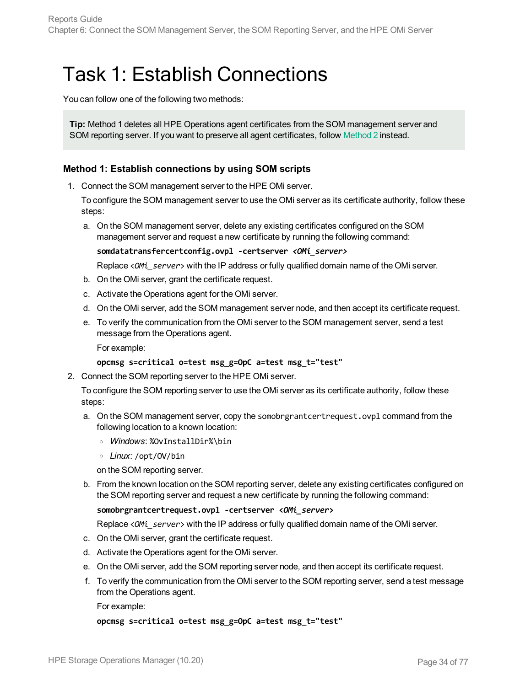## <span id="page-33-0"></span>Task 1: Establish Connections

You can follow one of the following two methods:

**Tip:** Method 1 deletes all HPE Operations agent certificates from the SOM management server and SOM reporting server. If you want to preserve all agent certificates, follow [Method](#page-34-0) 2 instead.

### **Method 1: Establish connections by using SOM scripts**

1. Connect the SOM management server to the HPE OMi server.

To configure the SOM management server to use the OMi server as its certificate authority, follow these steps:

a. On the SOM management server, delete any existing certificates configured on the SOM management server and request a new certificate by running the following command:

**somdatatransfercertconfig.ovpl -certserver** *<OMi\_server>*

Replace <*OMi\_server*> with the IP address or fully qualified domain name of the OMi server.

- b. On the OMi server, grant the certificate request.
- c. Activate the Operations agent for the OMi server.
- d. On the OMi server, add the SOM management server node, and then accept its certificate request.
- e. To verify the communication from the OMi server to the SOM management server, send a test message from the Operations agent.

For example:

### **opcmsg s=critical o=test msg\_g=OpC a=test msg\_t="test"**

2. Connect the SOM reporting server to the HPE OMi server.

To configure the SOM reporting server to use the OMi server as its certificate authority, follow these steps:

- a. On the SOM management server, copy the somobrgrantcertrequest.ovpl command from the following location to a known location:
	- <sup>o</sup> *Windows*: %OvInstallDir%\bin
	- <sup>o</sup> *Linux*: /opt/OV/bin

on the SOM reporting server.

b. From the known location on the SOM reporting server, delete any existing certificates configured on the SOM reporting server and request a new certificate by running the following command:

### **somobrgrantcertrequest.ovpl -certserver <***OMi\_server***>**

Replace <*OMi\_server*> with the IP address or fully qualified domain name of the OMi server.

- c. On the OMi server, grant the certificate request.
- d. Activate the Operations agent for the OMi server.
- e. On the OMi server, add the SOM reporting server node, and then accept its certificate request.
- f. To verify the communication from the OMi server to the SOM reporting server, send a test message from the Operations agent.

For example:

**opcmsg s=critical o=test msg\_g=OpC a=test msg\_t="test"**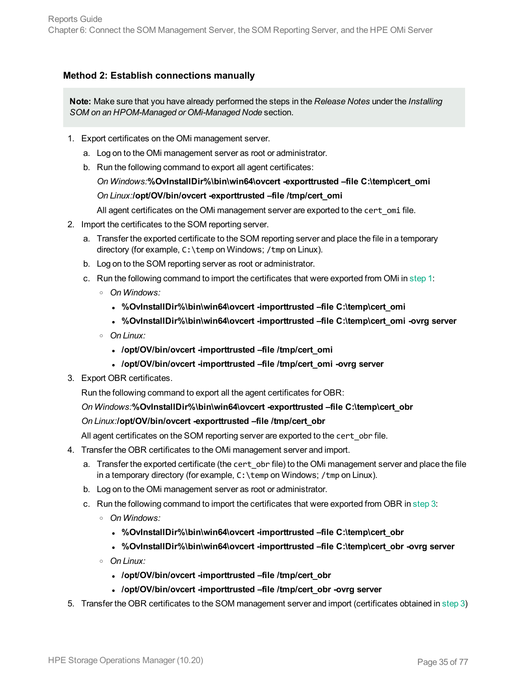### <span id="page-34-0"></span>**Method 2: Establish connections manually**

**Note:** Make sure that you have already performed the steps in the *Release Notes* under the *Installing SOM on an HPOM-Managed or OMi-Managed Node* section.

- <span id="page-34-1"></span>1. Export certificates on the OMi management server.
	- a. Log on to the OMi management server as root or administrator.
	- b. Run the following command to export all agent certificates:

### *On Windows:***%OvInstallDir%\bin\win64\ovcert -exporttrusted –file C:\temp\cert\_omi** *On Linux:***/opt/OV/bin/ovcert -exporttrusted –file /tmp/cert\_omi**

All agent certificates on the OMi management server are exported to the cert omi file.

- 2. Import the certificates to the SOM reporting server.
	- a. Transfer the exported certificate to the SOM reporting server and place the file in a temporary directory (for example, C: \temp on Windows; /tmp on Linux).
	- b. Log on to the SOM reporting server as root or administrator.
	- c. Run the following command to import the certificates that were exported from OMi in [step](#page-34-1) 1:
		- <sup>o</sup> *On Windows:*
			- <sup>l</sup> **%OvInstallDir%\bin\win64\ovcert -importtrusted –file C:\temp\cert\_omi**
			- <sup>l</sup> **%OvInstallDir%\bin\win64\ovcert -importtrusted –file C:\temp\cert\_omi -ovrg server**
		- <sup>o</sup> *On Linux:*
			- <sup>l</sup> **/opt/OV/bin/ovcert -importtrusted –file /tmp/cert\_omi**
			- <sup>l</sup> **/opt/OV/bin/ovcert -importtrusted –file /tmp/cert\_omi -ovrg server**
- 3. Export OBR certificates.

<span id="page-34-2"></span>Run the following command to export all the agent certificates for OBR:

### *On Windows:***%OvInstallDir%\bin\win64\ovcert -exporttrusted –file C:\temp\cert\_obr**

### *On Linux:***/opt/OV/bin/ovcert -exporttrusted –file /tmp/cert\_obr**

All agent certificates on the SOM reporting server are exported to the cert obr file.

- 4. Transfer the OBR certificates to the OMi management server and import.
	- a. Transfer the exported certificate (the cert obr file) to the OMi management server and place the file in a temporary directory (for example, C: \temp on Windows; /tmp on Linux).
	- b. Log on to the OMi management server as root or administrator.
	- c. Run the following command to import the certificates that were exported from OBR in [step](#page-34-2) 3:
		- <sup>o</sup> *On Windows:*
			- <sup>l</sup> **%OvInstallDir%\bin\win64\ovcert -importtrusted –file C:\temp\cert\_obr**
			- <sup>l</sup> **%OvInstallDir%\bin\win64\ovcert -importtrusted –file C:\temp\cert\_obr -ovrg server**
		- <sup>o</sup> *On Linux:*
			- <sup>l</sup> **/opt/OV/bin/ovcert -importtrusted –file /tmp/cert\_obr**
			- <sup>l</sup> **/opt/OV/bin/ovcert -importtrusted –file /tmp/cert\_obr -ovrg server**
- 5. Transfer the OBR certificates to the SOM management server and import (certificates obtained in [step](#page-34-2) 3)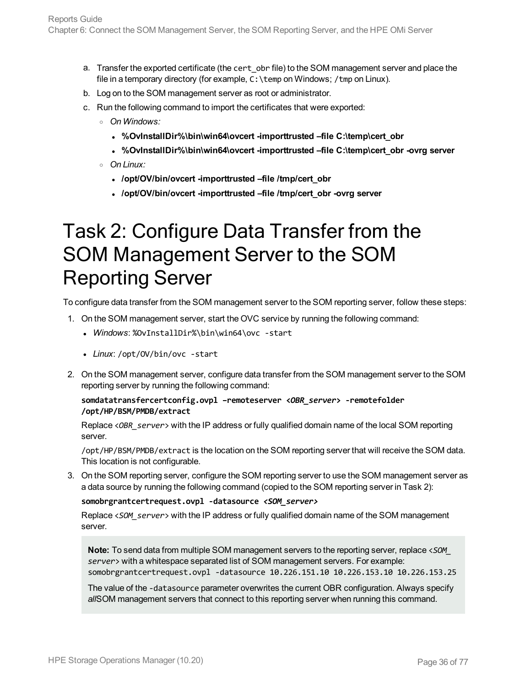- a. Transfer the exported certificate (the cert obr file) to the SOM management server and place the file in a temporary directory (for example, C: \temp on Windows; /tmp on Linux).
- b. Log on to the SOM management server as root or administrator.
- c. Run the following command to import the certificates that were exported:
	- <sup>o</sup> *On Windows:*
		- <sup>l</sup> **%OvInstallDir%\bin\win64\ovcert -importtrusted –file C:\temp\cert\_obr**
		- <sup>l</sup> **%OvInstallDir%\bin\win64\ovcert -importtrusted –file C:\temp\cert\_obr -ovrg server**
	- <sup>o</sup> *On Linux:*
		- <sup>l</sup> **/opt/OV/bin/ovcert -importtrusted –file /tmp/cert\_obr**
		- <sup>l</sup> **/opt/OV/bin/ovcert -importtrusted –file /tmp/cert\_obr -ovrg server**

## <span id="page-35-0"></span>Task 2: Configure Data Transfer from the SOM Management Server to the SOM Reporting Server

To configure data transfer from the SOM management server to the SOM reporting server, follow these steps:

- 1. On the SOM management server, start the OVC service by running the following command:
	- <sup>l</sup> *Windows*: %OvInstallDir%\bin\win64\ovc -start
	- Linux: /opt/OV/bin/ovc -start
- 2. On the SOM management server, configure data transfer from the SOM management server to the SOM reporting server by running the following command:

### **somdatatransfercertconfig.ovpl –remoteserver <***OBR\_server***> -remotefolder /opt/HP/BSM/PMDB/extract**

Replace <*OBR\_server*> with the IP address or fully qualified domain name of the local SOM reporting server.

/opt/HP/BSM/PMDB/extract is the location on the SOM reporting server that will receive the SOM data. This location is not configurable.

3. On the SOM reporting server, configure the SOM reporting server to use the SOM management server as a data source by running the following command (copied to the SOM reporting server in Task 2):

### **somobrgrantcertrequest.ovpl -datasource** *<SOM\_server>*

Replace <*SOM* server> with the IP address or fully qualified domain name of the SOM management server.

**Note:** To send data from multiple SOM management servers to the reporting server, replace <*SOM\_ server*> with a whitespace separated list of SOM management servers. For example: somobrgrantcertrequest.ovpl -datasource 10.226.151.10 10.226.153.10 10.226.153.25

The value of the -datasource parameter overwrites the current OBR configuration. Always specify *all*SOM management servers that connect to this reporting server when running this command.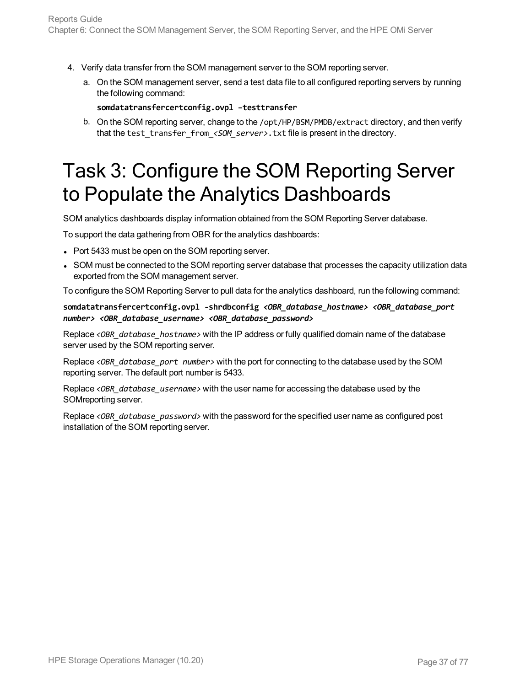- 4. Verify data transfer from the SOM management server to the SOM reporting server.
	- a. On the SOM management server, send a test data file to all configured reporting servers by running the following command:

**somdatatransfercertconfig.ovpl –testtransfer**

b. On the SOM reporting server, change to the /opt/HP/BSM/PMDB/extract directory, and then verify that the test transfer from <SOM server>.txt file is present in the directory.

## Task 3: Configure the SOM Reporting Server to Populate the Analytics Dashboards

SOM analytics dashboards display information obtained from the SOM Reporting Server database.

To support the data gathering from OBR for the analytics dashboards:

- Port 5433 must be open on the SOM reporting server.
- SOM must be connected to the SOM reporting server database that processes the capacity utilization data exported from the SOM management server.

To configure the SOM Reporting Server to pull data for the analytics dashboard, run the following command:

**somdatatransfercertconfig.ovpl -shrdbconfig** *<OBR\_database\_hostname> <OBR\_database\_port number> <OBR\_database\_username> <OBR\_database\_password>*

Replace <OBR\_database\_hostname> with the IP address or fully qualified domain name of the database server used by the SOM reporting server.

Replace *<OBR\_database\_port number>* with the port for connecting to the database used by the SOM reporting server. The default port number is 5433.

Replace <OBR\_database\_username> with the user name for accessing the database used by the SOMreporting server.

Replace <OBR\_database\_password> with the password for the specified user name as configured post installation of the SOM reporting server.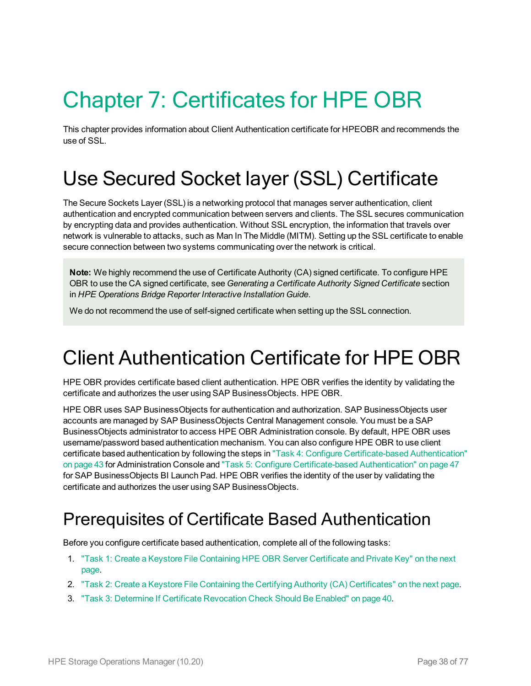# Chapter 7: Certificates for HPE OBR

This chapter provides information about Client Authentication certificate for HPEOBR and recommends the use of SSL.

## Use Secured Socket layer (SSL) Certificate

The Secure Sockets Layer (SSL) is a networking protocol that manages server authentication, client authentication and encrypted communication between servers and clients. The SSL secures communication by encrypting data and provides authentication. Without SSL encryption, the information that travels over network is vulnerable to attacks, such as Man In The Middle (MITM). Setting up the SSL certificate to enable secure connection between two systems communicating over the network is critical.

**Note:** We highly recommend the use of Certificate Authority (CA) signed certificate. To configure HPE OBR to use the CA signed certificate, see *Generating a Certificate Authority Signed Certificate* section in *HPE Operations Bridge Reporter Interactive Installation Guide*.

We do not recommend the use of self-signed certificate when setting up the SSL connection.

## Client Authentication Certificate for HPE OBR

HPE OBR provides certificate based client authentication. HPE OBR verifies the identity by validating the certificate and authorizes the user using SAP BusinessObjects. HPE OBR.

HPE OBR uses SAP BusinessObjects for authentication and authorization. SAP BusinessObjects user accounts are managed by SAP BusinessObjects Central Management console. You must be a SAP BusinessObjects administrator to access HPE OBR Administration console. By default, HPE OBR uses username/password based authentication mechanism. You can also configure HPE OBR to use client certificate based authentication by following the steps in "Task 4: Configure [Certificate-based](#page-42-0) Authentication" on [page](#page-42-0) 43 for Administration Console and "Task 5: Configure [Certificate-based](#page-46-0) Authentication" on page 47 for SAP BusinessObjects BI Launch Pad. HPE OBR verifies the identity of the user by validating the certificate and authorizes the user using SAP BusinessObjects.

## Prerequisites of Certificate Based Authentication

Before you configure certificate based authentication, complete all of the following tasks:

- 1. "Task 1: Create a Keystore File [Containing](#page-38-0) HPE OBR Server Certificate and Private Key" on the next [page.](#page-38-0)
- 2. "Task 2: Create a Keystore File Containing the Certifying Authority (CA) [Certificates"](#page-38-1) on the next page.
- 3. "Task 3: Determine If Certificate [Revocation](#page-39-0) Check Should Be Enabled" on page 40.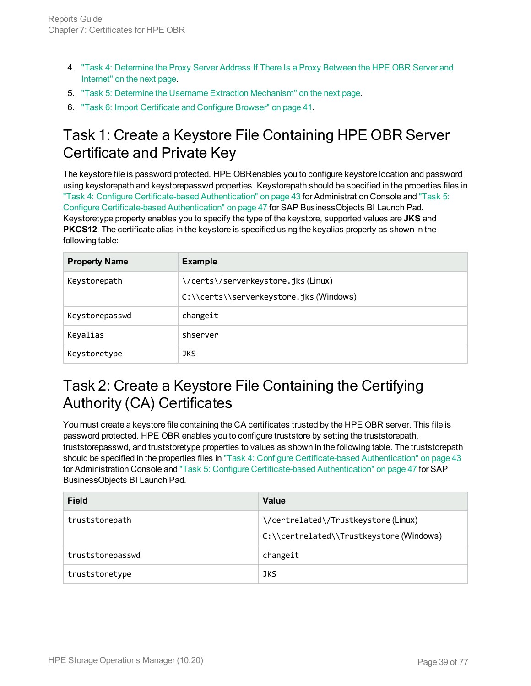- 4. "Task 4: [Determine](#page-39-1) the Proxy Server Address If There Is a Proxy Between the HPE OBR Server and [Internet"](#page-39-1) on the next page.
- 5. "Task 5: Determine the Username Extraction [Mechanism"](#page-39-2) on the next page.
- <span id="page-38-0"></span>6. "Task 6: Import [Certificate](#page-40-0) and Configure Browser" on page 41.

## Task 1: Create a Keystore File Containing HPE OBR Server Certificate and Private Key

The keystore file is password protected. HPE OBRenables you to configure keystore location and password using keystorepath and keystorepasswd properties. Keystorepath should be specified in the properties files in "Task 4: Configure [Certificate-based](#page-42-0) Authentication" on page 43 for Administration Console and ["Task](#page-46-0) 5: Configure [Certificate-based](#page-46-0) Authentication" on page 47 for SAP BusinessObjects BI Launch Pad. Keystoretype property enables you to specify the type of the keystore, supported values are **JKS** and **PKCS12**. The certificate alias in the keystore is specified using the keyalias property as shown in the following table:

| <b>Property Name</b> | <b>Example</b>                         |
|----------------------|----------------------------------------|
| Keystorepath         | \/certs\/serverkeystore.jks(Linux)     |
|                      | C:\\certs\\serverkeystore.jks(Windows) |
| Keystorepasswd       | changeit                               |
| Keyalias             | shserver                               |
| Keystoretype         | <b>JKS</b>                             |

### <span id="page-38-1"></span>Task 2: Create a Keystore File Containing the Certifying Authority (CA) Certificates

You must create a keystore file containing the CA certificates trusted by the HPE OBR server. This file is password protected. HPE OBR enables you to configure truststore by setting the truststorepath, truststorepasswd, and truststoretype properties to values as shown in the following table. The truststorepath should be specified in the properties files in "Task 4: Configure [Certificate-based](#page-42-0) Authentication" on page 43 for Administration Console and "Task 5: Configure [Certificate-based](#page-46-0) Authentication" on page 47 for SAP BusinessObjects BI Launch Pad.

| <b>Field</b>     | <b>Value</b>                                                                   |
|------------------|--------------------------------------------------------------------------------|
| truststorepath   | \/certrelated\/Trustkeystore(Linux)<br>C:\\certrelated\\Trustkeystore(Windows) |
| truststorepasswd | changeit                                                                       |
| truststoretype   | <b>JKS</b>                                                                     |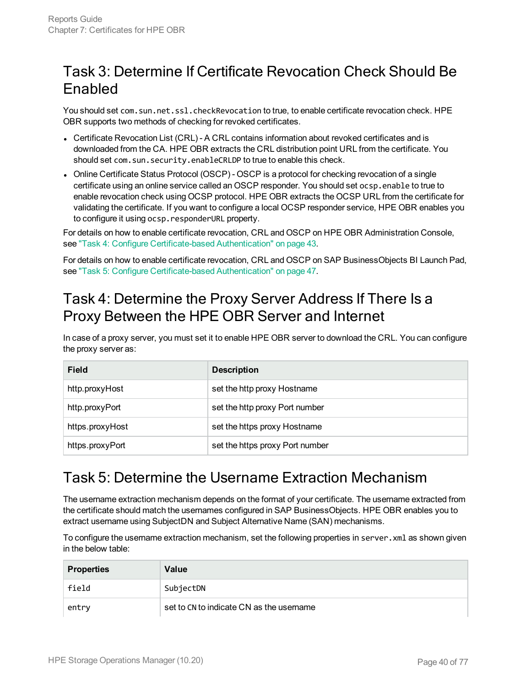## <span id="page-39-0"></span>Task 3: Determine If Certificate Revocation Check Should Be Enabled

You should set com.sun.net.ssl.checkRevocation to true, to enable certificate revocation check. HPE OBR supports two methods of checking for revoked certificates.

- Certificate Revocation List (CRL) A CRL contains information about revoked certificates and is downloaded from the CA. HPE OBR extracts the CRL distribution point URL from the certificate. You should set com.sun.security.enableCRLDP to true to enable this check.
- Online Certificate Status Protocol (OSCP) OSCP is a protocol for checking revocation of a single certificate using an online service called an OSCP responder. You should set ocsp.enable to true to enable revocation check using OCSP protocol. HPE OBR extracts the OCSP URL from the certificate for validating the certificate. If you want to configure a local OCSP responder service, HPE OBR enables you to configure it using ocsp.responderURL property.

For details on how to enable certificate revocation, CRL and OSCP on HPE OBR Administration Console, see "Task 4: Configure [Certificate-based](#page-42-0) Authentication" on page 43.

For details on how to enable certificate revocation, CRL and OSCP on SAP BusinessObjects BI Launch Pad, see "Task 5: Configure [Certificate-based](#page-46-0) Authentication" on page 47.

## <span id="page-39-1"></span>Task 4: Determine the Proxy Server Address If There Is a Proxy Between the HPE OBR Server and Internet

In case of a proxy server, you must set it to enable HPE OBR server to download the CRL. You can configure the proxy server as:

| <b>Field</b>    | <b>Description</b>              |
|-----------------|---------------------------------|
| http.proxyHost  | set the http proxy Hostname     |
| http.proxyPort  | set the http proxy Port number  |
| https.proxyHost | set the https proxy Hostname    |
| https.proxyPort | set the https proxy Port number |

### <span id="page-39-2"></span>Task 5: Determine the Username Extraction Mechanism

The username extraction mechanism depends on the format of your certificate. The username extracted from the certificate should match the usernames configured in SAP BusinessObjects. HPE OBR enables you to extract username using SubjectDN and Subject Alternative Name (SAN) mechanisms.

To configure the username extraction mechanism, set the following properties in server. xml as shown given in the below table:

| <b>Properties</b> | Value                                    |
|-------------------|------------------------------------------|
| field             | SubjectDN                                |
| entry             | set to CN to indicate CN as the username |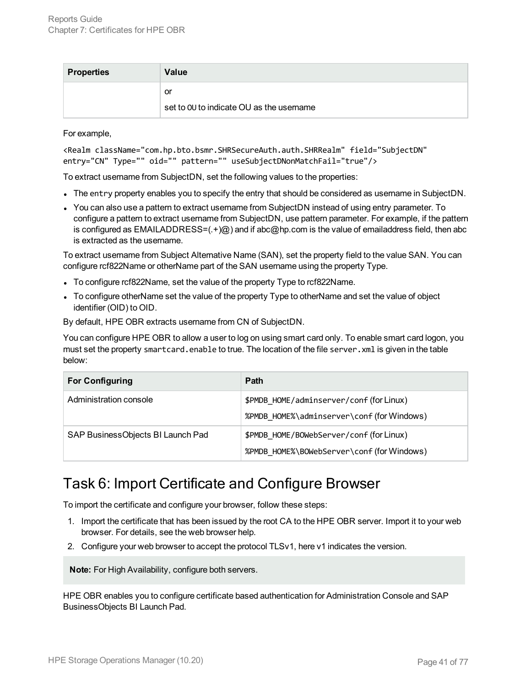| <b>Properties</b> | Value                                    |
|-------------------|------------------------------------------|
|                   | or                                       |
|                   | set to 00 to indicate OU as the username |

For example,

<Realm className="com.hp.bto.bsmr.SHRSecureAuth.auth.SHRRealm" field="SubjectDN" entry="CN" Type="" oid="" pattern="" useSubjectDNonMatchFail="true"/>

To extract username from SubjectDN, set the following values to the properties:

- The entry property enables you to specify the entry that should be considered as username in SubjectDN.
- You can also use a pattern to extract username from SubjectDN instead of using entry parameter. To configure a pattern to extract username from SubjectDN, use pattern parameter. For example, if the pattern is configured as EMAILADDRESS= $(+)$ @) and if abc@hp.com is the value of emailaddress field, then abc is extracted as the username.

To extract username from Subject Alternative Name (SAN), set the property field to the value SAN. You can configure rcf822Name or otherName part of the SAN username using the property Type.

- To configure rcf822Name, set the value of the property Type to rcf822Name.
- To configure otherName set the value of the property Type to otherName and set the value of object identifier (OID) to OID.

By default, HPE OBR extracts username from CN of SubjectDN.

You can configure HPE OBR to allow a user to log on using smart card only. To enable smart card logon, you must set the property smartcard.enable to true. The location of the file server.xml is given in the table below:

| <b>For Configuring</b>            | <b>Path</b>                                                                            |
|-----------------------------------|----------------------------------------------------------------------------------------|
| Administration console            | \$PMDB HOME/adminserver/conf (for Linux)<br>%PMDB_HOME%\adminserver\conf(forWindows)   |
| SAP BusinessObjects BI Launch Pad | \$PMDB HOME/BOWebServer/conf (for Linux)<br>%PMDB HOME%\BOWebServer\conf (for Windows) |

### <span id="page-40-0"></span>Task 6: Import Certificate and Configure Browser

To import the certificate and configure your browser, follow these steps:

- 1. Import the certificate that has been issued by the root CA to the HPE OBR server. Import it to your web browser. For details, see the web browser help.
- 2. Configure your web browser to accept the protocol TLSv1, here v1 indicates the version.

**Note:** For High Availability, configure both servers.

HPE OBR enables you to configure certificate based authentication for Administration Console and SAP BusinessObjects BI Launch Pad.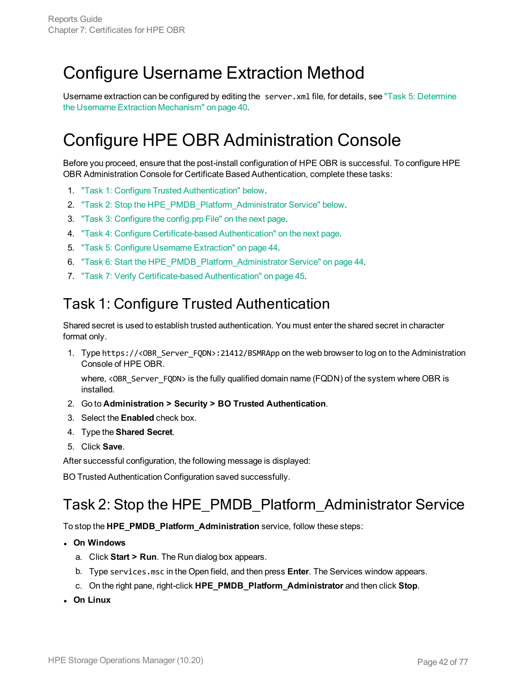## Configure Username Extraction Method

Username extraction can be configured by editing the server.xml file, for details, see "Task 5: [Determine](#page-39-2) the Username Extraction [Mechanism"](#page-39-2) on page 40.

## Configure HPE OBR Administration Console

Before you proceed, ensure that the post-install configuration of HPE OBR is successful. To configure HPE OBR Administration Console for Certificate Based Authentication, complete these tasks:

- 1. "Task 1: Configure Trusted [Authentication"](#page-41-0) below.
- 2. "Task 2: Stop the [HPE\\_PMDB\\_Platform\\_Administrator](#page-41-1) Service" below.
- 3. "Task 3: Configure the [config.prp](#page-42-1) File" on the next page.
- 4. "Task 4: Configure [Certificate-based](#page-42-0) Authentication" on the next page.
- 5. "Task 5: Configure Username [Extraction"](#page-43-0) on page 44.
- 6. "Task 6: Start the [HPE\\_PMDB\\_Platform\\_Administrator](#page-43-1) Service" on page 44.
- <span id="page-41-0"></span>7. "Task 7: Verify [Certificate-based](#page-44-0) Authentication" on page 45.

### Task 1: Configure Trusted Authentication

Shared secret is used to establish trusted authentication. You must enter the shared secret in character format only.

1. Type https://<OBR\_Server\_FQDN>:21412/BSMRApp on the web browser to log on to the Administration Console of HPE OBR.

where, <OBR Server FODN> is the fully qualified domain name (FQDN) of the system where OBR is installed.

- 2. Go to **Administration > Security > BO Trusted Authentication**.
- 3. Select the **Enabled** check box.
- 4. Type the **Shared Secret**.
- 5. Click **Save**.

After successful configuration, the following message is displayed:

<span id="page-41-1"></span>BO Trusted Authentication Configuration saved successfully.

## Task 2: Stop the HPE\_PMDB\_Platform\_Administrator Service

To stop the **HPE\_PMDB\_Platform\_Administration** service, follow these steps:

- <sup>l</sup> **On Windows**
	- a. Click **Start > Run**. The Run dialog box appears.
	- b. Type services.msc in the Open field, and then press **Enter**. The Services window appears.
	- c. On the right pane, right-click **HPE\_PMDB\_Platform\_Administrator** and then click **Stop**.
- <sup>l</sup> **On Linux**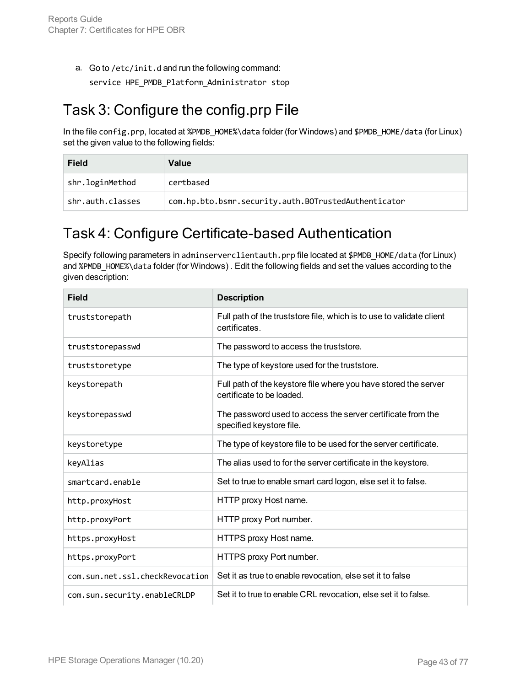a. Go to /etc/init.d and run the following command:

service HPE\_PMDB\_Platform\_Administrator stop

## <span id="page-42-1"></span>Task 3: Configure the config.prp File

In the file config.prp, located at %PMDB\_HOME%\data folder (for Windows) and \$PMDB\_HOME/data (for Linux) set the given value to the following fields:

| <b>Field</b>     | Value                                                |
|------------------|------------------------------------------------------|
| shr.loginMethod  | certbased                                            |
| shr.auth.classes | com.hp.bto.bsmr.security.auth.BOTrustedAuthenticator |

### <span id="page-42-0"></span>Task 4: Configure Certificate-based Authentication

Specify following parameters in adminserverclientauth.prp file located at \$PMDB\_HOME/data (for Linux) and %PMDB\_HOME%\data folder (for Windows) . Edit the following fields and set the values according to the given description:

| <b>Field</b>                    | <b>Description</b>                                                                           |
|---------------------------------|----------------------------------------------------------------------------------------------|
| truststorepath                  | Full path of the truststore file, which is to use to validate client<br>certificates.        |
| truststorepasswd                | The password to access the truststore.                                                       |
| truststoretype                  | The type of keystore used for the truststore.                                                |
| keystorepath                    | Full path of the keystore file where you have stored the server<br>certificate to be loaded. |
| keystorepasswd                  | The password used to access the server certificate from the<br>specified keystore file.      |
| keystoretype                    | The type of keystore file to be used for the server certificate.                             |
| keyAlias                        | The alias used to for the server certificate in the keystore.                                |
| smartcard.enable                | Set to true to enable smart card logon, else set it to false.                                |
| http.proxyHost                  | HTTP proxy Host name.                                                                        |
| http.proxyPort                  | HTTP proxy Port number.                                                                      |
| https.proxyHost                 | HTTPS proxy Host name.                                                                       |
| https.proxyPort                 | HTTPS proxy Port number.                                                                     |
| com.sun.net.ssl.checkRevocation | Set it as true to enable revocation, else set it to false                                    |
| com.sun.security.enableCRLDP    | Set it to true to enable CRL revocation, else set it to false.                               |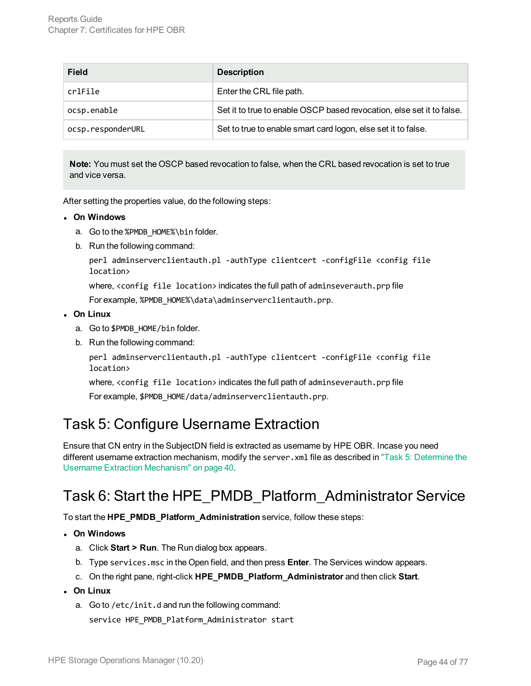| <b>Field</b>      | <b>Description</b>                                                    |
|-------------------|-----------------------------------------------------------------------|
| crlFile           | Enter the CRL file path.                                              |
| ocsp.enable       | Set it to true to enable OSCP based revocation, else set it to false. |
| ocsp.responderURL | Set to true to enable smart card logon, else set it to false.         |

**Note:** You must set the OSCP based revocation to false, when the CRL based revocation is set to true and vice versa.

After setting the properties value, do the following steps:

- <sup>l</sup> **On Windows**
	- a. Go to the %PMDB\_HOME%\bin folder.
	- b. Run the following command:

```
perl adminserverclientauth.pl -authType clientcert -configFile <config file
location>
```
where, <config file location> indicates the full path of adminseverauth.prp file

For example, %PMDB\_HOME%\data\adminserverclientauth.prp.

- <sup>l</sup> **On Linux**
	- a. Go to \$PMDB HOME/bin folder.
	- b. Run the following command:

```
perl adminserverclientauth.pl -authType clientcert -configFile <config file
location>
```
where, <config file location> indicates the full path of adminseverauth.prp file For example, \$PMDB\_HOME/data/adminserverclientauth.prp.

### <span id="page-43-0"></span>Task 5: Configure Username Extraction

Ensure that CN entry in the SubjectDN field is extracted as username by HPE OBR. Incase you need different username extraction mechanism, modify the server.xml file as described in "Task 5: [Determine](#page-39-2) the Username Extraction [Mechanism"](#page-39-2) on page 40.

### <span id="page-43-1"></span>Task 6: Start the HPE\_PMDB\_Platform\_Administrator Service

To start the **HPE\_PMDB\_Platform\_Administration** service, follow these steps:

- <sup>l</sup> **On Windows**
	- a. Click **Start > Run**. The Run dialog box appears.
	- b. Type services.msc in the Open field, and then press **Enter**. The Services window appears.
	- c. On the right pane, right-click **HPE\_PMDB\_Platform\_Administrator** and then click **Start**.
- <sup>l</sup> **On Linux**
	- a. Go to /etc/init.d and run the following command: service HPE\_PMDB\_Platform\_Administrator start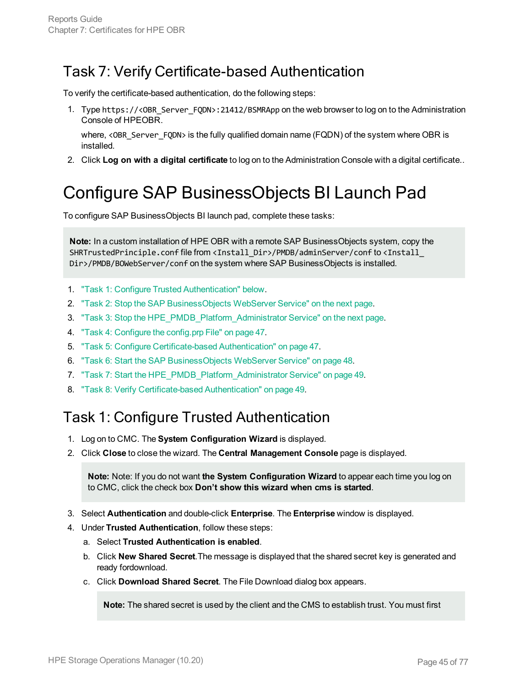## <span id="page-44-0"></span>Task 7: Verify Certificate-based Authentication

To verify the certificate-based authentication, do the following steps:

1. Type https://<OBR\_Server\_FQDN>:21412/BSMRApp on the web browser to log on to the Administration Console of HPEOBR.

where, <OBR Server FODN> is the fully qualified domain name (FQDN) of the system where OBR is installed.

2. Click **Log on with a digital certificate** to log on to the Administration Console with a digital certificate..

## Configure SAP BusinessObjects BI Launch Pad

To configure SAP BusinessObjects BI launch pad, complete these tasks:

**Note:** In a custom installation of HPE OBR with a remote SAP BusinessObjects system, copy the SHRTrustedPrinciple.conf file from <Install\_Dir>/PMDB/adminServer/conf to <Install Dir>/PMDB/BOWebServer/conf on the system where SAP BusinessObjects is installed.

- 1. "Task 1: Configure Trusted [Authentication"](#page-44-1) below.
- 2. "Task 2: Stop the SAP [BusinessObjects](#page-45-0) WebServer Service" on the next page.
- 3. "Task 3: Stop the [HPE\\_PMDB\\_Platform\\_Administrator](#page-45-1) Service" on the next page.
- 4. "Task 4: Configure the [config.prp](#page-46-1) File" on page 47.
- 5. "Task 5: Configure [Certificate-based](#page-46-0) Authentication" on page 47.
- 6. "Task 6: Start the SAP [BusinessObjects](#page-47-0) WebServer Service" on page 48.
- 7. "Task 7: Start the [HPE\\_PMDB\\_Platform\\_Administrator](#page-48-0) Service" on page 49.
- <span id="page-44-1"></span>8. "Task 8: Verify [Certificate-based](#page-48-1) Authentication" on page 49.

### Task 1: Configure Trusted Authentication

- 1. Log on to CMC. The **System Configuration Wizard** is displayed.
- 2. Click **Close** to close the wizard. The **Central Management Console** page is displayed.

**Note:** Note: If you do not want **the System Configuration Wizard** to appear each time you log on to CMC, click the check box **Don't show this wizard when cms is started**.

- 3. Select **Authentication** and double-click **Enterprise**. The **Enterprise** window is displayed.
- 4. Under **Trusted Authentication**, follow these steps:
	- a. Select **Trusted Authentication is enabled**.
	- b. Click **New Shared Secret**.The message is displayed that the shared secret key is generated and ready fordownload.
	- c. Click **Download Shared Secret**. The File Download dialog box appears.

**Note:** The shared secret is used by the client and the CMS to establish trust. You must first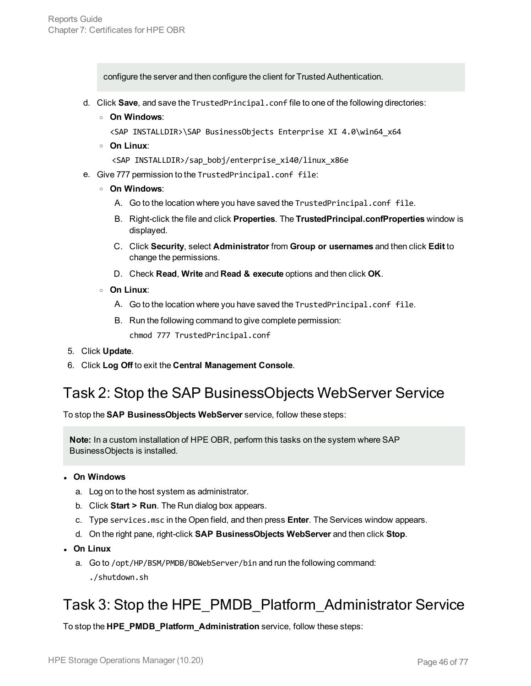configure the server and then configure the client for Trusted Authentication.

- d. Click **Save**, and save the TrustedPrincipal.conf file to one of the following directories:
	- <sup>o</sup> **On Windows**:
		- <SAP INSTALLDIR>\SAP BusinessObjects Enterprise XI 4.0\win64\_x64
	- <sup>o</sup> **On Linux**:
		- <SAP INSTALLDIR>/sap\_bobj/enterprise\_xi40/linux\_x86e
- e. Give 777 permission to the TrustedPrincipal.conf file:
	- <sup>o</sup> **On Windows**:
		- A. Go to the location where you have saved the TrustedPrincipal.conf file.
		- B. Right-click the file and click **Properties**. The **TrustedPrincipal.confProperties** window is displayed.
		- C. Click **Security**, select **Administrator** from **Group or usernames** and then click **Edit** to change the permissions.
		- D. Check **Read**, **Write** and **Read & execute** options and then click **OK**.
	- <sup>o</sup> **On Linux**:
		- A. Go to the location where you have saved the TrustedPrincipal.conf file.
		- B. Run the following command to give complete permission: chmod 777 TrustedPrincipal.conf
- 5. Click **Update**.
- <span id="page-45-0"></span>6. Click **Log Off** to exit the **Central Management Console**.

### Task 2: Stop the SAP BusinessObjects WebServer Service

To stop the **SAP BusinessObjects WebServer** service, follow these steps:

**Note:** In a custom installation of HPE OBR, perform this tasks on the system where SAP BusinessObjects is installed.

- <sup>l</sup> **On Windows**
	- a. Log on to the host system as administrator.
	- b. Click **Start > Run**. The Run dialog box appears.
	- c. Type services.msc in the Open field, and then press **Enter**. The Services window appears.
	- d. On the right pane, right-click **SAP BusinessObjects WebServer** and then click **Stop**.
- <sup>l</sup> **On Linux**
	- a. Go to /opt/HP/BSM/PMDB/BOWebServer/bin and run the following command: ./shutdown.sh

### <span id="page-45-1"></span>Task 3: Stop the HPE\_PMDB\_Platform\_Administrator Service

To stop the **HPE\_PMDB\_Platform\_Administration** service, follow these steps: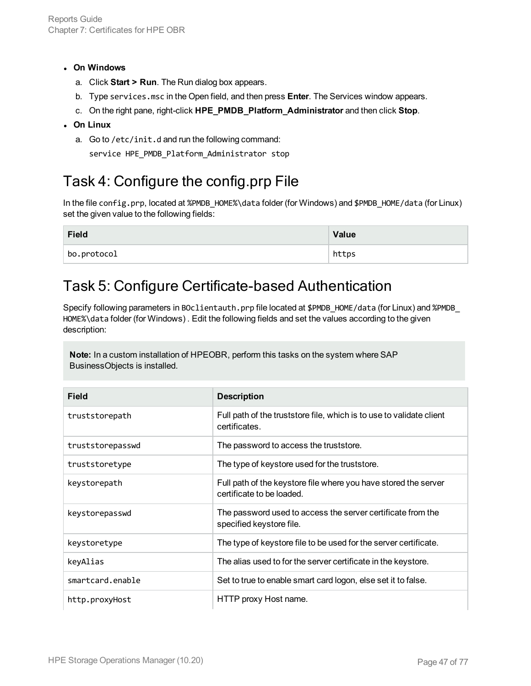- <sup>l</sup> **On Windows**
	- a. Click **Start > Run**. The Run dialog box appears.
	- b. Type services.msc in the Open field, and then press **Enter**. The Services window appears.
	- c. On the right pane, right-click **HPE\_PMDB\_Platform\_Administrator** and then click **Stop**.
- <sup>l</sup> **On Linux**
	- a. Go to /etc/init.d and run the following command:

service HPE\_PMDB\_Platform\_Administrator stop

### <span id="page-46-1"></span>Task 4: Configure the config.prp File

In the file config.prp, located at %PMDB\_HOME%\data folder (for Windows) and \$PMDB\_HOME/data (for Linux) set the given value to the following fields:

| <b>Field</b> | Value |
|--------------|-------|
| ∣bo.protocol | https |

### <span id="page-46-0"></span>Task 5: Configure Certificate-based Authentication

Specify following parameters in BOclientauth.prp file located at \$PMDB HOME/data (for Linux) and %PMDB HOME%\data folder (for Windows) . Edit the following fields and set the values according to the given description:

**Note:** In a custom installation of HPEOBR, perform this tasks on the system where SAP BusinessObjects is installed.

| Field            | <b>Description</b>                                                                           |
|------------------|----------------------------------------------------------------------------------------------|
| truststorepath   | Full path of the truststore file, which is to use to validate client<br>certificates.        |
| truststorepasswd | The password to access the truststore.                                                       |
| truststoretype   | The type of keystore used for the truststore.                                                |
| keystorepath     | Full path of the keystore file where you have stored the server<br>certificate to be loaded. |
| keystorepasswd   | The password used to access the server certificate from the<br>specified keystore file.      |
| keystoretype     | The type of keystore file to be used for the server certificate.                             |
| keyAlias         | The alias used to for the server certificate in the keystore.                                |
| smartcard.enable | Set to true to enable smart card logon, else set it to false.                                |
| http.proxyHost   | HTTP proxy Host name.                                                                        |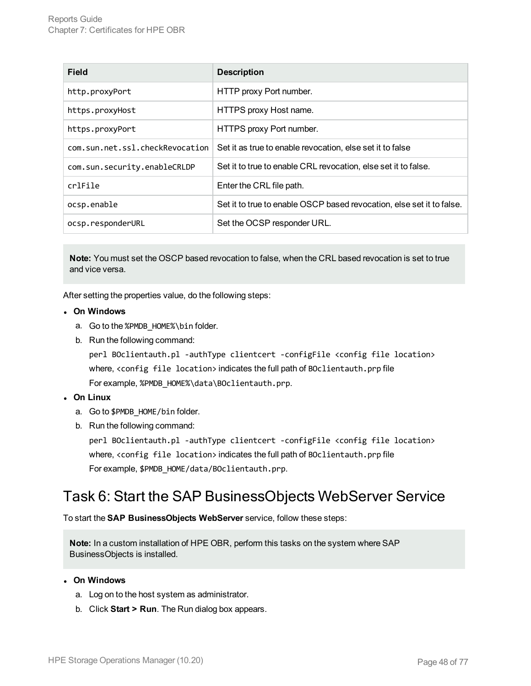| <b>Field</b>                    | <b>Description</b>                                                    |
|---------------------------------|-----------------------------------------------------------------------|
| http.proxyPort                  | HTTP proxy Port number.                                               |
| https.proxyHost                 | HTTPS proxy Host name.                                                |
| https.proxyPort                 | HTTPS proxy Port number.                                              |
| com.sun.net.ssl.checkRevocation | Set it as true to enable revocation, else set it to false             |
| com.sun.security.enableCRLDP    | Set it to true to enable CRL revocation, else set it to false.        |
| crlFile                         | Enter the CRL file path.                                              |
| ocsp.enable                     | Set it to true to enable OSCP based revocation, else set it to false. |
| ocsp.responderURL               | Set the OCSP responder URL.                                           |

**Note:** You must set the OSCP based revocation to false, when the CRL based revocation is set to true and vice versa.

After setting the properties value, do the following steps:

- <sup>l</sup> **On Windows**
	- a. Go to the %PMDB\_HOME%\bin folder.
	- b. Run the following command:

perl BOclientauth.pl -authType clientcert -configFile <config file location> where, <config file location> indicates the full path of BOclientauth.prp file For example, %PMDB\_HOME%\data\BOclientauth.prp.

#### <sup>l</sup> **On Linux**

- a. Go to \$PMDB HOME/bin folder.
- b. Run the following command:

perl BOclientauth.pl -authType clientcert -configFile <config file location> where, <config file location> indicates the full path of BOclientauth.prp file For example, \$PMDB\_HOME/data/BOclientauth.prp.

### <span id="page-47-0"></span>Task 6: Start the SAP BusinessObjects WebServer Service

To start the **SAP BusinessObjects WebServer** service, follow these steps:

**Note:** In a custom installation of HPE OBR, perform this tasks on the system where SAP BusinessObjects is installed.

#### <sup>l</sup> **On Windows**

- a. Log on to the host system as administrator.
- b. Click **Start > Run**. The Run dialog box appears.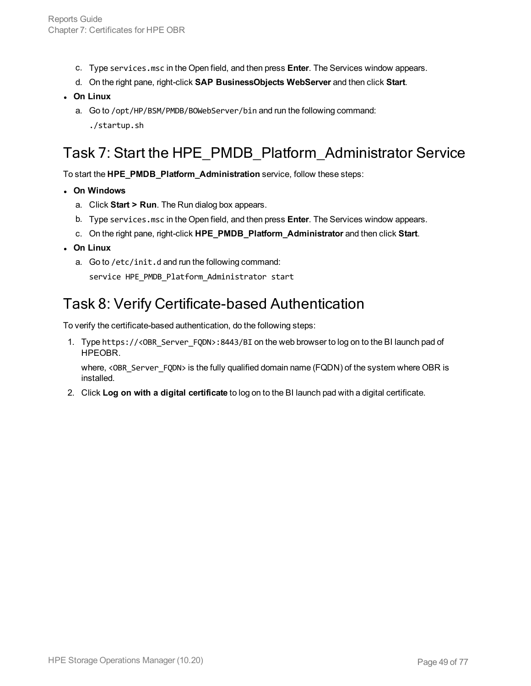- c. Type services.msc in the Open field, and then press **Enter**. The Services window appears.
- d. On the right pane, right-click **SAP BusinessObjects WebServer** and then click **Start**.
- <sup>l</sup> **On Linux**
	- a. Go to /opt/HP/BSM/PMDB/BOWebServer/bin and run the following command: ./startup.sh

## <span id="page-48-0"></span>Task 7: Start the HPE\_PMDB\_Platform\_Administrator Service

To start the **HPE\_PMDB\_Platform\_Administration** service, follow these steps:

- <sup>l</sup> **On Windows**
	- a. Click **Start > Run**. The Run dialog box appears.
	- b. Type services.msc in the Open field, and then press **Enter**. The Services window appears.
	- c. On the right pane, right-click **HPE\_PMDB\_Platform\_Administrator** and then click **Start**.
- <sup>l</sup> **On Linux**
	- a. Go to /etc/init.d and run the following command: service HPE\_PMDB\_Platform\_Administrator\_start

### <span id="page-48-1"></span>Task 8: Verify Certificate-based Authentication

To verify the certificate-based authentication, do the following steps:

1. Type https://<OBR\_Server\_FQDN>:8443/BI on the web browser to log on to the BI launch pad of HPEOBR.

where, <OBR\_Server\_FQDN> is the fully qualified domain name (FQDN) of the system where OBR is installed.

2. Click **Log on with a digital certificate** to log on to the BI launch pad with a digital certificate.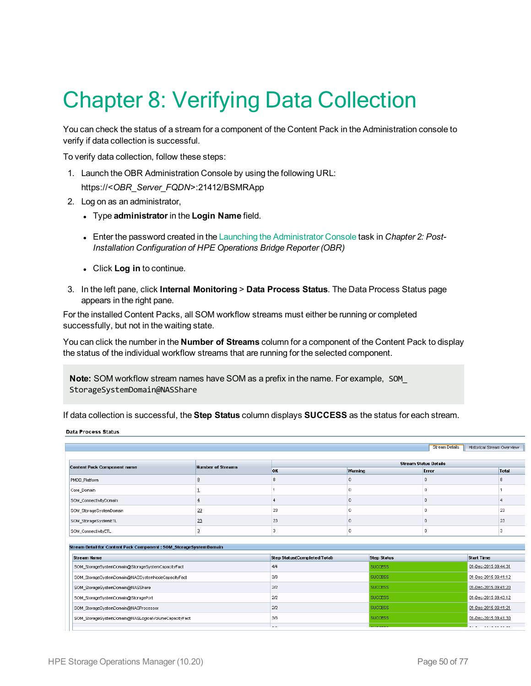# Chapter 8: Verifying Data Collection

You can check the status of a stream for a component of the Content Pack in the Administration console to verify if data collection is successful.

To verify data collection, follow these steps:

- 1. Launch the OBR Administration Console by using the following URL: https://<*OBR\_Server\_FQDN*>:21412/BSMRApp
- 2. Log on as an administrator,
	- <sup>l</sup> Type **administrator** in the **Login Name** field.
	- Enter the password created in the Launching the [Administrator](#page-15-0) Console task in *Chapter 2: Post-Installation Configuration of HPE Operations Bridge Reporter (OBR)*
	- <sup>l</sup> Click **Log in** to continue.
- 3. In the left pane, click **Internal Monitoring** > **Data Process Status**. The Data Process Status page appears in the right pane.

For the installed Content Packs, all SOM workflow streams must either be running or completed successfully, but not in the waiting state.

You can click the number in the **Number of Streams** column for a component of the Content Pack to display the status of the individual workflow streams that are running for the selected component.

**Note:** SOM workflow stream names have SOM as a prefix in the name. For example, SOM\_ StorageSystemDomain@NASShare

If data collection is successful, the **Step Status** column displays **SUCCESS** as the status for each stream.

**Data Process Status** 

| <b>Content Pack Component name</b>                                 | <b>Number of Streams</b> |                              | <b>Stream Status Details</b> |                    |                   |  |
|--------------------------------------------------------------------|--------------------------|------------------------------|------------------------------|--------------------|-------------------|--|
|                                                                    |                          | <b>OK</b>                    | Warning                      | Error              | <b>Total</b>      |  |
| PMDB_Platform                                                      | 8                        |                              | 0                            |                    |                   |  |
| Core_Domain                                                        |                          |                              | $\Omega$                     |                    |                   |  |
| SOM_ConnectivityDomain                                             |                          |                              | 0                            |                    |                   |  |
| SOM_StorageSystemDomain                                            | 23                       | 23                           |                              |                    | 23                |  |
| SOM_StorageSystemETL                                               | $^{23}$                  | 23                           | $\Omega$                     |                    | 23                |  |
| SOM_ConnectivityETL                                                | 3                        |                              | 0                            |                    |                   |  |
| Stream Detail for Content Pack Component : SOM_StorageSystemDomain |                          |                              |                              |                    |                   |  |
|                                                                    |                          |                              |                              |                    |                   |  |
| <b>Stream Name</b>                                                 |                          | Step Status(Completed/Total) |                              | <b>Step Status</b> | <b>Start Time</b> |  |

| SOM_StorageSystemDomain@NASSystemNodeCapacityFact    | 3/3 | <b>SUCCESS</b> | 01-Dec-2015 09:41:12 |
|------------------------------------------------------|-----|----------------|----------------------|
| SOM StorageSystemDomain@NASShare                     | 2/2 | <b>SUCCESS</b> | 01-Dec-2015 09:41:20 |
| SOM_StorageSystemDomain@StoragePort                  | 2/2 | <b>SUCCESS</b> | 01-Dec-2015 09:43:12 |
| SOM StorageSystemDomain@NASProcessor                 | 2/2 | <b>SUCCESS</b> | 01-Dec-2015 09:41:21 |
| SOM StorageSystemDomain@NASLogicalVolumeCapacityFact | 3/3 | <b>SUCCESS</b> | 01-Dec-2015 09:41:30 |
|                                                      |     |                |                      |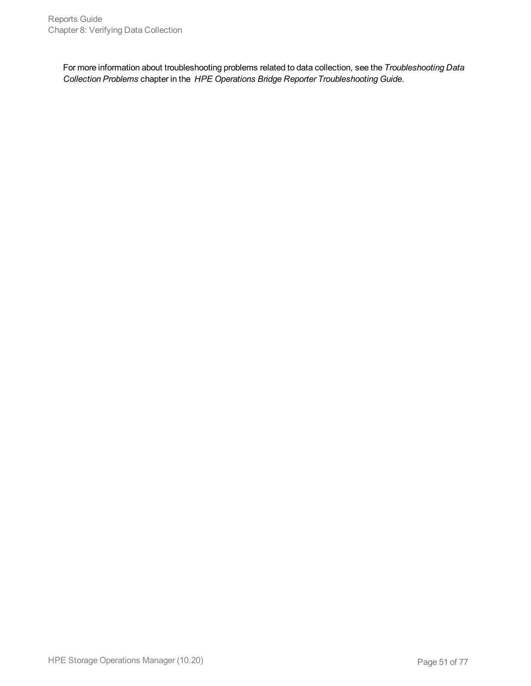For more information about troubleshooting problems related to data collection, see the *Troubleshooting Data Collection Problems* chapter in the *HPE Operations Bridge Reporter Troubleshooting Guide*.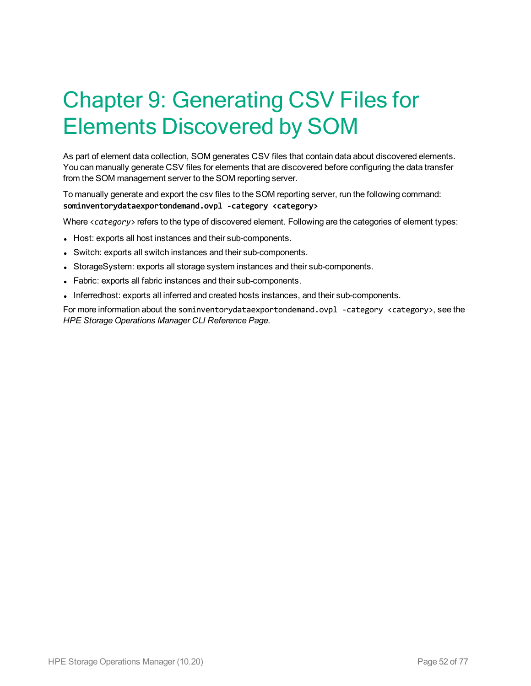# Chapter 9: Generating CSV Files for Elements Discovered by SOM

As part of element data collection, SOM generates CSV files that contain data about discovered elements. You can manually generate CSV files for elements that are discovered before configuring the data transfer from the SOM management server to the SOM reporting server.

To manually generate and export the csv files to the SOM reporting server, run the following command: **sominventorydataexportondemand.ovpl -category <category>**

Where *<category*> refers to the type of discovered element. Following are the categories of element types:

- Host: exports all host instances and their sub-components.
- Switch: exports all switch instances and their sub-components.
- StorageSystem: exports all storage system instances and their sub-components.
- Fabric: exports all fabric instances and their sub-components.
- Inferredhost: exports all inferred and created hosts instances, and their sub-components.

For more information about the sominventorydataexportondemand.ovpl -category <category>, see the *HPE Storage Operations Manager CLI Reference Page*.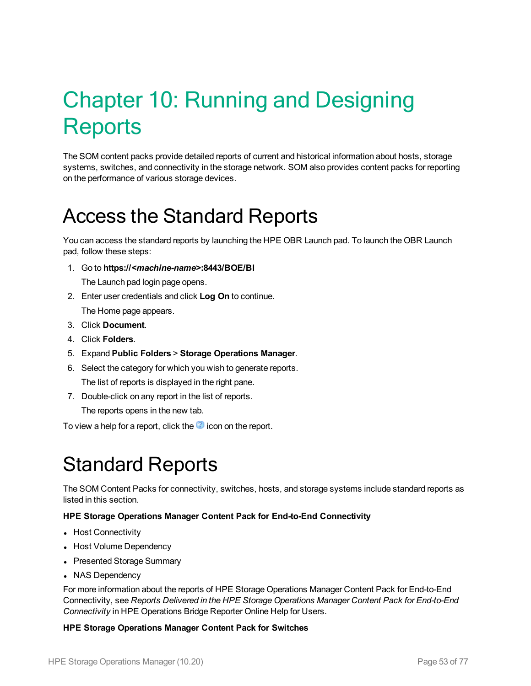# Chapter 10: Running and Designing **Reports**

The SOM content packs provide detailed reports of current and historical information about hosts, storage systems, switches, and connectivity in the storage network. SOM also provides content packs for reporting on the performance of various storage devices.

## Access the Standard Reports

You can access the standard reports by launching the HPE OBR Launch pad. To launch the OBR Launch pad, follow these steps:

1. Go to **https://***<machine-name>***:8443/BOE/BI**

The Launch pad login page opens.

- 2. Enter user credentials and click **Log On** to continue. The Home page appears.
- 3. Click **Document**.
- 4. Click **Folders**.
- 5. Expand **Public Folders** > **Storage Operations Manager**.
- 6. Select the category for which you wish to generate reports. The list of reports is displayed in the right pane.
- 7. Double-click on any report in the list of reports.

The reports opens in the new tab.

To view a help for a report, click the  $\bullet$  icon on the report.

## Standard Reports

The SOM Content Packs for connectivity, switches, hosts, and storage systems include standard reports as listed in this section.

#### **HPE Storage Operations Manager Content Pack for End-to-End Connectivity**

- Host Connectivity
- Host Volume Dependency
- Presented Storage Summary
- NAS Dependency

For more information about the reports of HPE Storage Operations Manager Content Pack for End-to-End Connectivity, see *Reports Delivered in the HPE Storage Operations Manager Content Pack for End-to-End Connectivity* in HPE Operations Bridge Reporter Online Help for Users.

**HPE Storage Operations Manager Content Pack for Switches**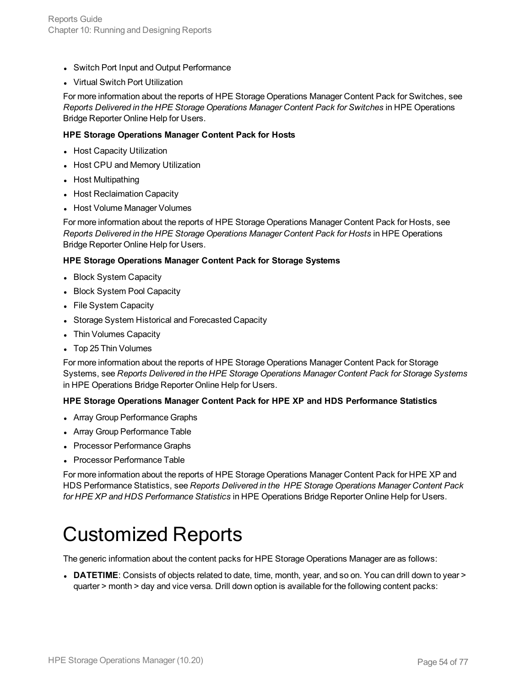- Switch Port Input and Output Performance
- Virtual Switch Port Utilization

For more information about the reports of HPE Storage Operations Manager Content Pack for Switches, see *Reports Delivered in the HPE Storage Operations Manager Content Pack for Switches* in HPE Operations Bridge Reporter Online Help for Users.

#### **HPE Storage Operations Manager Content Pack for Hosts**

- Host Capacity Utilization
- Host CPU and Memory Utilization
- Host Multipathing
- Host Reclaimation Capacity
- Host Volume Manager Volumes

For more information about the reports of HPE Storage Operations Manager Content Pack for Hosts, see *Reports Delivered in the HPE Storage Operations Manager Content Pack for Hosts* in HPE Operations Bridge Reporter Online Help for Users.

#### **HPE Storage Operations Manager Content Pack for Storage Systems**

- Block System Capacity
- Block System Pool Capacity
- File System Capacity
- Storage System Historical and Forecasted Capacity
- Thin Volumes Capacity
- Top 25 Thin Volumes

For more information about the reports of HPE Storage Operations Manager Content Pack for Storage Systems, see *Reports Delivered in the HPE Storage Operations Manager Content Pack for Storage Systems* in HPE Operations Bridge Reporter Online Help for Users.

#### **HPE Storage Operations Manager Content Pack for HPE XP and HDS Performance Statistics**

- Array Group Performance Graphs
- Array Group Performance Table
- Processor Performance Graphs
- Processor Performance Table

For more information about the reports of HPE Storage Operations Manager Content Pack for HPE XP and HDS Performance Statistics, see *Reports Delivered in the HPE Storage Operations Manager Content Pack for HPE XP and HDS Performance Statistics* in HPE Operations Bridge Reporter Online Help for Users.

## Customized Reports

The generic information about the content packs for HPE Storage Operations Manager are as follows:

• **DATETIME**: Consists of objects related to date, time, month, year, and so on. You can drill down to year > quarter > month > day and vice versa. Drill down option is available for the following content packs: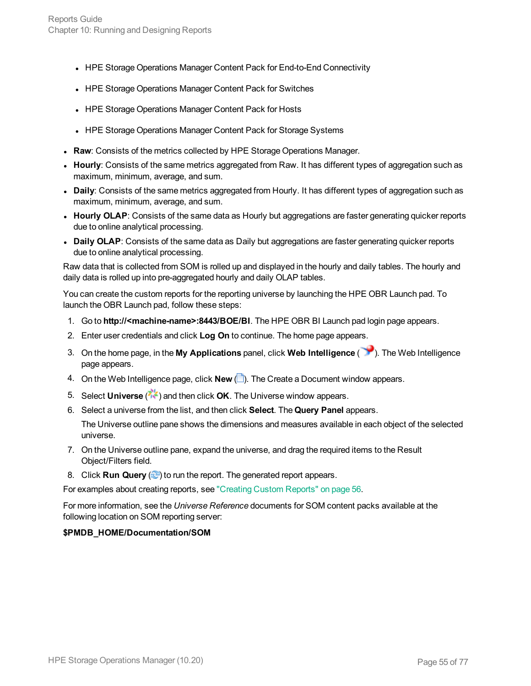- HPE Storage Operations Manager Content Pack for End-to-End Connectivity
- HPE Storage Operations Manager Content Pack for Switches
- HPE Storage Operations Manager Content Pack for Hosts
- HPE Storage Operations Manager Content Pack for Storage Systems
- Raw: Consists of the metrics collected by HPE Storage Operations Manager.
- Hourly: Consists of the same metrics aggregated from Raw. It has different types of aggregation such as maximum, minimum, average, and sum.
- Daily: Consists of the same metrics aggregated from Hourly. It has different types of aggregation such as maximum, minimum, average, and sum.
- Hourly OLAP: Consists of the same data as Hourly but aggregations are faster generating quicker reports due to online analytical processing.
- Daily OLAP: Consists of the same data as Daily but aggregations are faster generating quicker reports due to online analytical processing.

Raw data that is collected from SOM is rolled up and displayed in the hourly and daily tables. The hourly and daily data is rolled up into pre-aggregated hourly and daily OLAP tables.

You can create the custom reports for the reporting universe by launching the HPE OBR Launch pad. To launch the OBR Launch pad, follow these steps:

- 1. Go to **http://<machine-name>:8443/BOE/BI**. The HPE OBR BI Launch pad login page appears.
- 2. Enter user credentials and click **Log On** to continue. The home page appears.
- 3. On the home page, in the **My Applications** panel, click **Web Intelligence** ( ). The Web Intelligence page appears.
- 4. On the Web Intelligence page, click **New** (**B**). The Create a Document window appears.
- 5. Select **Universe** ( $\frac{1}{2}$ ) and then click **OK**. The Universe window appears.
- 6. Select a universe from the list, and then click **Select**. The **Query Panel** appears. The Universe outline pane shows the dimensions and measures available in each object of the selected universe.
- 7. On the Universe outline pane, expand the universe, and drag the required items to the Result Object/Filters field.
- 8. Click **Run Query** ( $\mathbb{C}$ ) to run the report. The generated report appears.

For examples about creating reports, see ["Creating](#page-55-0) Custom Reports" on page 56.

For more information, see the *Universe Reference* documents for SOM content packs available at the following location on SOM reporting server:

#### **\$PMDB\_HOME/Documentation/SOM**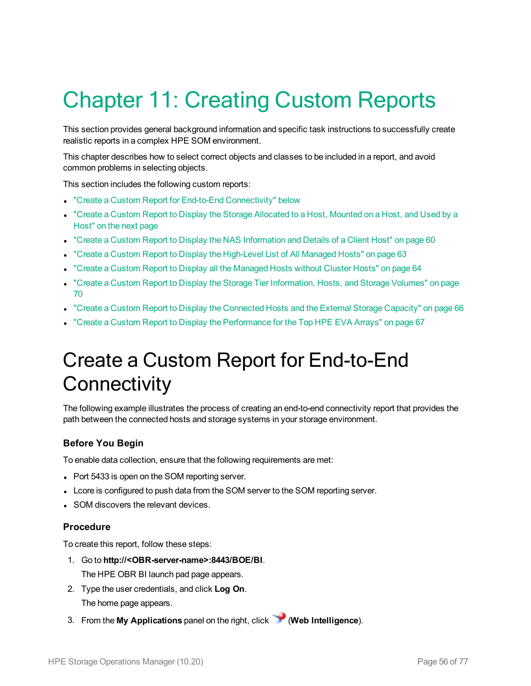# <span id="page-55-0"></span>Chapter 11: Creating Custom Reports

This section provides general background information and specific task instructions to successfully create realistic reports in a complex HPE SOM environment.

This chapter describes how to select correct objects and classes to be included in a report, and avoid common problems in selecting objects.

This section includes the following custom reports:

- "Create a Custom Report for End-to-End [Connectivity"](#page-55-1) below
- "Create a Custom Report to Display the Storage [Allocated](#page-56-0) to a Host, Mounted on a Host, and Used by a [Host"](#page-56-0) on the next page
- <sup>l</sup> "Create a Custom Report to Display the NAS [Information](#page-59-0) and Details of a Client Host" on page 60
- "Create a Custom Report to Display the [High-Level](#page-62-0) List of All Managed Hosts" on page 63
- "Create a Custom Report to Display all the [Managed](#page-63-0) Hosts without Cluster Hosts" on page 64
- "Create a Custom Report to Display the Storage Tier [Information,](#page-69-0) Hosts, and Storage Volumes" on page [70](#page-69-0)
- "Create a Custom Report to Display the [Connected](#page-65-0) Hosts and the External Storage Capacity" on page 66
- <span id="page-55-1"></span>• "Create a Custom Report to Display the [Performance](#page-66-0) for the Top HPE EVA Arrays" on page 67

## Create a Custom Report for End-to-End **Connectivity**

The following example illustrates the process of creating an end-to-end connectivity report that provides the path between the connected hosts and storage systems in your storage environment.

#### **Before You Begin**

To enable data collection, ensure that the following requirements are met:

- Port 5433 is open on the SOM reporting server.
- Lcore is configured to push data from the SOM server to the SOM reporting server.
- SOM discovers the relevant devices.

#### **Procedure**

To create this report, follow these steps:

- 1. Go to **http://<OBR-server-name>:8443/BOE/BI**. The HPE OBR BI launch pad page appears.
- 2. Type the user credentials, and click **Log On**. The home page appears.
- 3. From the **My Applications** panel on the right, click (**Web Intelligence**).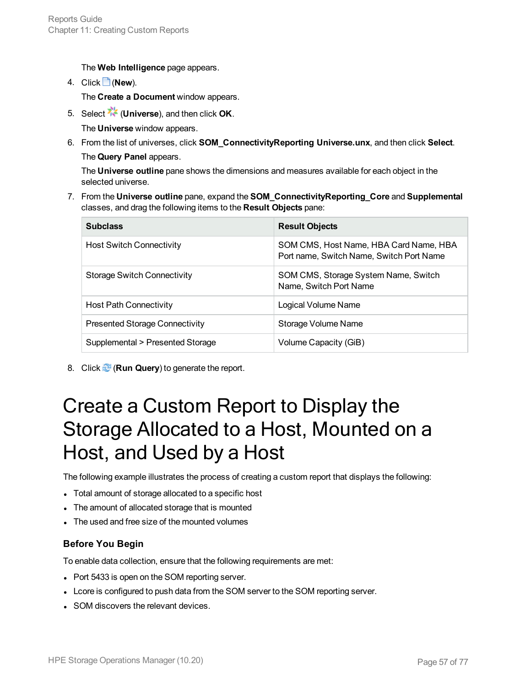The **Web Intelligence** page appears.

- 4. Click (**New**). The **Create a Document** window appears.
- 5. Select (**Universe**), and then click **OK**.
	- The **Universe** window appears.
- 6. From the list of universes, click **SOM\_ConnectivityReporting Universe.unx**, and then click **Select**.

The **Query Panel** appears.

The **Universe outline** pane shows the dimensions and measures available for each object in the selected universe.

7. From the **Universe outline** pane, expand the **SOM\_ConnectivityReporting\_Core** and **Supplemental** classes, and drag the following items to the **Result Objects** pane:

| <b>Subclass</b>                       | <b>Result Objects</b>                                                              |
|---------------------------------------|------------------------------------------------------------------------------------|
| <b>Host Switch Connectivity</b>       | SOM CMS, Host Name, HBA Card Name, HBA<br>Port name, Switch Name, Switch Port Name |
| <b>Storage Switch Connectivity</b>    | SOM CMS, Storage System Name, Switch<br>Name, Switch Port Name                     |
| Host Path Connectivity                | Logical Volume Name                                                                |
| <b>Presented Storage Connectivity</b> | Storage Volume Name                                                                |
| Supplemental > Presented Storage      | Volume Capacity (GiB)                                                              |

<span id="page-56-0"></span>8. Click (**Run Query**) to generate the report.

## Create a Custom Report to Display the Storage Allocated to a Host, Mounted on a Host, and Used by a Host

The following example illustrates the process of creating a custom report that displays the following:

- Total amount of storage allocated to a specific host
- The amount of allocated storage that is mounted
- The used and free size of the mounted volumes

#### **Before You Begin**

To enable data collection, ensure that the following requirements are met:

- Port 5433 is open on the SOM reporting server.
- Lcore is configured to push data from the SOM server to the SOM reporting server.
- SOM discovers the relevant devices.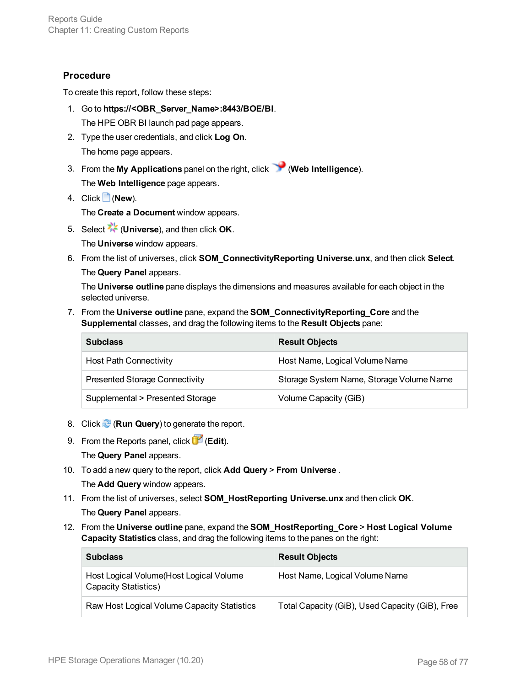#### **Procedure**

To create this report, follow these steps:

1. Go to **https://<OBR\_Server\_Name>:8443/BOE/BI**.

The HPE OBR BI launch pad page appears.

- 2. Type the user credentials, and click **Log On**. The home page appears.
- 3. From the **My Applications** panel on the right, click (**Web Intelligence**). The **Web Intelligence** page appears.
- 4. Click (**New**).

The **Create a Document** window appears.

- 5. Select (**Universe**), and then click **OK**. The **Universe** window appears.
- 6. From the list of universes, click **SOM\_ConnectivityReporting Universe.unx**, and then click **Select**.

The **Query Panel** appears.

The **Universe outline** pane displays the dimensions and measures available for each object in the selected universe.

7. From the **Universe outline** pane, expand the **SOM\_ConnectivityReporting\_Core** and the **Supplemental** classes, and drag the following items to the **Result Objects** pane:

| <b>Subclass</b>                       | <b>Result Objects</b>                    |
|---------------------------------------|------------------------------------------|
| <b>Host Path Connectivity</b>         | Host Name, Logical Volume Name           |
| <b>Presented Storage Connectivity</b> | Storage System Name, Storage Volume Name |
| Supplemental > Presented Storage      | Volume Capacity (GiB)                    |

- 8. Click (**Run Query**) to generate the report.
- 9. From the Reports panel, click (**Edit**).

The **Query Panel** appears.

10. To add a new query to the report, click **Add Query** > **From Universe** .

The **Add Query** window appears.

11. From the list of universes, select **SOM\_HostReporting Universe.unx** and then click **OK**.

The **Query Panel** appears.

12. From the **Universe outline** pane, expand the **SOM\_HostReporting\_Core** > **Host Logical Volume Capacity Statistics** class, and drag the following items to the panes on the right:

| <b>Subclass</b>                                                  | <b>Result Objects</b>                           |
|------------------------------------------------------------------|-------------------------------------------------|
| Host Logical Volume (Host Logical Volume<br>Capacity Statistics) | Host Name, Logical Volume Name                  |
| Raw Host Logical Volume Capacity Statistics                      | Total Capacity (GiB), Used Capacity (GiB), Free |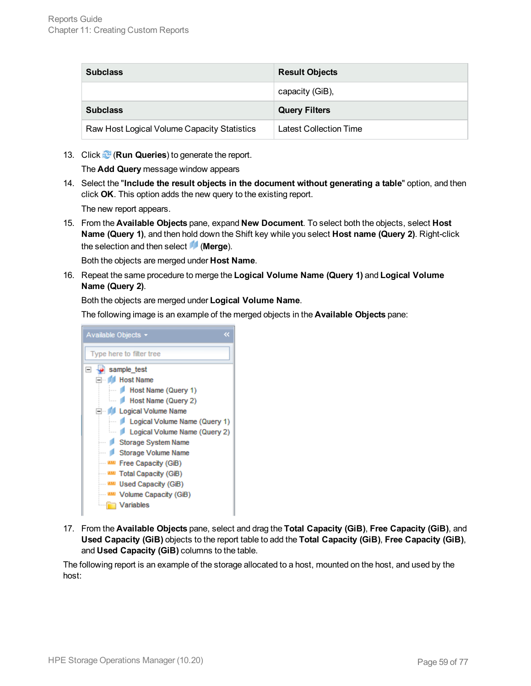| <b>Subclass</b>                             | <b>Result Objects</b>  |
|---------------------------------------------|------------------------|
|                                             | capacity (GiB),        |
| <b>Subclass</b>                             | <b>Query Filters</b>   |
| Raw Host Logical Volume Capacity Statistics | Latest Collection Time |

13. Click (**Run Queries**) to generate the report.

The **Add Query** message window appears

14. Select the "**Include the result objects in the document without generating a table**" option, and then click **OK**. This option adds the new query to the existing report.

The new report appears.

15. From the **Available Objects** pane, expand **New Document**. To select both the objects, select **Host Name (Query 1)**, and then hold down the Shift key while you select **Host name (Query 2)**. Right-click the selection and then select (**Merge**).

Both the objects are merged under **Host Name**.

16. Repeat the same procedure to merge the **Logical Volume Name (Query 1)** and **Logical Volume Name (Query 2)**.

Both the objects are merged under **Logical Volume Name**.

The following image is an example of the merged objects in the **Available Objects** pane:



17. From the **Available Objects** pane, select and drag the **Total Capacity (GiB)**, **Free Capacity (GiB)**, and **Used Capacity (GiB)** objects to the report table to add the **Total Capacity (GiB)**, **Free Capacity (GiB)**, and **Used Capacity (GiB)** columns to the table.

The following report is an example of the storage allocated to a host, mounted on the host, and used by the host: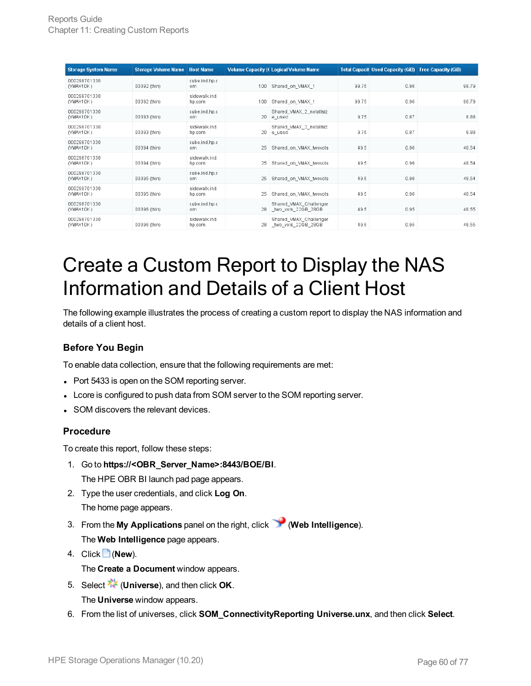| <b>Storage System Name</b> | <b>Storage Volume Name</b> | <b>Host Name</b>        |     | <b>Volume Capacity (CLogical Volume Name</b>  |       | <b>Total Capacit Used Capacity (GiB)</b> | <b>Free Capacity (GiB)</b> |
|----------------------------|----------------------------|-------------------------|-----|-----------------------------------------------|-------|------------------------------------------|----------------------------|
| 000298701330<br>(VMAX10K)  | 00392 (thin)               | cube.ind.hp.c<br>om     | 100 | Shared on VMAX 1                              | 99.75 | 0.96                                     | 98.79                      |
| 000298701330<br>(VMAX10K)  | 00392 (thin)               | sidewalk ind<br>hp.com  | 100 | Shared_on_VMAX_1                              | 99.75 | 0.96                                     | 98.79                      |
| 000298701330<br>(VMAX10K)  | 00393 (thin)               | cube.ind.hp.c<br>om     | 20  | Shared VMAX 2 notallsiz<br>e used             | 9.75  | 0.87                                     | 8.88                       |
| 000298701330<br>(VMAX10K)  | 00393 (thin)               | sidewalk.ind.<br>hp.com | 20  | Shared_VMAX_2_notallsiz<br>e_used             | 9.75  | 0.87                                     | 8.88                       |
| 000298701330<br>(VMAX10K)  | 00394 (thin)               | cube.ind.hp.c<br>om     | 25  | Shared on VMAX twovols                        | 49.5  | 0.96                                     | 48.54                      |
| 000298701330<br>(VMAX10K)  | 00394 (thin)               | sidewalk.ind.<br>hp.com | 25  | Shared on VMAX twovols                        | 49.5  | 0.96                                     | 48.54                      |
| 000298701330<br>(VMAX10K)  | 00395 (thin)               | cube.ind.hp.c<br>om.    | 25  | Shared_on_VMAX_twovols                        | 49.5  | 0.96                                     | 48.54                      |
| 000298701330<br>(VMAX10K)  | 00395 (thin)               | sidewalk ind.<br>hp.com | 25  | Shared on VMAX twovols                        | 49.5  | 0.96                                     | 48.54                      |
| 000298701330<br>(VMAX10K)  | 00396 (thin)               | cube.ind.hp.c<br>om     | 28  | Shared VMAX Challenger<br>two vols 22GB 28GB  | 49.5  | 0.95                                     | 48.55                      |
| 000298701330<br>(VMAX10K)  | 00396 (thin)               | sidewalk.ind.<br>hp.com | 28  | Shared VMAX Challenger<br>_two_vols_22GB_28GB | 49.5  | 0.95                                     | 48.55                      |

## <span id="page-59-0"></span>Create a Custom Report to Display the NAS Information and Details of a Client Host

The following example illustrates the process of creating a custom report to display the NAS information and details of a client host.

#### **Before You Begin**

To enable data collection, ensure that the following requirements are met:

- Port 5433 is open on the SOM reporting server.
- Lcore is configured to push data from SOM server to the SOM reporting server.
- SOM discovers the relevant devices.

#### **Procedure**

To create this report, follow these steps:

- 1. Go to **https://<OBR\_Server\_Name>:8443/BOE/BI**. The HPE OBR BI launch pad page appears.
- 2. Type the user credentials, and click **Log On**. The home page appears.
- 3. From the **My Applications** panel on the right, click (**Web Intelligence**). The **Web Intelligence** page appears.
- 4. Click (**New**). The **Create a Document** window appears.
- 5. Select (**Universe**), and then click **OK**. The **Universe** window appears.
- 6. From the list of universes, click **SOM\_ConnectivityReporting Universe.unx**, and then click **Select**.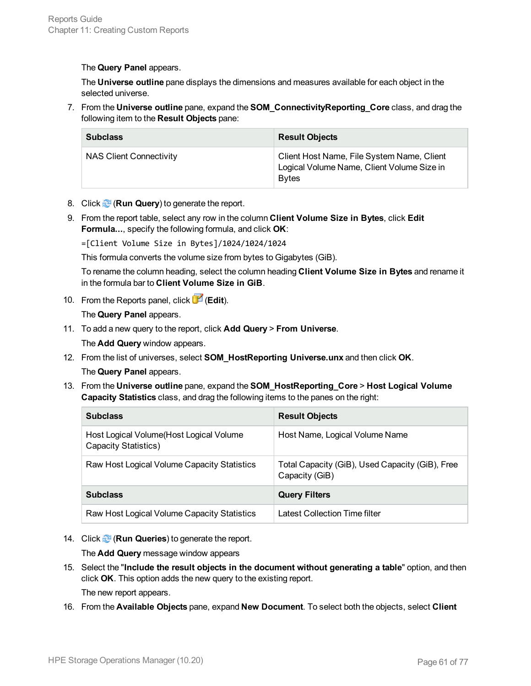The **Query Panel** appears.

The **Universe outline** pane displays the dimensions and measures available for each object in the selected universe.

7. From the **Universe outline** pane, expand the **SOM\_ConnectivityReporting\_Core** class, and drag the following item to the **Result Objects** pane:

| <b>Subclass</b>         | <b>Result Objects</b>                                                                                     |
|-------------------------|-----------------------------------------------------------------------------------------------------------|
| NAS Client Connectivity | Client Host Name, File System Name, Client<br>Logical Volume Name, Client Volume Size in<br><b>B</b> vtes |

- 8. Click (**Run Query**) to generate the report.
- 9. From the report table, select any row in the column **Client Volume Size in Bytes**, click **Edit Formula...**, specify the following formula, and click **OK**:

=[Client Volume Size in Bytes]/1024/1024/1024

This formula converts the volume size from bytes to Gigabytes (GiB).

To rename the column heading, select the column heading **Client Volume Size in Bytes** and rename it in the formula bar to **Client Volume Size in GiB**.

10. From the Reports panel, click (**Edit**).

The **Query Panel** appears.

11. To add a new query to the report, click **Add Query** > **From Universe**.

The **Add Query** window appears.

12. From the list of universes, select **SOM\_HostReporting Universe.unx** and then click **OK**.

The **Query Panel** appears.

13. From the **Universe outline** pane, expand the **SOM\_HostReporting\_Core** > **Host Logical Volume Capacity Statistics** class, and drag the following items to the panes on the right:

| <b>Subclass</b>                                                         | <b>Result Objects</b>                                             |
|-------------------------------------------------------------------------|-------------------------------------------------------------------|
| Host Logical Volume (Host Logical Volume<br><b>Capacity Statistics)</b> | Host Name, Logical Volume Name                                    |
| Raw Host Logical Volume Capacity Statistics                             | Total Capacity (GiB), Used Capacity (GiB), Free<br>Capacity (GiB) |
| <b>Subclass</b>                                                         | <b>Query Filters</b>                                              |
| Raw Host Logical Volume Capacity Statistics                             | Latest Collection Time filter                                     |

14. Click (**Run Queries**) to generate the report.

The **Add Query** message window appears

- 15. Select the "**Include the result objects in the document without generating a table**" option, and then click **OK**. This option adds the new query to the existing report. The new report appears.
- 16. From the **Available Objects** pane, expand **New Document**. To select both the objects, select **Client**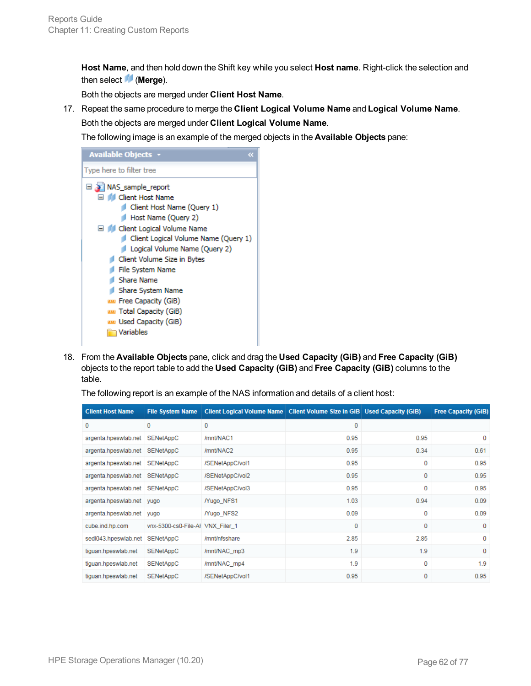**Host Name**, and then hold down the Shift key while you select **Host name**. Right-click the selection and then select (**Merge**).

Both the objects are merged under **Client Host Name**.

17. Repeat the same procedure to merge the **Client Logical Volume Name** and **Logical Volume Name**.

Both the objects are merged under **Client Logical Volume Name**.

The following image is an example of the merged objects in the **Available Objects** pane:

| Available Objects v                                                                                                                                                                                                                                                                                                                                                                        |
|--------------------------------------------------------------------------------------------------------------------------------------------------------------------------------------------------------------------------------------------------------------------------------------------------------------------------------------------------------------------------------------------|
| Type here to filter tree                                                                                                                                                                                                                                                                                                                                                                   |
| NAS_sample_report<br>G dient Host Name<br>Client Host Name (Query 1)<br>Host Name (Query 2)<br>□ 1 Client Logical Volume Name<br>Client Logical Volume Name (Query 1)<br>Logical Volume Name (Query 2)<br>Client Volume Size in Bytes<br>File System Name<br>Share Name<br>Share System Name<br>um Free Capacity (GiB)<br>uu Total Capacity (GiB)<br>uu Used Capacity (GiB)<br>ı Variables |

18. From the **Available Objects** pane, click and drag the **Used Capacity (GiB)** and **Free Capacity (GiB)** objects to the report table to add the **Used Capacity (GiB)** and **Free Capacity (GiB)** columns to the table.

| <b>Client Host Name</b>   | <b>File System Name</b>          | Client Logical Volume Name   Client Volume Size in GiB   Used Capacity (GiB) |      |      | <b>Free Capacity (GiB)</b> |
|---------------------------|----------------------------------|------------------------------------------------------------------------------|------|------|----------------------------|
| 0                         | 0                                | 0                                                                            | 0    |      |                            |
| argenta.hpeswlab.net      | SENetAppC                        | /mnt/NAC1                                                                    | 0.95 | 0.95 | 0                          |
| argenta.hpeswlab.net      | SENetAppC                        | /mnt/NAC2                                                                    | 0.95 | 0.34 | 0.61                       |
| argenta.hpeswlab.net      | SENetAppC                        | /SENetAppC/vol1                                                              | 0.95 | 0    | 0.95                       |
| argenta.hpeswlab.net      | SENetAppC                        | /SENetAppC/vol2                                                              | 0.95 | O    | 0.95                       |
| argenta.hpeswlab.net      | SENetAppC                        | /SENetAppC/vol3                                                              | 0.95 | 0    | 0.95                       |
| argenta.hpeswlab.net yugo |                                  | <b>Nugo NFS1</b>                                                             | 1.03 | 0.94 | 0.09                       |
| argenta.hpeswlab.net vugo |                                  | <b><i>Nugo NFS2</i></b>                                                      | 0.09 | O    | 0.09                       |
| cube.ind.hp.com           | vnx-5300-cs0-File-Al VNX Filer 1 |                                                                              | 0    | O    | 0                          |
| sedI043.hpeswlab.net      | SENetAppC                        | /mnt/nfsshare                                                                | 2.85 | 2.85 | 0                          |
| tiguan.hpeswlab.net       | <b>SENetAppC</b>                 | /mnt/NAC_mp3                                                                 | 1.9  | 1.9  | 0                          |
| tiguan.hpeswlab.net       | SENetAppC                        | /mnt/NAC_mp4                                                                 | 1.9  | O    | 1.9                        |
| tiquan.hpeswlab.net       | <b>SENetAppC</b>                 | /SENetAppC/vol1                                                              | 0.95 | o    | 0.95                       |

The following report is an example of the NAS information and details of a client host: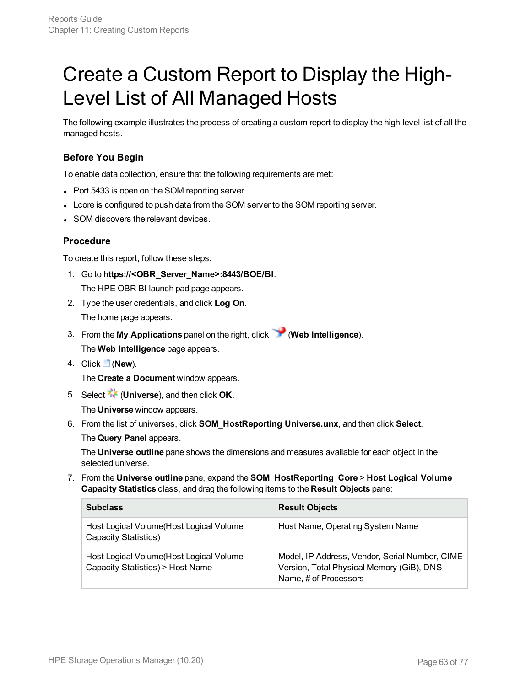## <span id="page-62-0"></span>Create a Custom Report to Display the High-Level List of All Managed Hosts

The following example illustrates the process of creating a custom report to display the high-level list of all the managed hosts.

#### **Before You Begin**

To enable data collection, ensure that the following requirements are met:

- Port 5433 is open on the SOM reporting server.
- Lcore is configured to push data from the SOM server to the SOM reporting server.
- SOM discovers the relevant devices.

#### **Procedure**

To create this report, follow these steps:

- 1. Go to **https://<OBR\_Server\_Name>:8443/BOE/BI**. The HPE OBR BI launch pad page appears.
- 2. Type the user credentials, and click **Log On**. The home page appears.
- 3. From the **My Applications** panel on the right, click (**Web Intelligence**). The **Web Intelligence** page appears.
- 4. Click (**New**).

The **Create a Document** window appears.

5. Select (**Universe**), and then click **OK**.

The **Universe** window appears.

6. From the list of universes, click **SOM\_HostReporting Universe.unx**, and then click **Select**. The **Query Panel** appears.

The **Universe outline** pane shows the dimensions and measures available for each object in the selected universe.

7. From the **Universe outline** pane, expand the **SOM\_HostReporting\_Core** > **Host Logical Volume Capacity Statistics** class, and drag the following items to the **Result Objects** pane:

| <b>Subclass</b>                                                              | <b>Result Objects</b>                                                                                                |
|------------------------------------------------------------------------------|----------------------------------------------------------------------------------------------------------------------|
| Host Logical Volume (Host Logical Volume<br>Capacity Statistics)             | Host Name, Operating System Name                                                                                     |
| Host Logical Volume (Host Logical Volume<br>Capacity Statistics) > Host Name | Model, IP Address, Vendor, Serial Number, CIME<br>Version, Total Physical Memory (GiB), DNS<br>Name, # of Processors |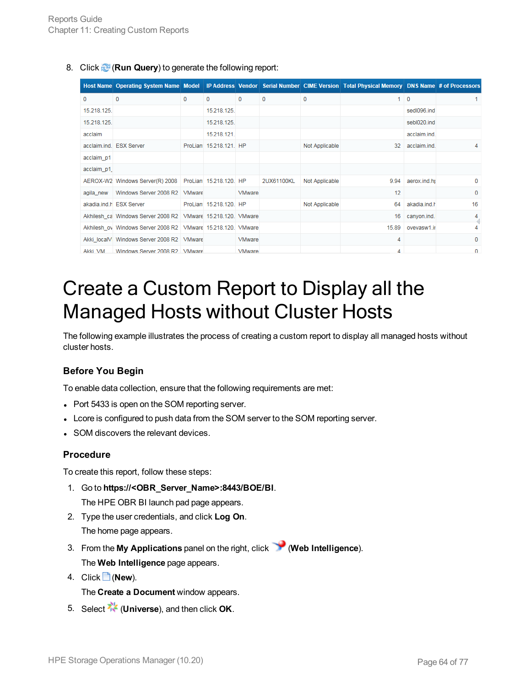8. Click (**Run Query**) to generate the following report:

|             | Host Name Operating System Name Model IP Address Vendor Serial Number CIME Version Total Physical Memory DNS Name # of Processors |   |                        |               |            |                |       |              |               |
|-------------|-----------------------------------------------------------------------------------------------------------------------------------|---|------------------------|---------------|------------|----------------|-------|--------------|---------------|
| 0           | 0                                                                                                                                 | 0 | 0                      | 0             | 0          | 0              |       | $1 \vert 0$  |               |
| 15.218.125. |                                                                                                                                   |   | 15.218.125.            |               |            |                |       | sedI096.ind  |               |
| 15.218.125. |                                                                                                                                   |   | 15.218.125.            |               |            |                |       | sebl020 ind  |               |
| acclaim     |                                                                                                                                   |   | 15.218.121.            |               |            |                |       | acclaim.ind. |               |
|             | acclaim.ind. ESX Server                                                                                                           |   | ProLian 15.218.121. HP |               |            | Not Applicable | 32    | acclaim.ind. | 4             |
| acclaim p1  |                                                                                                                                   |   |                        |               |            |                |       |              |               |
| acclaim_p1  |                                                                                                                                   |   |                        |               |            |                |       |              |               |
|             | AEROX-W2 Windows Server(R) 2008   ProLian 15.218.120. HP                                                                          |   |                        |               | 2UX61100KL | Not Applicable | 9.94  | aerox.ind.ht | 0             |
|             | agila_new   Windows Server 2008 R2   VMware                                                                                       |   |                        | <b>VMware</b> |            |                | 12    |              | $\mathbf 0$   |
|             | akadia.ind.h ESX Server                                                                                                           |   | ProLian 15.218.120. HP |               |            | Not Applicable | 64    | akadia.ind.h | 16            |
|             | Akhilesh cal Windows Server 2008 R2   VMware 15.218.120. VMware                                                                   |   |                        |               |            |                | 16    | canyon.ind.  | $\frac{4}{4}$ |
|             | Akhilesh ov Windows Server 2008 R2   VMware 15.218.120. VMware                                                                    |   |                        |               |            |                | 15.89 | ovevasw1.ir  | 4             |
|             | Akki localV Windows Server 2008 R2 VMware                                                                                         |   |                        | <b>VMware</b> |            |                | 4     |              | $\mathbf{0}$  |
| Akki VM     | Windows Server 2008 R2   VMware                                                                                                   |   |                        | <b>VMware</b> |            |                | 4     |              | $\Omega$      |

## <span id="page-63-0"></span>Create a Custom Report to Display all the Managed Hosts without Cluster Hosts

The following example illustrates the process of creating a custom report to display all managed hosts without cluster hosts.

#### **Before You Begin**

To enable data collection, ensure that the following requirements are met:

- Port 5433 is open on the SOM reporting server.
- Lcore is configured to push data from the SOM server to the SOM reporting server.
- SOM discovers the relevant devices.

#### **Procedure**

To create this report, follow these steps:

- 1. Go to **https://<OBR\_Server\_Name>:8443/BOE/BI**. The HPE OBR BI launch pad page appears.
- 2. Type the user credentials, and click **Log On**. The home page appears.
- 3. From the **My Applications** panel on the right, click (**Web Intelligence**). The **Web Intelligence** page appears.
- 4. Click (**New**). The **Create a Document** window appears.
- 5. Select (**Universe**), and then click **OK**.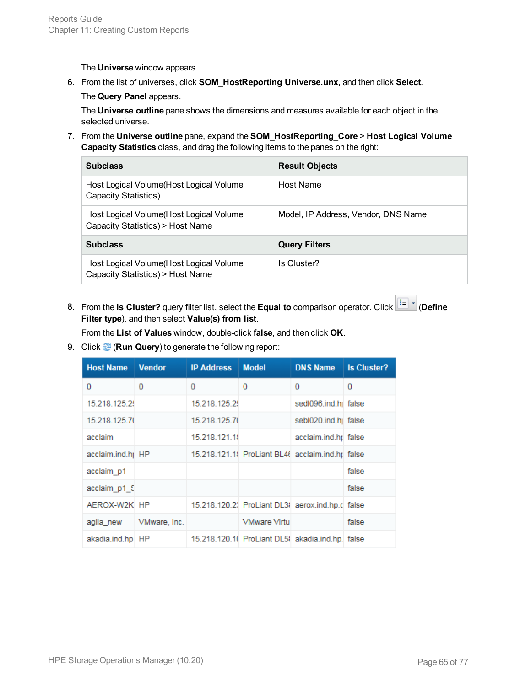The **Universe** window appears.

6. From the list of universes, click **SOM\_HostReporting Universe.unx**, and then click **Select**.

The **Query Panel** appears.

The **Universe outline** pane shows the dimensions and measures available for each object in the selected universe.

7. From the **Universe outline** pane, expand the **SOM\_HostReporting\_Core** > **Host Logical Volume Capacity Statistics** class, and drag the following items to the panes on the right:

| <b>Subclass</b>                                                              | <b>Result Objects</b>               |
|------------------------------------------------------------------------------|-------------------------------------|
| Host Logical Volume (Host Logical Volume<br>Capacity Statistics)             | Host Name                           |
| Host Logical Volume (Host Logical Volume<br>Capacity Statistics) > Host Name | Model, IP Address, Vendor, DNS Name |
| <b>Subclass</b>                                                              | <b>Query Filters</b>                |
| Host Logical Volume (Host Logical Volume<br>Capacity Statistics) > Host Name | Is Cluster?                         |

8. From the **Is Cluster?** query filter list, select the **Equal to** comparison operator. Click  $\boxed{f=1}$  (Define **Filter type**), and then select **Value(s) from list**.

From the **List of Values** window, double-click **false**, and then click **OK**.

9. Click (**Run Query**) to generate the following report:

| <b>Host Name</b>  | <b>Vendor</b> | <b>IP Address</b> | <b>Model</b>        | <b>DNS Name</b>                                  | <b>Is Cluster?</b> |
|-------------------|---------------|-------------------|---------------------|--------------------------------------------------|--------------------|
| 0                 | 0             | 0                 | 0                   | 0                                                | 0                  |
| 15.218.125.2      |               | 15.218.125.2      |                     | sedI096.ind.hil false                            |                    |
| 15.218.125.7(     |               | 15.218.125.7(     |                     | sebl020.ind.h false                              |                    |
| acclaim           |               | 15.218.121.1      |                     | acclaim.ind.ht false                             |                    |
| acclaim.ind.hj HP |               |                   |                     | 15.218.121.1 ProLiant BL4( acclaim.ind.ht false  |                    |
| acclaim p1        |               |                   |                     |                                                  | false              |
| acclaim p1 S      |               |                   |                     |                                                  | false              |
| AEROX-W2K HP      |               |                   |                     | 15.218.120.2. ProLiant DL3I aerox.ind.hp.c false |                    |
| agila new         | VMware, Inc.  |                   | <b>VMware Virtu</b> |                                                  | false              |
| akadia.ind.hp HP  |               |                   |                     | 15.218.120.1( ProLiant DL5) akadia.ind.hp. false |                    |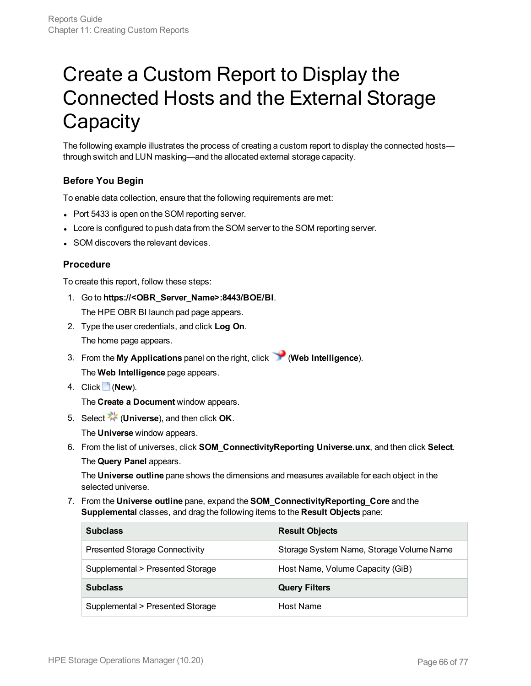## <span id="page-65-0"></span>Create a Custom Report to Display the Connected Hosts and the External Storage **Capacity**

The following example illustrates the process of creating a custom report to display the connected hosts through switch and LUN masking—and the allocated external storage capacity.

#### **Before You Begin**

To enable data collection, ensure that the following requirements are met:

- Port 5433 is open on the SOM reporting server.
- Lcore is configured to push data from the SOM server to the SOM reporting server.
- SOM discovers the relevant devices.

#### **Procedure**

To create this report, follow these steps:

- 1. Go to **https://<OBR\_Server\_Name>:8443/BOE/BI**. The HPE OBR BI launch pad page appears.
- 2. Type the user credentials, and click **Log On**. The home page appears.
- 3. From the **My Applications** panel on the right, click (**Web Intelligence**). The **Web Intelligence** page appears.
- 4. Click (**New**).

The **Create a Document** window appears.

5. Select (**Universe**), and then click **OK**.

The **Universe** window appears.

6. From the list of universes, click **SOM\_ConnectivityReporting Universe.unx**, and then click **Select**. The **Query Panel** appears.

The **Universe outline** pane shows the dimensions and measures available for each object in the selected universe.

7. From the **Universe outline** pane, expand the **SOM\_ConnectivityReporting\_Core** and the **Supplemental** classes, and drag the following items to the **Result Objects** pane:

| <b>Subclass</b>                       | <b>Result Objects</b>                    |
|---------------------------------------|------------------------------------------|
| <b>Presented Storage Connectivity</b> | Storage System Name, Storage Volume Name |
| Supplemental > Presented Storage      | Host Name, Volume Capacity (GiB)         |
| <b>Subclass</b>                       | <b>Query Filters</b>                     |
| Supplemental > Presented Storage      | Host Name                                |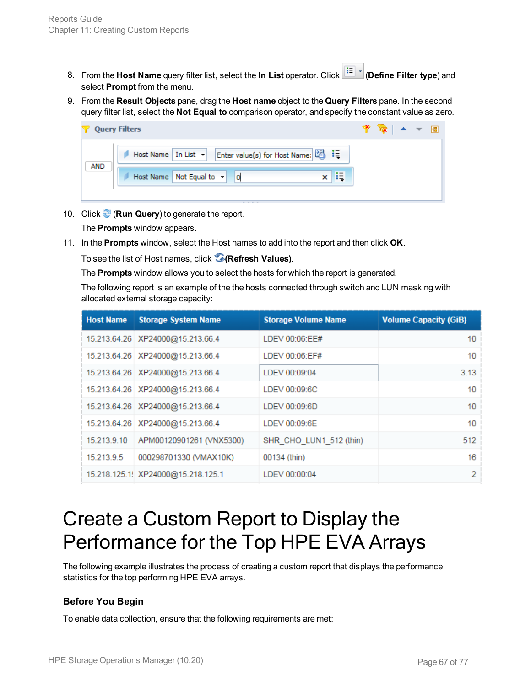- 8. From the **Host Name** query filter list, select the **In List** operator. Click (**Define Filter type**) and select **Prompt** from the menu.
- 9. From the **Result Objects** pane, drag the **Host name** object to the **Query Filters** pane. In the second query filter list, select the **Not Equal to** comparison operator, and specify the constant value as zero.

|            | <b>Query Filters</b>                                                    | ☆ ▲ ▼ 個 |  |  |
|------------|-------------------------------------------------------------------------|---------|--|--|
|            | Enter value(s) for Host Name: 2 : : =<br>Host Name In List $\mathbf{v}$ |         |  |  |
| <b>AND</b> | Host Name   Not Equal to $\left  \bullet \right $<br>l ol               |         |  |  |
|            |                                                                         |         |  |  |

10. Click (**Run Query**) to generate the report.

The **Prompts** window appears.

11. In the **Prompts** window, select the Host names to add into the report and then click **OK**.

To see the list of Host names, click **(Refresh Values)**.

The **Prompts** window allows you to select the hosts for which the report is generated.

The following report is an example of the the hosts connected through switch and LUN masking with allocated external storage capacity:

| <b>Host Name</b> | <b>Storage System Name</b>        | <b>Storage Volume Name</b> | <b>Volume Capacity (GiB)</b> |
|------------------|-----------------------------------|----------------------------|------------------------------|
|                  | 15.213.64.26 XP24000@15.213.66.4  | LDEV 00:06:EE#             | 10                           |
|                  | 15.213.64.26 XP24000@15.213.66.4  | LDEV 00:06:EF#             | 10                           |
|                  | 15.213.64.26 XP24000@15.213.66.4  | LDEV 00:09:04              | 3.13                         |
|                  | 15.213.64.26 XP24000@15.213.66.4  | LDEV 00:09:6C              | 10                           |
|                  | 15.213.64.26 XP24000@15.213.66.4  | LDEV 00:09:6D              | 10                           |
|                  | 15.213.64.26 XP24000@15.213.66.4  | LDEV 00:09:6E              | 10                           |
| 15.213.9.10      | APM00120901261 (VNX5300)          | SHR CHO LUN1 512 (thin)    | 512                          |
| 15.213.9.5       | 000298701330 (VMAX10K)            | 00134 (thin)               | 16                           |
|                  | 15.218.125.1 XP24000@15.218.125.1 | LDEV 00:00:04              | 2                            |

## <span id="page-66-0"></span>Create a Custom Report to Display the Performance for the Top HPE EVA Arrays

The following example illustrates the process of creating a custom report that displays the performance statistics for the top performing HPE EVA arrays.

#### **Before You Begin**

To enable data collection, ensure that the following requirements are met: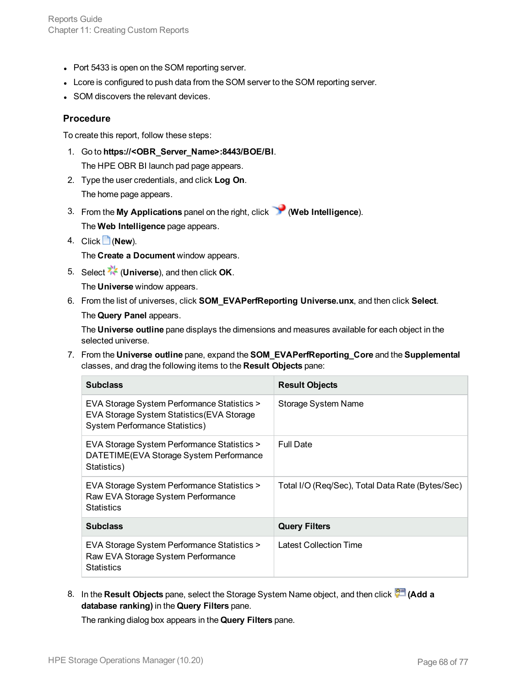- Port 5433 is open on the SOM reporting server.
- Lcore is configured to push data from the SOM server to the SOM reporting server.
- SOM discovers the relevant devices.

#### **Procedure**

To create this report, follow these steps:

- 1. Go to **https://<OBR\_Server\_Name>:8443/BOE/BI**. The HPE OBR BI launch pad page appears.
- 2. Type the user credentials, and click **Log On**. The home page appears.
- 3. From the **My Applications** panel on the right, click (**Web Intelligence**). The **Web Intelligence** page appears.
- 4. Click (**New**). The **Create a Document** window appears.
- 5. Select (**Universe**), and then click **OK**. The **Universe** window appears.
- 6. From the list of universes, click **SOM\_EVAPerfReporting Universe.unx**, and then click **Select**.

The **Query Panel** appears.

The **Universe outline** pane displays the dimensions and measures available for each object in the selected universe.

7. From the **Universe outline** pane, expand the **SOM\_EVAPerfReporting\_Core** and the **Supplemental** classes, and drag the following items to the **Result Objects** pane:

| <b>Subclass</b>                                                                                                                    | <b>Result Objects</b>                            |
|------------------------------------------------------------------------------------------------------------------------------------|--------------------------------------------------|
| EVA Storage System Performance Statistics ><br>EVA Storage System Statistics (EVA Storage<br><b>System Performance Statistics)</b> | Storage System Name                              |
| EVA Storage System Performance Statistics ><br>DATETIME(EVA Storage System Performance<br>Statistics)                              | <b>Full Date</b>                                 |
| EVA Storage System Performance Statistics ><br>Raw EVA Storage System Performance<br><b>Statistics</b>                             | Total I/O (Req/Sec), Total Data Rate (Bytes/Sec) |
| <b>Subclass</b>                                                                                                                    | <b>Query Filters</b>                             |
| EVA Storage System Performance Statistics ><br>Raw EVA Storage System Performance<br><b>Statistics</b>                             | Latest Collection Time                           |

8. In the Result Objects pane, select the Storage System Name object, and then click **(Add a**) **database ranking)** in the **Query Filters** pane.

The ranking dialog box appears in the **Query Filters** pane.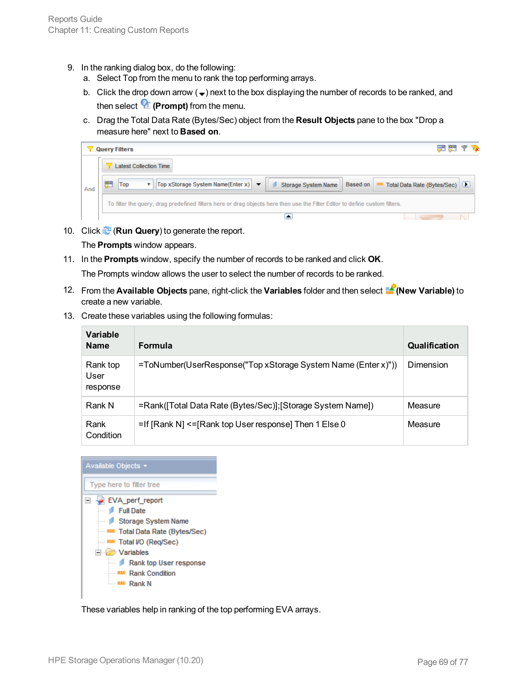- 9. In the ranking dialog box, do the following:
	- a. Select Top from the menu to rank the top performing arrays.
	- b. Click the drop down arrow  $\left(\bullet\right)$  next to the box displaying the number of records to be ranked, and then select  $\mathbf{P}$  (**Prompt**) from the menu.
	- c. Drag the Total Data Rate (Bytes/Sec) object from the **Result Objects** pane to the box "Drop a measure here" next to **Based on**.

|                                                                                                                             |  | ₩<br><b>Query Filters</b>                                                                                                                                    |  |
|-----------------------------------------------------------------------------------------------------------------------------|--|--------------------------------------------------------------------------------------------------------------------------------------------------------------|--|
|                                                                                                                             |  | <b>Latest Collection Time</b>                                                                                                                                |  |
| And                                                                                                                         |  | 医<br>Top xStorage System Name(Enter x) $\blacktriangledown$<br>٠<br>Top<br>Based on<br>"" Total Data Rate (Bytes/Sec)<br>$\mathbf{v}$<br>Storage System Name |  |
| To filter the query, drag predefined filters here or drag objects here then use the Filter Editor to define custom filters. |  |                                                                                                                                                              |  |
|                                                                                                                             |  |                                                                                                                                                              |  |

10. Click (**Run Query**) to generate the report.

The **Prompts** window appears.

11. In the **Prompts** window, specify the number of records to be ranked and click **OK**.

The Prompts window allows the user to select the number of records to be ranked.

- 12. From the Available Objects pane, right-click the Variables folder and then select **(New Variable)** to create a new variable.
- 13. Create these variables using the following formulas:

| Variable<br><b>Name</b>      | <b>Formula</b>                                                | Qualification |
|------------------------------|---------------------------------------------------------------|---------------|
| Rank top<br>User<br>response | =ToNumber(UserResponse("Top xStorage System Name (Enter x)")) | Dimension     |
| Rank N                       | =Rank([Total Data Rate (Bytes/Sec)]; [Storage System Name])   | Measure       |
| Rank<br>Condition            | =If [Rank N] <= [Rank top User response] Then 1 Else 0        | Measure       |



These variables help in ranking of the top performing EVA arrays.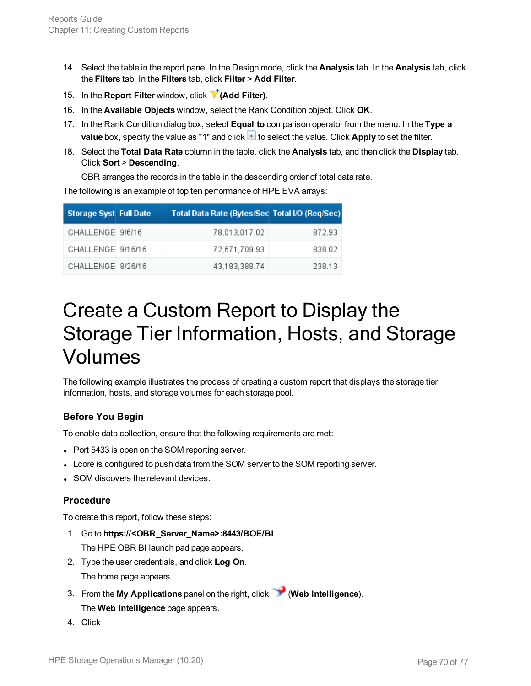- 14. Select the table in the report pane. In the Design mode, click the **Analysis** tab. In the **Analysis** tab, click the **Filters** tab. In the **Filters** tab, click **Filter** > **Add Filter**.
- 15. In the **Report Filter** window, click **(Add Filter)**.
- 16. In the **Available Objects** window, select the Rank Condition object. Click **OK**.
- 17. In the Rank Condition dialog box, select **Equal to** comparison operator from the menu. In the **Type a value** box, specify the value as "1" and click **the select the value. Click Apply** to set the filter.
- 18. Select the **Total Data Rate** column in the table, click the **Analysis** tab, and then click the **Display** tab. Click **Sort** > **Descending**.

OBR arranges the records in the table in the descending order of total data rate.

The following is an example of top ten performance of HPE EVA arrays:

| Storage Syst Full Date | Total Data Rate (Bytes/Sec Total I/O (Req/Sec) |        |
|------------------------|------------------------------------------------|--------|
| CHALLENGE 9/6/16       | 78,013,017.02                                  | 872.93 |
| CHALLENGE 9/16/16      | 72,671,709.93                                  | 838.02 |
| CHALLENGE 8/26/16      | 43,183,388.74                                  | 238.13 |

## <span id="page-69-0"></span>Create a Custom Report to Display the Storage Tier Information, Hosts, and Storage Volumes

The following example illustrates the process of creating a custom report that displays the storage tier information, hosts, and storage volumes for each storage pool.

#### **Before You Begin**

To enable data collection, ensure that the following requirements are met:

- Port 5433 is open on the SOM reporting server.
- Lcore is configured to push data from the SOM server to the SOM reporting server.
- SOM discovers the relevant devices.

#### **Procedure**

To create this report, follow these steps:

- 1. Go to **https://<OBR\_Server\_Name>:8443/BOE/BI**. The HPE OBR BI launch pad page appears.
- 2. Type the user credentials, and click **Log On**. The home page appears.
- 3. From the **My Applications** panel on the right, click (**Web Intelligence**). The **Web Intelligence** page appears.
- 4. Click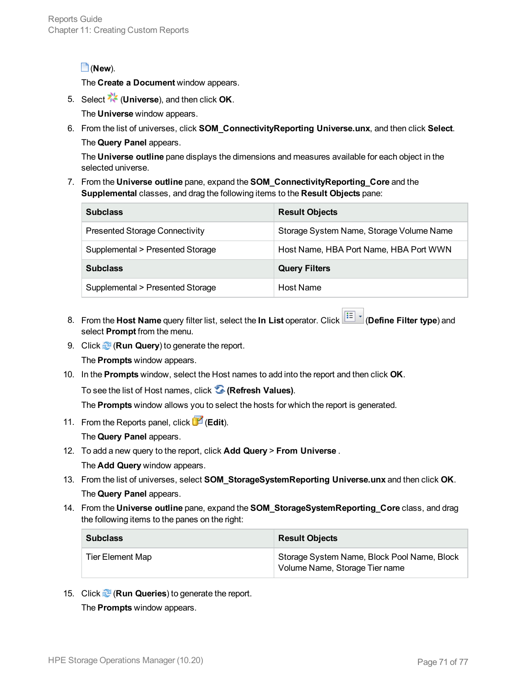#### (**New**).

The **Create a Document** window appears.

5. Select (**Universe**), and then click **OK**.

The **Universe** window appears.

6. From the list of universes, click **SOM\_ConnectivityReporting Universe.unx**, and then click **Select**.

The **Query Panel** appears.

The **Universe outline** pane displays the dimensions and measures available for each object in the selected universe.

7. From the **Universe outline** pane, expand the **SOM\_ConnectivityReporting\_Core** and the **Supplemental** classes, and drag the following items to the **Result Objects** pane:

| <b>Subclass</b>                       | <b>Result Objects</b>                    |
|---------------------------------------|------------------------------------------|
| <b>Presented Storage Connectivity</b> | Storage System Name, Storage Volume Name |
| Supplemental > Presented Storage      | Host Name, HBA Port Name, HBA Port WWN   |
| <b>Subclass</b>                       | <b>Query Filters</b>                     |
| Supplemental > Presented Storage      | Host Name                                |

- 8. From the **Host Name** query filter list, select the **In List** operator. Click (**Define Filter type**) and select **Prompt** from the menu.
- 9. Click (**Run Query**) to generate the report. The **Prompts** window appears.
- 10. In the **Prompts** window, select the Host names to add into the report and then click **OK**.

To see the list of Host names, click **(Refresh Values)**.

The **Prompts** window allows you to select the hosts for which the report is generated.

11. From the Reports panel, click (**Edit**).

The **Query Panel** appears.

12. To add a new query to the report, click **Add Query** > **From Universe** .

The **Add Query** window appears.

- 13. From the list of universes, select **SOM\_StorageSystemReporting Universe.unx** and then click **OK**. The **Query Panel** appears.
- 14. From the **Universe outline** pane, expand the **SOM\_StorageSystemReporting\_Core** class, and drag the following items to the panes on the right:

| <b>Subclass</b>  | <b>Result Objects</b>                                                         |
|------------------|-------------------------------------------------------------------------------|
| Tier Element Map | Storage System Name, Block Pool Name, Block<br>Volume Name, Storage Tier name |

15. Click (**Run Queries**) to generate the report.

The **Prompts** window appears.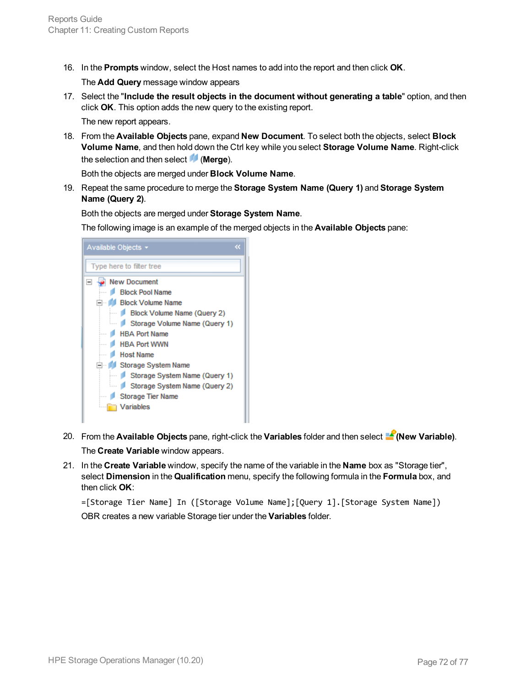16. In the **Prompts** window, select the Host names to add into the report and then click **OK**.

The **Add Query** message window appears

17. Select the "**Include the result objects in the document without generating a table**" option, and then click **OK**. This option adds the new query to the existing report.

The new report appears.

18. From the **Available Objects** pane, expand **New Document**. To select both the objects, select **Block Volume Name**, and then hold down the Ctrl key while you select **Storage Volume Name**. Right-click the selection and then select (**Merge**).

Both the objects are merged under **Block Volume Name**.

19. Repeat the same procedure to merge the **Storage System Name (Query 1)** and **Storage System Name (Query 2)**.

Both the objects are merged under **Storage System Name**.

The following image is an example of the merged objects in the **Available Objects** pane:

| Available Objects ▼                   |
|---------------------------------------|
| Type here to filter tree              |
| New Document                          |
| <b>Block Pool Name</b><br>$1 - 1 - 1$ |
| 白… <b>MI Block Volume Name</b>        |
| Block Volume Name (Query 2)           |
| Storage Volume Name (Query 1)         |
| <b>HBA Port Name</b>                  |
| <b>HBA Port WWN</b>                   |
| <b>Host Name</b>                      |
| Storage System Name                   |
| Storage System Name (Query 1)         |
| Storage System Name (Query 2)         |
| <b>Storage Tier Name</b>              |
| Variables                             |
|                                       |

- 20. From the Available Objects pane, right-click the Variables folder and then select **(New Variable)**. The **Create Variable** window appears.
- 21. In the **Create Variable** window, specify the name of the variable in the **Name** box as "Storage tier", select **Dimension** in the **Qualification** menu, specify the following formula in the **Formula** box, and then click **OK**:

=[Storage Tier Name] In ([Storage Volume Name];[Query 1].[Storage System Name]) OBR creates a new variable Storage tier under the **Variables** folder.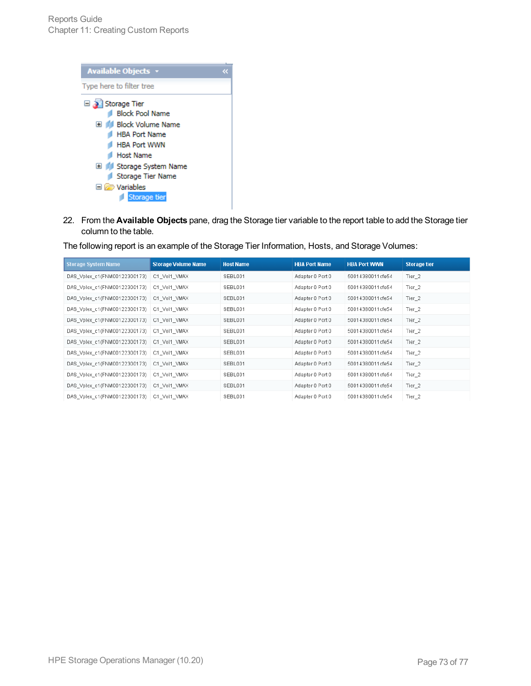

22. From the **Available Objects** pane, drag the Storage tier variable to the report table to add the Storage tier column to the table.

The following report is an example of the Storage Tier Information, Hosts, and Storage Volumes:

| <b>Storage System Name</b>   | <b>Storage Volume Name</b> | <b>Host Name</b> | <b>HBA Port Name</b> | <b>HBA Port WWWN</b> | <b>Storage tier</b> |
|------------------------------|----------------------------|------------------|----------------------|----------------------|---------------------|
| DAS_Vplex_c1(FNM00122300173) | C1 Vol1 VMAX               | SEBL001          | Adapter 0 Port 0     | 50014380011cfe54     | Tier <sub>2</sub>   |
| DAS Vplex c1(FNM00122300173) | C1 Vol1 VMAX               | SEBL001          | Adapter 0 Port 0     | 50014380011cfe54     | Tier <sub>2</sub>   |
| DAS_Vplex_c1(FNM00122300173) | C1 Vol1 VMAX               | SEBL001          | Adapter 0 Port 0     | 50014380011cfe54     | Tier_2              |
| DAS Vplex c1(FNM00122300173) | C1 Vol1 VMAX               | SEBL001          | Adapter 0 Port 0     | 50014380011cfe54     | Tier <sub>2</sub>   |
| DAS_Vplex_c1(FNM00122300173) | C1_Vol1_VMAX               | SEBL001          | Adapter 0 Port 0     | 50014380011cfe54     | Tier_2              |
| DAS Vplex c1(FNM00122300173) | C1 Vol1 VMAX               | SEBL001          | Adapter 0 Port 0     | 50014380011cfe54     | Tier <sub>2</sub>   |
| DAS_Vplex_c1(FNM00122300173) | C1 Vol1 VMAX               | SEBL001          | Adapter 0 Port 0     | 50014380011cfe54     | Tier_2              |
| DAS Vplex c1(FNM00122300173) | C1 Vol1 VMAX               | SEBL001          | Adapter 0 Port 0     | 50014380011cfe54     | Tier <sub>2</sub>   |
| DAS_Vplex_c1(FNM00122300173) | C1_Vol1_VMAX               | SEBL001          | Adapter 0 Port 0     | 50014380011cfe54     | Tier_2              |
| DAS Vplex c1(FNM00122300173) | C1 Vol1 VMAX               | SEBL001          | Adapter 0 Port 0     | 50014380011cfe54     | Tier <sub>2</sub>   |
| DAS_Vplex_c1(FNM00122300173) | C1_Vol1_VMAX               | SEBL001          | Adapter 0 Port 0     | 50014380011cfe54     | Tier_2              |
| DAS Vplex c1(FNM00122300173) | C1 Vol1 VMAX               | SEBL001          | Adapter 0 Port 0     | 50014380011cfe54     | Tier <sub>2</sub>   |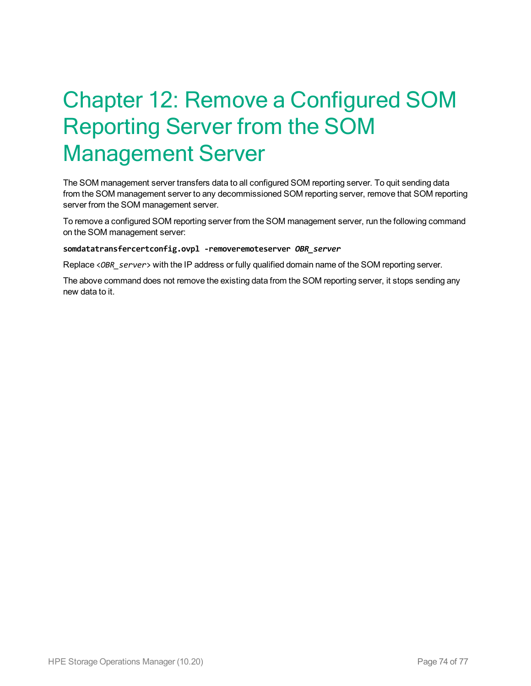# Chapter 12: Remove a Configured SOM Reporting Server from the SOM Management Server

The SOM management server transfers data to all configured SOM reporting server. To quit sending data from the SOM management server to any decommissioned SOM reporting server, remove that SOM reporting server from the SOM management server.

To remove a configured SOM reporting server from the SOM management server, run the following command on the SOM management server:

#### **somdatatransfercertconfig.ovpl -removeremoteserver** *OBR\_server*

Replace <*OBR* server> with the IP address or fully qualified domain name of the SOM reporting server.

The above command does not remove the existing data from the SOM reporting server, it stops sending any new data to it.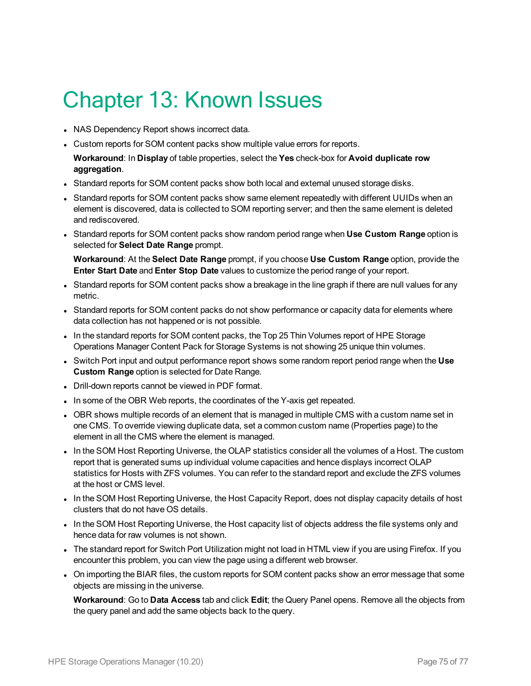### Chapter 13: Known Issues

- NAS Dependency Report shows incorrect data.
- Custom reports for SOM content packs show multiple value errors for reports.

**Workaround**: In **Display** of table properties, select the **Yes** check-box for **Avoid duplicate row aggregation**.

- Standard reports for SOM content packs show both local and external unused storage disks.
- Standard reports for SOM content packs show same element repeatedly with different UUIDs when an element is discovered, data is collected to SOM reporting server; and then the same element is deleted and rediscovered.
- <sup>l</sup> Standard reports for SOM content packs show random period range when **Use Custom Range** option is selected for **Select Date Range** prompt.

**Workaround**: At the **Select Date Range** prompt, if you choose **Use Custom Range** option, provide the **Enter Start Date** and **Enter Stop Date** values to customize the period range of your report.

- Standard reports for SOM content packs show a breakage in the line graph if there are null values for any metric.
- Standard reports for SOM content packs do not show performance or capacity data for elements where data collection has not happened or is not possible.
- In the standard reports for SOM content packs, the Top 25 Thin Volumes report of HPE Storage Operations Manager Content Pack for Storage Systems is not showing 25 unique thin volumes.
- <sup>l</sup> Switch Port input and output performance report shows some random report period range when the **Use Custom Range** option is selected for Date Range.
- Drill-down reports cannot be viewed in PDF format.
- . In some of the OBR Web reports, the coordinates of the Y-axis get repeated.
- OBR shows multiple records of an element that is managed in multiple CMS with a custom name set in one CMS. To override viewing duplicate data, set a common custom name (Properties page) to the element in all the CMS where the element is managed.
- In the SOM Host Reporting Universe, the OLAP statistics consider all the volumes of a Host. The custom report that is generated sums up individual volume capacities and hence displays incorrect OLAP statistics for Hosts with ZFS volumes. You can refer to the standard report and exclude the ZFS volumes at the host or CMS level.
- In the SOM Host Reporting Universe, the Host Capacity Report, does not display capacity details of host clusters that do not have OS details.
- In the SOM Host Reporting Universe, the Host capacity list of objects address the file systems only and hence data for raw volumes is not shown.
- The standard report for Switch Port Utilization might not load in HTML view if you are using Firefox. If you encounter this problem, you can view the page using a different web browser.
- On importing the BIAR files, the custom reports for SOM content packs show an error message that some objects are missing in the universe.

**Workaround**: Go to **Data Access** tab and click **Edit**; the Query Panel opens. Remove all the objects from the query panel and add the same objects back to the query.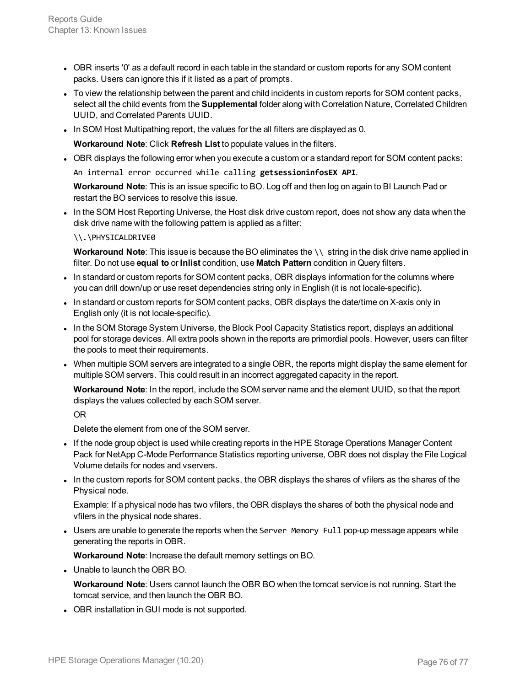- OBR inserts '0' as a default record in each table in the standard or custom reports for any SOM content packs. Users can ignore this if it listed as a part of prompts.
- To view the relationship between the parent and child incidents in custom reports for SOM content packs, select all the child events from the **Supplemental** folder along with Correlation Nature, Correlated Children UUID, and Correlated Parents UUID.
- In SOM Host Multipathing report, the values for the all filters are displayed as 0.

**Workaround Note**: Click **Refresh List** to populate values in the filters.

• OBR displays the following error when you execute a custom or a standard report for SOM content packs:

An internal error occurred while calling **getsessioninfosEX API**.

**Workaround Note**: This is an issue specific to BO. Log off and then log on again to BI Launch Pad or restart the BO services to resolve this issue.

In the SOM Host Reporting Universe, the Host disk drive custom report, does not show any data when the disk drive name with the following pattern is applied as a filter:

#### \\.\PHYSICALDRIVE0

**Workaround Note**: This issue is because the BO eliminates the  $\setminus \setminus$  string in the disk drive name applied in filter. Do not use **equal to** or **Inlist** condition, use **Match Pattern** condition in Query filters.

- In standard or custom reports for SOM content packs, OBR displays information for the columns where you can drill down/up or use reset dependencies string only in English (it is not locale-specific).
- In standard or custom reports for SOM content packs, OBR displays the date/time on X-axis only in English only (it is not locale-specific).
- In the SOM Storage System Universe, the Block Pool Capacity Statistics report, displays an additional pool for storage devices. All extra pools shown in the reports are primordial pools. However, users can filter the pools to meet their requirements.
- When multiple SOM servers are integrated to a single OBR, the reports might display the same element for multiple SOM servers. This could result in an incorrect aggregated capacity in the report.

**Workaround Note**: In the report, include the SOM server name and the element UUID, so that the report displays the values collected by each SOM server.

OR

Delete the element from one of the SOM server.

- If the node group object is used while creating reports in the HPE Storage Operations Manager Content Pack for NetApp C-Mode Performance Statistics reporting universe, OBR does not display the File Logical Volume details for nodes and vservers.
- In the custom reports for SOM content packs, the OBR displays the shares of vfilers as the shares of the Physical node.

Example: If a physical node has two vfilers, the OBR displays the shares of both the physical node and vfilers in the physical node shares.

• Users are unable to generate the reports when the Server Memory Full pop-up message appears while generating the reports in OBR.

**Workaround Note**: Increase the default memory settings on BO.

• Unable to launch the OBR BO.

**Workaround Note**: Users cannot launch the OBR BO when the tomcat service is not running. Start the tomcat service, and then launch the OBR BO.

• OBR installation in GUI mode is not supported.